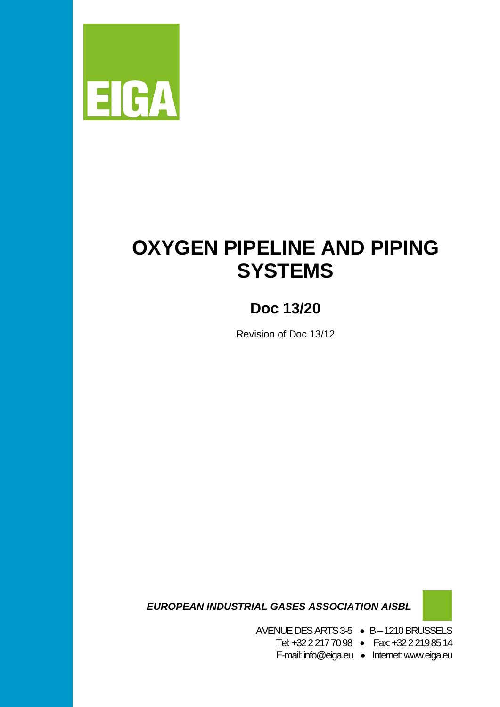

# **OXYGEN PIPELINE AND PIPING SYSTEMS**

# **Doc 13/20**

Revision of Doc 13/12

 *EUROPEAN INDUSTRIAL GASES ASSOCIATION AISBL*

AVENUE DES ARTS 3-5 • B –1210 BRUSSELS

Tel: +32 2 217 70 98 • Fax: +32 2 219 85 14

E-mail: info@eiga.eu • Internet: www.eiga.eu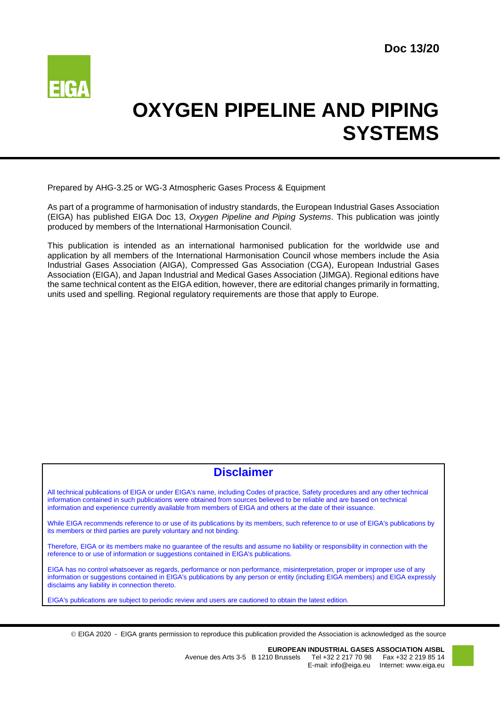

# **OXYGEN PIPELINE AND PIPING SYSTEMS**

Prepared by AHG-3.25 or WG-3 Atmospheric Gases Process & Equipment

As part of a programme of harmonisation of industry standards, the European Industrial Gases Association (EIGA) has published EIGA Doc 13, *Oxygen Pipeline and Piping Systems*. This publication was jointly produced by members of the International Harmonisation Council.

This publication is intended as an international harmonised publication for the worldwide use and application by all members of the International Harmonisation Council whose members include the Asia Industrial Gases Association (AIGA), Compressed Gas Association (CGA), European Industrial Gases Association (EIGA), and Japan Industrial and Medical Gases Association (JIMGA). Regional editions have the same technical content as the EIGA edition, however, there are editorial changes primarily in formatting, units used and spelling. Regional regulatory requirements are those that apply to Europe.

# **Disclaimer**

All technical publications of EIGA or under EIGA's name, including Codes of practice, Safety procedures and any other technical information contained in such publications were obtained from sources believed to be reliable and are based on technical information and experience currently available from members of EIGA and others at the date of their issuance.

While EIGA recommends reference to or use of its publications by its members, such reference to or use of EIGA's publications by its members or third parties are purely voluntary and not binding.

Therefore, EIGA or its members make no guarantee of the results and assume no liability or responsibility in connection with the reference to or use of information or suggestions contained in EIGA's publications.

EIGA has no control whatsoever as regards, performance or non performance, misinterpretation, proper or improper use of any information or suggestions contained in EIGA's publications by any person or entity (including EIGA members) and EIGA expressly disclaims any liability in connection thereto.

EIGA's publications are subject to periodic review and users are cautioned to obtain the latest edition.

EIGA 2020 - EIGA grants permission to reproduce this publication provided the Association is acknowledged as the source

**EUROPEAN INDUSTRIAL GASES ASSOCIATION AISBL**<br>41 Avenue des Arts 3-5 B 1210 Brussels Tel +32 2 217 70 98 Fax +32 2 219 85 Tel +32 2 217 70 98 Fax +32 2 219 85 14 E-mail: info@eiga.eu Internet: www.eiga.eu

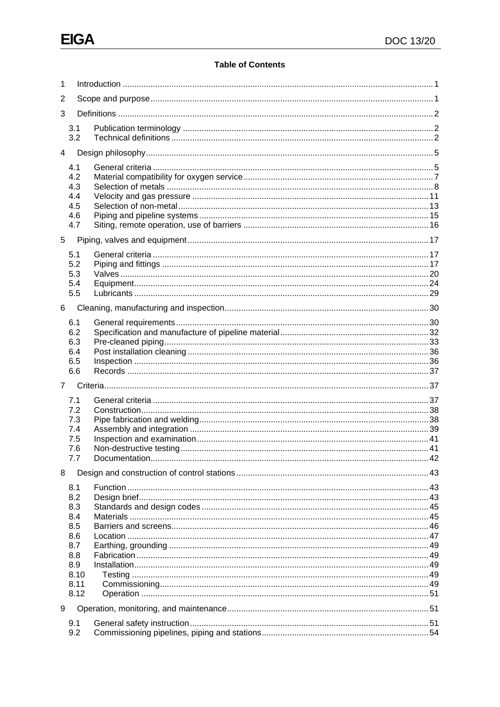# **Table of Contents**

| 1           |               |  |  |  |  |
|-------------|---------------|--|--|--|--|
| 2           |               |  |  |  |  |
| 3           |               |  |  |  |  |
|             | 3.1<br>3.2    |  |  |  |  |
| 4           |               |  |  |  |  |
|             |               |  |  |  |  |
|             | 4.1<br>4.2    |  |  |  |  |
|             | 4.3           |  |  |  |  |
|             | 4.4           |  |  |  |  |
|             | 4.5<br>4.6    |  |  |  |  |
|             | 4.7           |  |  |  |  |
| 5           |               |  |  |  |  |
|             | 5.1           |  |  |  |  |
|             | 5.2           |  |  |  |  |
|             | 5.3           |  |  |  |  |
|             | 5.4           |  |  |  |  |
|             | 5.5           |  |  |  |  |
| 6           |               |  |  |  |  |
|             | 6.1           |  |  |  |  |
|             | 6.2           |  |  |  |  |
|             | 6.3<br>6.4    |  |  |  |  |
|             | 6.5           |  |  |  |  |
|             | 6.6           |  |  |  |  |
| $7^{\circ}$ |               |  |  |  |  |
|             | 7.1           |  |  |  |  |
|             | 7.2           |  |  |  |  |
|             | 7.3           |  |  |  |  |
|             | 7.4           |  |  |  |  |
|             | 7.5<br>7.6    |  |  |  |  |
|             | $\iota.\iota$ |  |  |  |  |
| 8           |               |  |  |  |  |
|             |               |  |  |  |  |
|             | 8.1<br>8.2    |  |  |  |  |
|             | 8.3           |  |  |  |  |
|             |               |  |  |  |  |
|             | 8.4           |  |  |  |  |
|             | 8.5           |  |  |  |  |
|             | 8.6           |  |  |  |  |
|             | 8.7           |  |  |  |  |
|             | 8.8<br>8.9    |  |  |  |  |
|             | 8.10          |  |  |  |  |
|             | 8.11          |  |  |  |  |
|             | 8.12          |  |  |  |  |
| 9           |               |  |  |  |  |
|             | 9.1<br>9.2    |  |  |  |  |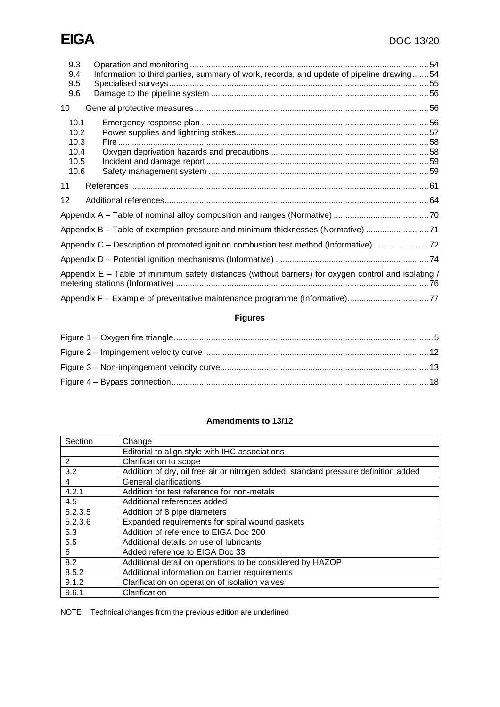| 9.3<br>9.4<br>9.5<br>9.6                                                                               | Information to third parties, summary of work, records, and update of pipeline drawing54 |  |  |  |
|--------------------------------------------------------------------------------------------------------|------------------------------------------------------------------------------------------|--|--|--|
| 10                                                                                                     |                                                                                          |  |  |  |
| 10.1<br>10.2<br>10.3<br>10.4<br>10.5<br>10.6                                                           |                                                                                          |  |  |  |
| 11                                                                                                     |                                                                                          |  |  |  |
| 12                                                                                                     |                                                                                          |  |  |  |
|                                                                                                        |                                                                                          |  |  |  |
|                                                                                                        | Appendix B - Table of exemption pressure and minimum thicknesses (Normative) 71          |  |  |  |
| Appendix C - Description of promoted ignition combustion test method (Informative)                     |                                                                                          |  |  |  |
|                                                                                                        |                                                                                          |  |  |  |
| Appendix $E -$ Table of minimum safety distances (without barriers) for oxygen control and isolating / |                                                                                          |  |  |  |
|                                                                                                        | Appendix F - Example of preventative maintenance programme (Informative)77               |  |  |  |

# **Figures**

# **Amendments to 13/12**

| Section | Change                                                                              |
|---------|-------------------------------------------------------------------------------------|
|         | Editorial to align style with IHC associations                                      |
| 2       | Clarification to scope                                                              |
| 3.2     | Addition of dry, oil free air or nitrogen added, standard pressure definition added |
| 4       | <b>General clarifications</b>                                                       |
| 4.2.1   | Addition for test reference for non-metals                                          |
| 4.5     | Additional references added                                                         |
| 5.2.3.5 | Addition of 8 pipe diameters                                                        |
| 5.2.3.6 | Expanded requirements for spiral wound gaskets                                      |
| 5.3     | Addition of reference to EIGA Doc 200                                               |
| 5.5     | Additional details on use of lubricants                                             |
| 6       | Added reference to EIGA Doc 33                                                      |
| 8.2     | Additional detail on operations to be considered by HAZOP                           |
| 8.5.2   | Additional information on barrier requirements                                      |
| 9.1.2   | Clarification on operation of isolation valves                                      |
| 9.6.1   | Clarification                                                                       |

NOTE Technical changes from the previous edition are underlined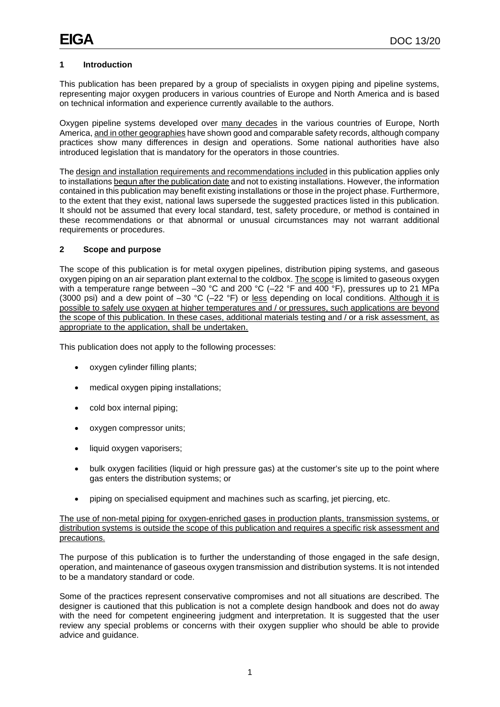# <span id="page-4-0"></span>**1 Introduction**

This publication has been prepared by a group of specialists in oxygen piping and pipeline systems, representing major oxygen producers in various countries of Europe and North America and is based on technical information and experience currently available to the authors.

Oxygen pipeline systems developed over many decades in the various countries of Europe, North America, and in other geographies have shown good and comparable safety records, although company practices show many differences in design and operations. Some national authorities have also introduced legislation that is mandatory for the operators in those countries.

The design and installation requirements and recommendations included in this publication applies only to installations begun after the publication date and not to existing installations. However, the information contained in this publication may benefit existing installations or those in the project phase. Furthermore, to the extent that they exist, national laws supersede the suggested practices listed in this publication. It should not be assumed that every local standard, test, safety procedure, or method is contained in these recommendations or that abnormal or unusual circumstances may not warrant additional requirements or procedures.

#### <span id="page-4-1"></span>**2 Scope and purpose**

The scope of this publication is for metal oxygen pipelines, distribution piping systems, and gaseous oxygen piping on an air separation plant external to the coldbox. The scope is limited to gaseous oxygen with a temperature range between –30 °C and 200 °C (–22 °F and 400 °F), pressures up to 21 MPa (3000 psi) and a dew point of –30 °C (–22 °F) or less depending on local conditions. Although it is possible to safely use oxygen at higher temperatures and / or pressures, such applications are beyond the scope of this publication. In these cases, additional materials testing and / or a risk assessment, as appropriate to the application, shall be undertaken.

This publication does not apply to the following processes:

- oxygen cylinder filling plants;
- medical oxygen piping installations;
- cold box internal piping;
- oxygen compressor units;
- liquid oxygen vaporisers;
- bulk oxygen facilities (liquid or high pressure gas) at the customer's site up to the point where gas enters the distribution systems; or
- piping on specialised equipment and machines such as scarfing, jet piercing, etc.

The use of non-metal piping for oxygen-enriched gases in production plants, transmission systems, or distribution systems is outside the scope of this publication and requires a specific risk assessment and precautions.

The purpose of this publication is to further the understanding of those engaged in the safe design, operation, and maintenance of gaseous oxygen transmission and distribution systems. It is not intended to be a mandatory standard or code.

Some of the practices represent conservative compromises and not all situations are described. The designer is cautioned that this publication is not a complete design handbook and does not do away with the need for competent engineering judgment and interpretation. It is suggested that the user review any special problems or concerns with their oxygen supplier who should be able to provide advice and guidance.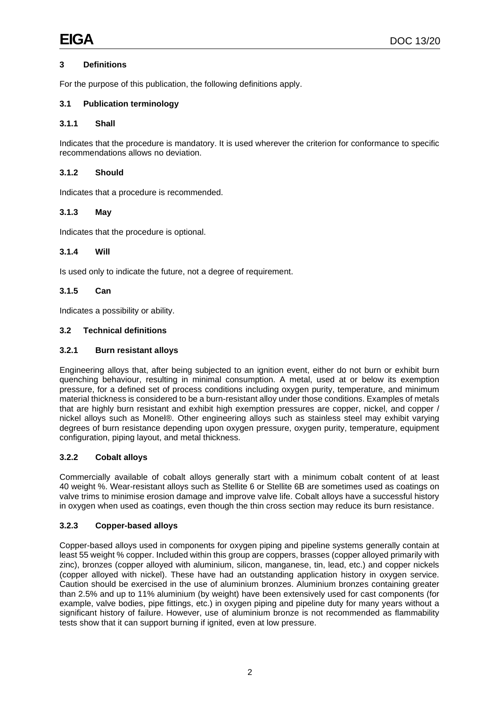# <span id="page-5-0"></span>**3 Definitions**

For the purpose of this publication, the following definitions apply.

# <span id="page-5-1"></span>**3.1 Publication terminology**

#### **3.1.1 Shall**

Indicates that the procedure is mandatory. It is used wherever the criterion for conformance to specific recommendations allows no deviation.

#### **3.1.2 Should**

Indicates that a procedure is recommended.

#### **3.1.3 May**

Indicates that the procedure is optional.

#### **3.1.4 Will**

Is used only to indicate the future, not a degree of requirement.

# **3.1.5 Can**

Indicates a possibility or ability.

#### <span id="page-5-2"></span>**3.2 Technical definitions**

#### **3.2.1 Burn resistant alloys**

Engineering alloys that, after being subjected to an ignition event, either do not burn or exhibit burn quenching behaviour, resulting in minimal consumption. A metal, used at or below its exemption pressure, for a defined set of process conditions including oxygen purity, temperature, and minimum material thickness is considered to be a burn-resistant alloy under those conditions. Examples of metals that are highly burn resistant and exhibit high exemption pressures are copper, nickel, and copper / nickel alloys such as Monel®. Other engineering alloys such as stainless steel may exhibit varying degrees of burn resistance depending upon oxygen pressure, oxygen purity, temperature, equipment configuration, piping layout, and metal thickness.

# **3.2.2 Cobalt alloys**

Commercially available of cobalt alloys generally start with a minimum cobalt content of at least 40 weight %. Wear-resistant alloys such as Stellite 6 or Stellite 6B are sometimes used as coatings on valve trims to minimise erosion damage and improve valve life. Cobalt alloys have a successful history in oxygen when used as coatings, even though the thin cross section may reduce its burn resistance.

#### **3.2.3 Copper-based alloys**

Copper-based alloys used in components for oxygen piping and pipeline systems generally contain at least 55 weight % copper. Included within this group are coppers, brasses (copper alloyed primarily with zinc), bronzes (copper alloyed with aluminium, silicon, manganese, tin, lead, etc.) and copper nickels (copper alloyed with nickel). These have had an outstanding application history in oxygen service. Caution should be exercised in the use of aluminium bronzes. Aluminium bronzes containing greater than 2.5% and up to 11% aluminium (by weight) have been extensively used for cast components (for example, valve bodies, pipe fittings, etc.) in oxygen piping and pipeline duty for many years without a significant history of failure. However, use of aluminium bronze is not recommended as flammability tests show that it can support burning if ignited, even at low pressure.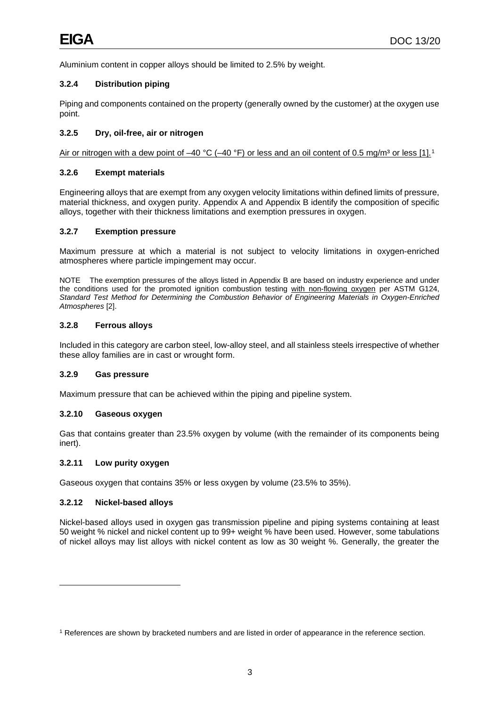Aluminium content in copper alloys should be limited to 2.5% by weight.

# **3.2.4 Distribution piping**

Piping and components contained on the property (generally owned by the customer) at the oxygen use point.

# **3.2.5 Dry, oil-free, air or nitrogen**

Air or nitrogen with a dew point of –40 °C (–40 °F) or less and an oil content of 0.5 mg/m<sup>3</sup> or less [[1](#page-6-0)].<sup>1</sup>

#### **3.2.6 Exempt materials**

Engineering alloys that are exempt from any oxygen velocity limitations within defined limits of pressure, material thickness, and oxygen purity. Appendix A and Appendix B identify the composition of specific alloys, together with their thickness limitations and exemption pressures in oxygen.

#### **3.2.7 Exemption pressure**

Maximum pressure at which a material is not subject to velocity limitations in oxygen-enriched atmospheres where particle impingement may occur.

NOTE The exemption pressures of the alloys listed in Appendix B are based on industry experience and under the conditions used for the promoted ignition combustion testing with non-flowing oxygen per ASTM G124, *Standard Test Method for Determining the Combustion Behavior of Engineering Materials in Oxygen-Enriched Atmospheres* [2].

#### **3.2.8 Ferrous alloys**

Included in this category are carbon steel, low-alloy steel, and all stainless steels irrespective of whether these alloy families are in cast or wrought form.

#### **3.2.9 Gas pressure**

Maximum pressure that can be achieved within the piping and pipeline system.

#### **3.2.10 Gaseous oxygen**

Gas that contains greater than 23.5% oxygen by volume (with the remainder of its components being inert).

#### **3.2.11 Low purity oxygen**

Gaseous oxygen that contains 35% or less oxygen by volume (23.5% to 35%).

#### **3.2.12 Nickel-based alloys**

Nickel-based alloys used in oxygen gas transmission pipeline and piping systems containing at least 50 weight % nickel and nickel content up to 99+ weight % have been used. However, some tabulations of nickel alloys may list alloys with nickel content as low as 30 weight %. Generally, the greater the

<span id="page-6-0"></span><sup>1</sup> References are shown by bracketed numbers and are listed in order of appearance in the reference section.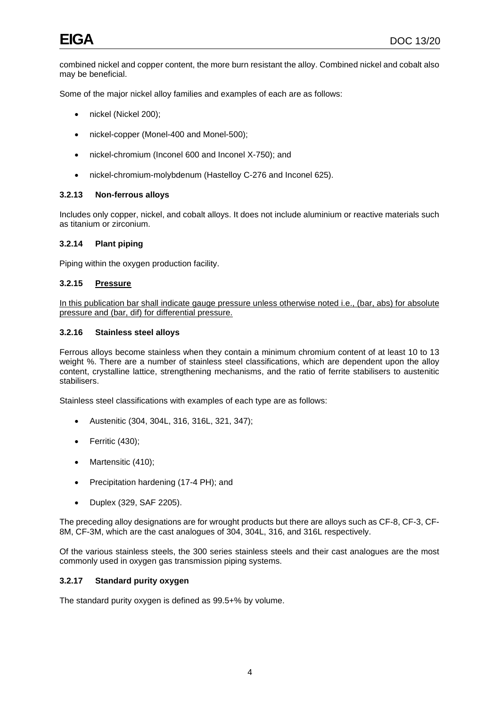combined nickel and copper content, the more burn resistant the alloy. Combined nickel and cobalt also may be beneficial.

Some of the major nickel alloy families and examples of each are as follows:

- nickel (Nickel 200);
- nickel-copper (Monel-400 and Monel-500);
- nickel-chromium (Inconel 600 and Inconel X-750); and
- nickel-chromium-molybdenum (Hastelloy C-276 and Inconel 625).

#### **3.2.13 Non-ferrous alloys**

Includes only copper, nickel, and cobalt alloys. It does not include aluminium or reactive materials such as titanium or zirconium.

# **3.2.14 Plant piping**

Piping within the oxygen production facility.

#### **3.2.15 Pressure**

In this publication bar shall indicate gauge pressure unless otherwise noted i.e., (bar, abs) for absolute pressure and (bar, dif) for differential pressure.

#### **3.2.16 Stainless steel alloys**

Ferrous alloys become stainless when they contain a minimum chromium content of at least 10 to 13 weight %. There are a number of stainless steel classifications, which are dependent upon the alloy content, crystalline lattice, strengthening mechanisms, and the ratio of ferrite stabilisers to austenitic stabilisers.

Stainless steel classifications with examples of each type are as follows:

- Austenitic (304, 304L, 316, 316L, 321, 347);
- Ferritic (430);
- Martensitic (410);
- Precipitation hardening (17-4 PH); and
- Duplex (329, SAF 2205).

The preceding alloy designations are for wrought products but there are alloys such as CF-8, CF-3, CF-8M, CF-3M, which are the cast analogues of 304, 304L, 316, and 316L respectively.

Of the various stainless steels, the 300 series stainless steels and their cast analogues are the most commonly used in oxygen gas transmission piping systems.

# **3.2.17 Standard purity oxygen**

The standard purity oxygen is defined as 99.5+% by volume.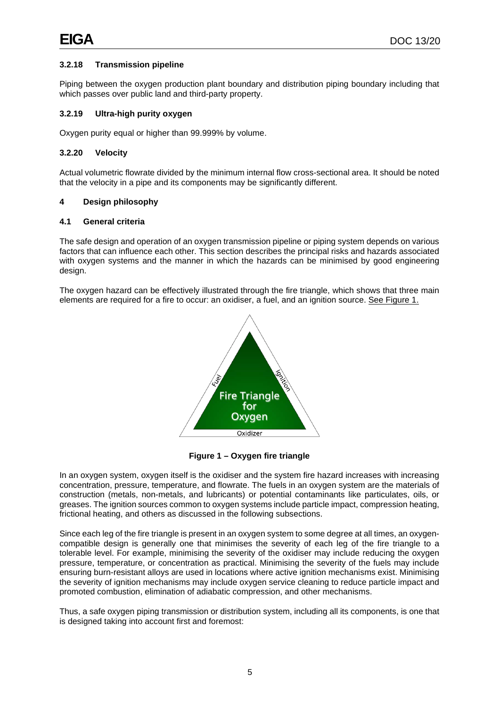# **3.2.18 Transmission pipeline**

Piping between the oxygen production plant boundary and distribution piping boundary including that which passes over public land and third-party property.

#### **3.2.19 Ultra-high purity oxygen**

Oxygen purity equal or higher than 99.999% by volume.

#### **3.2.20 Velocity**

Actual volumetric flowrate divided by the minimum internal flow cross-sectional area. It should be noted that the velocity in a pipe and its components may be significantly different.

#### <span id="page-8-0"></span>**4 Design philosophy**

#### <span id="page-8-1"></span>**4.1 General criteria**

The safe design and operation of an oxygen transmission pipeline or piping system depends on various factors that can influence each other. This section describes the principal risks and hazards associated with oxygen systems and the manner in which the hazards can be minimised by good engineering design.

The oxygen hazard can be effectively illustrated through the fire triangle, which shows that three main elements are required for a fire to occur: an oxidiser, a fuel, and an ignition source. See Figure 1.



**Figure 1 – Oxygen fire triangle**

<span id="page-8-2"></span>In an oxygen system, oxygen itself is the oxidiser and the system fire hazard increases with increasing concentration, pressure, temperature, and flowrate. The fuels in an oxygen system are the materials of construction (metals, non-metals, and lubricants) or potential contaminants like particulates, oils, or greases. The ignition sources common to oxygen systems include particle impact, compression heating, frictional heating, and others as discussed in the following subsections.

Since each leg of the fire triangle is present in an oxygen system to some degree at all times, an oxygencompatible design is generally one that minimises the severity of each leg of the fire triangle to a tolerable level. For example, minimising the severity of the oxidiser may include reducing the oxygen pressure, temperature, or concentration as practical. Minimising the severity of the fuels may include ensuring burn-resistant alloys are used in locations where active ignition mechanisms exist. Minimising the severity of ignition mechanisms may include oxygen service cleaning to reduce particle impact and promoted combustion, elimination of adiabatic compression, and other mechanisms.

Thus, a safe oxygen piping transmission or distribution system, including all its components, is one that is designed taking into account first and foremost: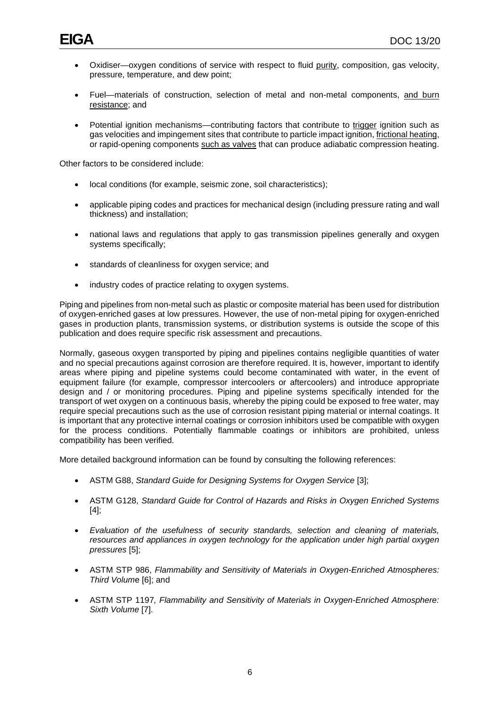- Oxidiser—oxygen conditions of service with respect to fluid purity, composition, gas velocity, pressure, temperature, and dew point;
- Fuel—materials of construction, selection of metal and non-metal components, and burn resistance; and
- Potential ignition mechanisms—contributing factors that contribute to trigger ignition such as gas velocities and impingement sites that contribute to particle impact ignition, frictional heating, or rapid-opening components such as valves that can produce adiabatic compression heating.

Other factors to be considered include:

- local conditions (for example, seismic zone, soil characteristics);
- applicable piping codes and practices for mechanical design (including pressure rating and wall thickness) and installation;
- national laws and regulations that apply to gas transmission pipelines generally and oxygen systems specifically;
- standards of cleanliness for oxygen service; and
- industry codes of practice relating to oxygen systems.

Piping and pipelines from non-metal such as plastic or composite material has been used for distribution of oxygen-enriched gases at low pressures. However, the use of non-metal piping for oxygen-enriched gases in production plants, transmission systems, or distribution systems is outside the scope of this publication and does require specific risk assessment and precautions.

Normally, gaseous oxygen transported by piping and pipelines contains negligible quantities of water and no special precautions against corrosion are therefore required. It is, however, important to identify areas where piping and pipeline systems could become contaminated with water, in the event of equipment failure (for example, compressor intercoolers or aftercoolers) and introduce appropriate design and / or monitoring procedures. Piping and pipeline systems specifically intended for the transport of wet oxygen on a continuous basis, whereby the piping could be exposed to free water, may require special precautions such as the use of corrosion resistant piping material or internal coatings. It is important that any protective internal coatings or corrosion inhibitors used be compatible with oxygen for the process conditions. Potentially flammable coatings or inhibitors are prohibited, unless compatibility has been verified.

More detailed background information can be found by consulting the following references:

- ASTM G88, *Standard Guide for Designing Systems for Oxygen Service* [3];
- ASTM G128, *Standard Guide for Control of Hazards and Risks in Oxygen Enriched Systems* [4];
- *Evaluation of the usefulness of security standards, selection and cleaning of materials, resources and appliances in oxygen technology for the application under high partial oxygen pressures* [5];
- ASTM STP 986, *Flammability and Sensitivity of Materials in Oxygen-Enriched Atmospheres: Third Volum*e [6]; and
- ASTM STP 1197*, Flammability and Sensitivity of Materials in Oxygen-Enriched Atmosphere: Sixth Volume* [7].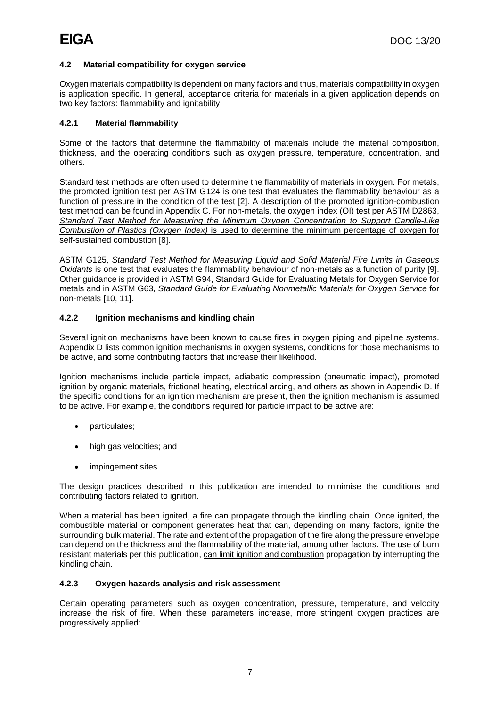# <span id="page-10-0"></span>**4.2 Material compatibility for oxygen service**

Oxygen materials compatibility is dependent on many factors and thus, materials compatibility in oxygen is application specific. In general, acceptance criteria for materials in a given application depends on two key factors: flammability and ignitability.

# **4.2.1 Material flammability**

Some of the factors that determine the flammability of materials include the material composition, thickness, and the operating conditions such as oxygen pressure, temperature, concentration, and others.

Standard test methods are often used to determine the flammability of materials in oxygen. For metals, the promoted ignition test per ASTM G124 is one test that evaluates the flammability behaviour as a function of pressure in the condition of the test [2]. A description of the promoted ignition-combustion test method can be found in Appendix C. For non-metals, the oxygen index (OI) test per ASTM D2863, *Standard Test Method for Measuring the Minimum Oxygen Concentration to Support Candle-Like Combustion of Plastics (Oxygen Index)* is used to determine the minimum percentage of oxygen for self-sustained combustion [8].

ASTM G125, *Standard Test Method for Measuring Liquid and Solid Material Fire Limits in Gaseous Oxidants* is one test that evaluates the flammability behaviour of non-metals as a function of purity [9]. Other guidance is provided in ASTM G94, Standard Guide for Evaluating Metals for Oxygen Service for metals and in ASTM G63*, Standard Guide for Evaluating Nonmetallic Materials for Oxygen Service* for non-metals [10, 11].

# **4.2.2 Ignition mechanisms and kindling chain**

Several ignition mechanisms have been known to cause fires in oxygen piping and pipeline systems. Appendix D lists common ignition mechanisms in oxygen systems, conditions for those mechanisms to be active, and some contributing factors that increase their likelihood.

Ignition mechanisms include particle impact, adiabatic compression (pneumatic impact), promoted ignition by organic materials, frictional heating, electrical arcing, and others as shown in Appendix D. If the specific conditions for an ignition mechanism are present, then the ignition mechanism is assumed to be active. For example, the conditions required for particle impact to be active are:

- particulates;
- high gas velocities; and
- impingement sites.

The design practices described in this publication are intended to minimise the conditions and contributing factors related to ignition.

When a material has been ignited, a fire can propagate through the kindling chain. Once ignited, the combustible material or component generates heat that can, depending on many factors, ignite the surrounding bulk material. The rate and extent of the propagation of the fire along the pressure envelope can depend on the thickness and the flammability of the material, among other factors. The use of burn resistant materials per this publication, can limit ignition and combustion propagation by interrupting the kindling chain.

# **4.2.3 Oxygen hazards analysis and risk assessment**

Certain operating parameters such as oxygen concentration, pressure, temperature, and velocity increase the risk of fire. When these parameters increase, more stringent oxygen practices are progressively applied: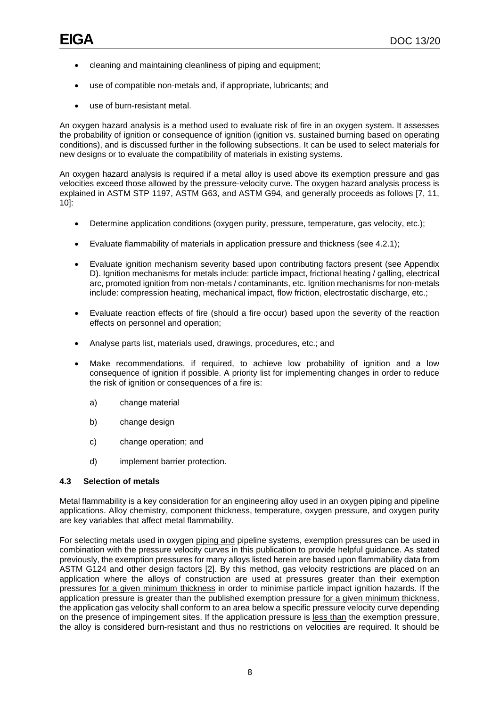- cleaning and maintaining cleanliness of piping and equipment;
- use of compatible non-metals and, if appropriate, lubricants; and
- use of burn-resistant metal.

An oxygen hazard analysis is a method used to evaluate risk of fire in an oxygen system. It assesses the probability of ignition or consequence of ignition (ignition vs. sustained burning based on operating conditions), and is discussed further in the following subsections. It can be used to select materials for new designs or to evaluate the compatibility of materials in existing systems.

An oxygen hazard analysis is required if a metal alloy is used above its exemption pressure and gas velocities exceed those allowed by the pressure-velocity curve. The oxygen hazard analysis process is explained in ASTM STP 1197, ASTM G63, and ASTM G94, and generally proceeds as follows [7, 11, 10]:

- Determine application conditions (oxygen purity, pressure, temperature, gas velocity, etc.);
- Evaluate flammability of materials in application pressure and thickness (see 4.2.1);
- Evaluate ignition mechanism severity based upon contributing factors present (see Appendix D). Ignition mechanisms for metals include: particle impact, frictional heating / galling, electrical arc, promoted ignition from non-metals / contaminants, etc. Ignition mechanisms for non-metals include: compression heating, mechanical impact, flow friction, electrostatic discharge, etc.;
- Evaluate reaction effects of fire (should a fire occur) based upon the severity of the reaction effects on personnel and operation;
- Analyse parts list, materials used, drawings, procedures, etc.; and
- Make recommendations, if required, to achieve low probability of ignition and a low consequence of ignition if possible. A priority list for implementing changes in order to reduce the risk of ignition or consequences of a fire is:
	- a) change material
	- b) change design
	- c) change operation; and
	- d) implement barrier protection.

#### <span id="page-11-0"></span>**4.3 Selection of metals**

Metal flammability is a key consideration for an engineering alloy used in an oxygen piping and pipeline applications. Alloy chemistry, component thickness, temperature, oxygen pressure, and oxygen purity are key variables that affect metal flammability.

For selecting metals used in oxygen piping and pipeline systems, exemption pressures can be used in combination with the pressure velocity curves in this publication to provide helpful guidance. As stated previously, the exemption pressures for many alloys listed herein are based upon flammability data from ASTM G124 and other design factors [2]. By this method, gas velocity restrictions are placed on an application where the alloys of construction are used at pressures greater than their exemption pressures for a given minimum thickness in order to minimise particle impact ignition hazards. If the application pressure is greater than the published exemption pressure for a given minimum thickness, the application gas velocity shall conform to an area below a specific pressure velocity curve depending on the presence of impingement sites. If the application pressure is less than the exemption pressure, the alloy is considered burn-resistant and thus no restrictions on velocities are required. It should be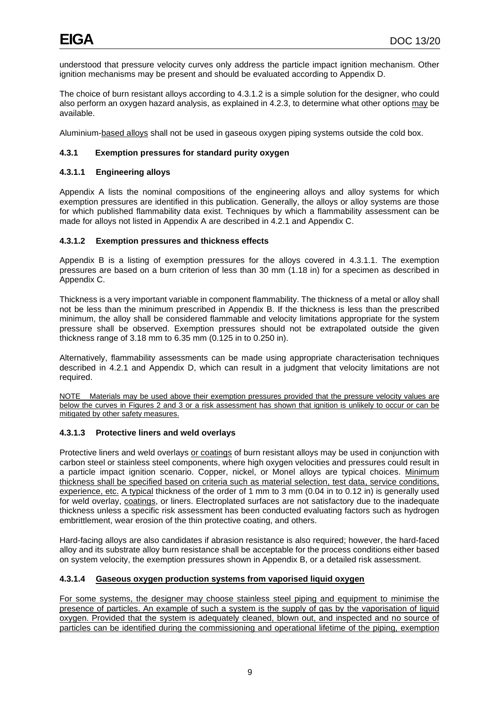understood that pressure velocity curves only address the particle impact ignition mechanism. Other ignition mechanisms may be present and should be evaluated according to Appendix D.

The choice of burn resistant alloys according to 4.3.1.2 is a simple solution for the designer, who could also perform an oxygen hazard analysis, as explained in 4.2.3, to determine what other options may be available.

Aluminium-based alloys shall not be used in gaseous oxygen piping systems outside the cold box.

# **4.3.1 Exemption pressures for standard purity oxygen**

# **4.3.1.1 Engineering alloys**

Appendix A lists the nominal compositions of the engineering alloys and alloy systems for which exemption pressures are identified in this publication. Generally, the alloys or alloy systems are those for which published flammability data exist. Techniques by which a flammability assessment can be made for alloys not listed in Appendix A are described in 4.2.1 and Appendix C.

#### **4.3.1.2 Exemption pressures and thickness effects**

Appendix B is a listing of exemption pressures for the alloys covered in 4.3.1.1. The exemption pressures are based on a burn criterion of less than 30 mm (1.18 in) for a specimen as described in Appendix C.

Thickness is a very important variable in component flammability. The thickness of a metal or alloy shall not be less than the minimum prescribed in Appendix B. If the thickness is less than the prescribed minimum, the alloy shall be considered flammable and velocity limitations appropriate for the system pressure shall be observed. Exemption pressures should not be extrapolated outside the given thickness range of 3.18 mm to 6.35 mm (0.125 in to 0.250 in).

Alternatively, flammability assessments can be made using appropriate characterisation techniques described in 4.2.1 and Appendix D, which can result in a judgment that velocity limitations are not required.

NOTE Materials may be used above their exemption pressures provided that the pressure velocity values are below the curves in Figures 2 and 3 or a risk assessment has shown that ignition is unlikely to occur or can be mitigated by other safety measures.

# **4.3.1.3 Protective liners and weld overlays**

Protective liners and weld overlays or coatings of burn resistant alloys may be used in conjunction with carbon steel or stainless steel components, where high oxygen velocities and pressures could result in a particle impact ignition scenario. Copper, nickel, or Monel alloys are typical choices. Minimum thickness shall be specified based on criteria such as material selection, test data, service conditions, experience, etc. A typical thickness of the order of 1 mm to 3 mm (0.04 in to 0.12 in) is generally used for weld overlay, coatings, or liners. Electroplated surfaces are not satisfactory due to the inadequate thickness unless a specific risk assessment has been conducted evaluating factors such as hydrogen embrittlement, wear erosion of the thin protective coating, and others.

Hard-facing alloys are also candidates if abrasion resistance is also required; however, the hard-faced alloy and its substrate alloy burn resistance shall be acceptable for the process conditions either based on system velocity, the exemption pressures shown in Appendix B, or a detailed risk assessment.

# **4.3.1.4 Gaseous oxygen production systems from vaporised liquid oxygen**

For some systems, the designer may choose stainless steel piping and equipment to minimise the presence of particles. An example of such a system is the supply of gas by the vaporisation of liquid oxygen. Provided that the system is adequately cleaned, blown out, and inspected and no source of particles can be identified during the commissioning and operational lifetime of the piping, exemption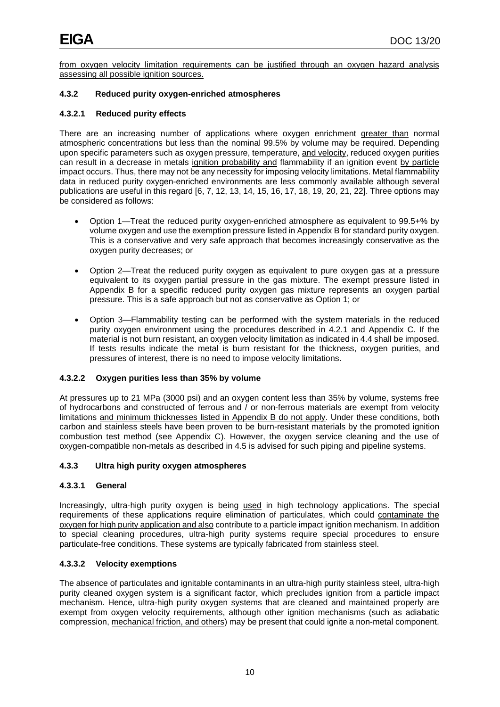from oxygen velocity limitation requirements can be justified through an oxygen hazard analysis assessing all possible ignition sources.

# **4.3.2 Reduced purity oxygen-enriched atmospheres**

# **4.3.2.1 Reduced purity effects**

There are an increasing number of applications where oxygen enrichment greater than normal atmospheric concentrations but less than the nominal 99.5% by volume may be required. Depending upon specific parameters such as oxygen pressure, temperature, and velocity, reduced oxygen purities can result in a decrease in metals ignition probability and flammability if an ignition event by particle impact occurs. Thus, there may not be any necessity for imposing velocity limitations. Metal flammability data in reduced purity oxygen-enriched environments are less commonly available although several publications are useful in this regard [6, 7, 12, 13, 14, 15, 16, 17, 18, 19, 20, 21, 22]. Three options may be considered as follows:

- Option 1—Treat the reduced purity oxygen-enriched atmosphere as equivalent to 99.5+% by volume oxygen and use the exemption pressure listed in Appendix B for standard purity oxygen. This is a conservative and very safe approach that becomes increasingly conservative as the oxygen purity decreases; or
- Option 2—Treat the reduced purity oxygen as equivalent to pure oxygen gas at a pressure equivalent to its oxygen partial pressure in the gas mixture. The exempt pressure listed in Appendix B for a specific reduced purity oxygen gas mixture represents an oxygen partial pressure. This is a safe approach but not as conservative as Option 1; or
- Option 3—Flammability testing can be performed with the system materials in the reduced purity oxygen environment using the procedures described in 4.2.1 and Appendix C. If the material is not burn resistant, an oxygen velocity limitation as indicated in 4.4 shall be imposed. If tests results indicate the metal is burn resistant for the thickness, oxygen purities, and pressures of interest, there is no need to impose velocity limitations.

# **4.3.2.2 Oxygen purities less than 35% by volume**

At pressures up to 21 MPa (3000 psi) and an oxygen content less than 35% by volume, systems free of hydrocarbons and constructed of ferrous and / or non-ferrous materials are exempt from velocity limitations and minimum thicknesses listed in Appendix B do not apply. Under these conditions, both carbon and stainless steels have been proven to be burn-resistant materials by the promoted ignition combustion test method (see Appendix C). However, the oxygen service cleaning and the use of oxygen-compatible non-metals as described in 4.5 is advised for such piping and pipeline systems.

# **4.3.3 Ultra high purity oxygen atmospheres**

# **4.3.3.1 General**

Increasingly, ultra-high purity oxygen is being used in high technology applications. The special requirements of these applications require elimination of particulates, which could contaminate the oxygen for high purity application and also contribute to a particle impact ignition mechanism. In addition to special cleaning procedures, ultra-high purity systems require special procedures to ensure particulate-free conditions. These systems are typically fabricated from stainless steel.

# **4.3.3.2 Velocity exemptions**

The absence of particulates and ignitable contaminants in an ultra-high purity stainless steel, ultra-high purity cleaned oxygen system is a significant factor, which precludes ignition from a particle impact mechanism. Hence, ultra-high purity oxygen systems that are cleaned and maintained properly are exempt from oxygen velocity requirements, although other ignition mechanisms (such as adiabatic compression, mechanical friction, and others) may be present that could ignite a non-metal component.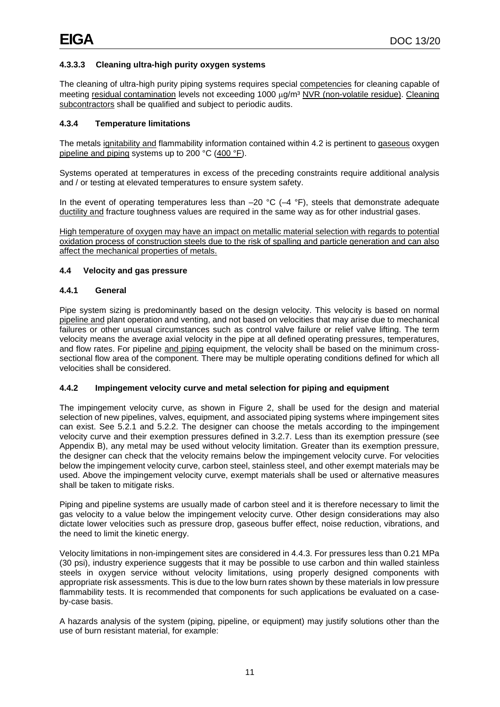# **4.3.3.3 Cleaning ultra-high purity oxygen systems**

The cleaning of ultra-high purity piping systems requires special competencies for cleaning capable of meeting residual contamination levels not exceeding 1000 μg/m<sup>3</sup> NVR (non-volatile residue). Cleaning subcontractors shall be qualified and subject to periodic audits.

# **4.3.4 Temperature limitations**

The metals ignitability and flammability information contained within 4.2 is pertinent to gaseous oxygen pipeline and piping systems up to 200 °C (400 °F).

Systems operated at temperatures in excess of the preceding constraints require additional analysis and / or testing at elevated temperatures to ensure system safety.

In the event of operating temperatures less than  $-20$  °C ( $-4$  °F), steels that demonstrate adequate ductility and fracture toughness values are required in the same way as for other industrial gases.

High temperature of oxygen may have an impact on metallic material selection with regards to potential oxidation process of construction steels due to the risk of spalling and particle generation and can also affect the mechanical properties of metals.

# <span id="page-14-0"></span>**4.4 Velocity and gas pressure**

#### **4.4.1 General**

Pipe system sizing is predominantly based on the design velocity. This velocity is based on normal pipeline and plant operation and venting, and not based on velocities that may arise due to mechanical failures or other unusual circumstances such as control valve failure or relief valve lifting. The term velocity means the average axial velocity in the pipe at all defined operating pressures, temperatures, and flow rates. For pipeline and piping equipment, the velocity shall be based on the minimum crosssectional flow area of the component. There may be multiple operating conditions defined for which all velocities shall be considered.

# **4.4.2 Impingement velocity curve and metal selection for piping and equipment**

The impingement velocity curve, as shown in Figure 2, shall be used for the design and material selection of new pipelines, valves, equipment, and associated piping systems where impingement sites can exist. See 5.2.1 and 5.2.2. The designer can choose the metals according to the impingement velocity curve and their exemption pressures defined in 3.2.7. Less than its exemption pressure (see Appendix B), any metal may be used without velocity limitation. Greater than its exemption pressure, the designer can check that the velocity remains below the impingement velocity curve. For velocities below the impingement velocity curve, carbon steel, stainless steel, and other exempt materials may be used. Above the impingement velocity curve, exempt materials shall be used or alternative measures shall be taken to mitigate risks.

Piping and pipeline systems are usually made of carbon steel and it is therefore necessary to limit the gas velocity to a value below the impingement velocity curve. Other design considerations may also dictate lower velocities such as pressure drop, gaseous buffer effect, noise reduction, vibrations, and the need to limit the kinetic energy.

Velocity limitations in non-impingement sites are considered in 4.4.3. For pressures less than 0.21 MPa (30 psi), industry experience suggests that it may be possible to use carbon and thin walled stainless steels in oxygen service without velocity limitations, using properly designed components with appropriate risk assessments. This is due to the low burn rates shown by these materials in low pressure flammability tests. It is recommended that components for such applications be evaluated on a caseby-case basis.

A hazards analysis of the system (piping, pipeline, or equipment) may justify solutions other than the use of burn resistant material, for example: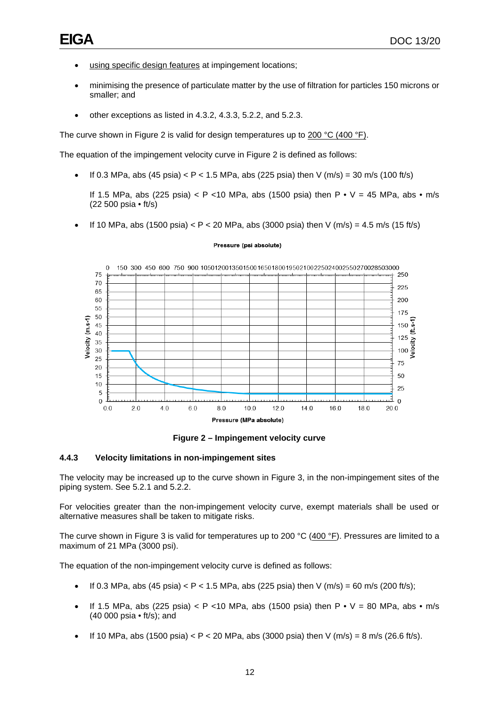- using specific design features at impingement locations;
- minimising the presence of particulate matter by the use of filtration for particles 150 microns or smaller; and
- other exceptions as listed in 4.3.2, 4.3.3, 5.2.2, and 5.2.3.

The curve shown in Figure 2 is valid for design temperatures up to 200 °C (400 °F).

The equation of the impingement velocity curve in Figure 2 is defined as follows:

• If 0.3 MPa, abs (45 psia) < P < 1.5 MPa, abs (225 psia) then V (m/s) = 30 m/s (100 ft/s)

If 1.5 MPa, abs (225 psia)  $\lt P \lt 10$  MPa, abs (1500 psia) then  $P \cdot V = 45$  MPa, abs  $\cdot$  m/s (22 500 psia • ft/s)

If 10 MPa, abs (1500 psia)  $P < 20$  MPa, abs (3000 psia) then V (m/s) = 4.5 m/s (15 ft/s)

#### Pressure (psi absolute)



**Figure 2 – Impingement velocity curve**

#### <span id="page-15-0"></span>**4.4.3 Velocity limitations in non-impingement sites**

The velocity may be increased up to the curve shown in Figure 3, in the non-impingement sites of the piping system. See 5.2.1 and 5.2.2.

For velocities greater than the non-impingement velocity curve, exempt materials shall be used or alternative measures shall be taken to mitigate risks.

The curve shown in Figure 3 is valid for temperatures up to 200 °C ( $400$  °F). Pressures are limited to a maximum of 21 MPa (3000 psi).

The equation of the non-impingement velocity curve is defined as follows:

- If 0.3 MPa, abs (45 psia)  $\lt P \lt 1.5$  MPa, abs (225 psia) then V (m/s) = 60 m/s (200 ft/s);
- If 1.5 MPa, abs (225 psia)  $\lt P \lt 10$  MPa, abs (1500 psia) then  $P \cdot V = 80$  MPa, abs  $\cdot$  m/s (40 000 psia • ft/s); and
- If 10 MPa, abs (1500 psia)  $\lt P \lt 20$  MPa, abs (3000 psia) then V (m/s) = 8 m/s (26.6 ft/s).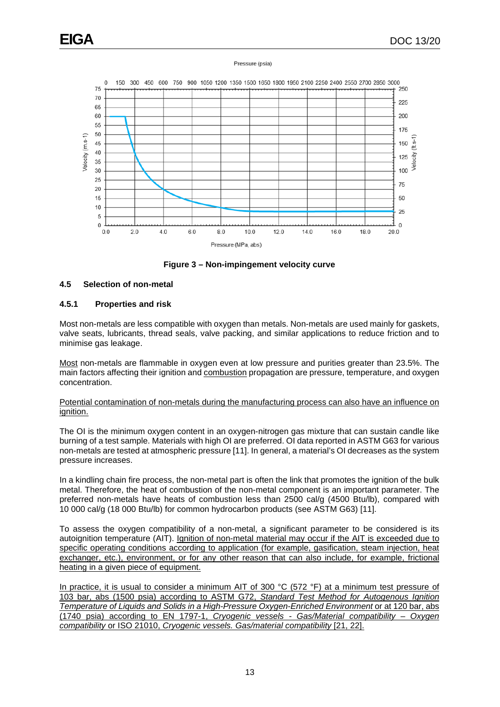#### Pressure (psia)



**Figure 3 – Non-impingement velocity curve**

# <span id="page-16-1"></span><span id="page-16-0"></span>**4.5 Selection of non-metal**

#### **4.5.1 Properties and risk**

Most non-metals are less compatible with oxygen than metals. Non-metals are used mainly for gaskets, valve seats, lubricants, thread seals, valve packing, and similar applications to reduce friction and to minimise gas leakage.

Most non-metals are flammable in oxygen even at low pressure and purities greater than 23.5%. The main factors affecting their ignition and combustion propagation are pressure, temperature, and oxygen concentration.

#### Potential contamination of non-metals during the manufacturing process can also have an influence on ignition.

The OI is the minimum oxygen content in an oxygen-nitrogen gas mixture that can sustain candle like burning of a test sample. Materials with high OI are preferred. OI data reported in ASTM G63 for various non-metals are tested at atmospheric pressure [11]. In general, a material's OI decreases as the system pressure increases.

In a kindling chain fire process, the non-metal part is often the link that promotes the ignition of the bulk metal. Therefore, the heat of combustion of the non-metal component is an important parameter. The preferred non-metals have heats of combustion less than 2500 cal/g (4500 Btu/lb), compared with 10 000 cal/g (18 000 Btu/lb) for common hydrocarbon products (see ASTM G63) [11].

To assess the oxygen compatibility of a non-metal, a significant parameter to be considered is its autoignition temperature (AIT). Ignition of non-metal material may occur if the AIT is exceeded due to specific operating conditions according to application (for example, gasification, steam injection, heat exchanger, etc.), environment, or for any other reason that can also include, for example, frictional heating in a given piece of equipment.

In practice, it is usual to consider a minimum AIT of 300 °C (572 °F) at a minimum test pressure of 103 bar, abs (1500 psia) according to ASTM G72, *Standard Test Method for Autogenous Ignition Temperature of Liquids and Solids in a High-Pressure Oxygen-Enriched Environment* or at 120 bar, abs (1740 psia) according to EN 1797-1, *Cryogenic vessels - Gas/Material compatibility – Oxygen compatibility* or ISO 21010, *Cryogenic vessels. Gas/material compatibility* [21, 22].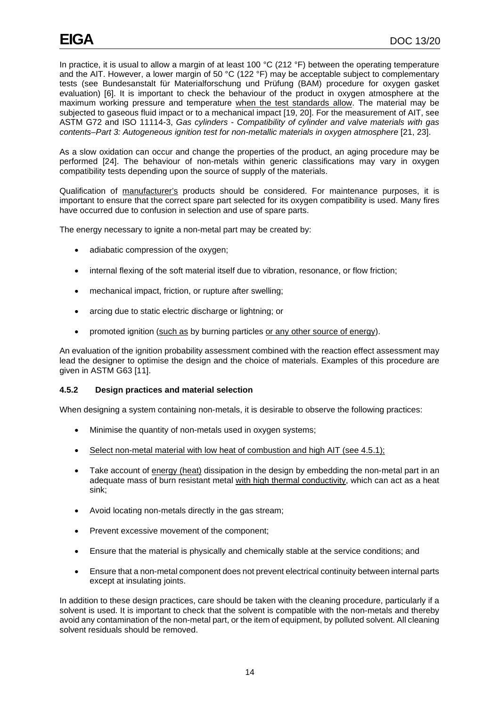In practice, it is usual to allow a margin of at least 100 °C (212 °F) between the operating temperature and the AIT. However, a lower margin of 50 °C (122 °F) may be acceptable subject to complementary tests (see Bundesanstalt für Materialforschung und Prüfung (BAM) procedure for oxygen gasket evaluation) [6]. It is important to check the behaviour of the product in oxygen atmosphere at the maximum working pressure and temperature when the test standards allow. The material may be subjected to gaseous fluid impact or to a mechanical impact [19, 20]. For the measurement of AIT, see ASTM G72 and ISO 11114-3, *Gas cylinders - Compatibility of cylinder and valve materials with gas contents–Part 3: Autogeneous ignition test for non-metallic materials in oxygen atmosphere* [21, 23].

As a slow oxidation can occur and change the properties of the product, an aging procedure may be performed [24]. The behaviour of non-metals within generic classifications may vary in oxygen compatibility tests depending upon the source of supply of the materials.

Qualification of manufacturer's products should be considered. For maintenance purposes, it is important to ensure that the correct spare part selected for its oxygen compatibility is used. Many fires have occurred due to confusion in selection and use of spare parts.

The energy necessary to ignite a non-metal part may be created by:

- adiabatic compression of the oxygen;
- internal flexing of the soft material itself due to vibration, resonance, or flow friction;
- mechanical impact, friction, or rupture after swelling;
- arcing due to static electric discharge or lightning; or
- promoted ignition (such as by burning particles or any other source of energy).

An evaluation of the ignition probability assessment combined with the reaction effect assessment may lead the designer to optimise the design and the choice of materials. Examples of this procedure are given in ASTM G63 [11].

#### **4.5.2 Design practices and material selection**

When designing a system containing non-metals, it is desirable to observe the following practices:

- Minimise the quantity of non-metals used in oxygen systems;
- Select non-metal material with low heat of combustion and high AIT (see 4.5.1);
- Take account of energy (heat) dissipation in the design by embedding the non-metal part in an adequate mass of burn resistant metal with high thermal conductivity, which can act as a heat sink;
- Avoid locating non-metals directly in the gas stream;
- Prevent excessive movement of the component;
- Ensure that the material is physically and chemically stable at the service conditions; and
- Ensure that a non-metal component does not prevent electrical continuity between internal parts except at insulating joints.

In addition to these design practices, care should be taken with the cleaning procedure, particularly if a solvent is used. It is important to check that the solvent is compatible with the non-metals and thereby avoid any contamination of the non-metal part, or the item of equipment, by polluted solvent. All cleaning solvent residuals should be removed.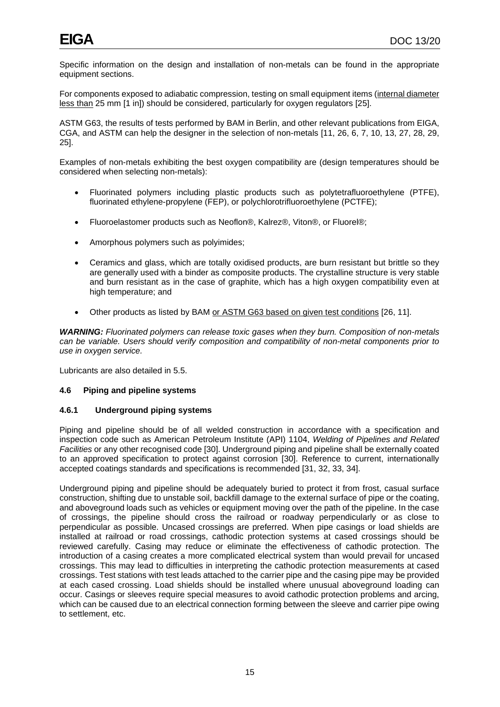Specific information on the design and installation of non-metals can be found in the appropriate equipment sections.

For components exposed to adiabatic compression, testing on small equipment items (internal diameter less than 25 mm [1 in]) should be considered, particularly for oxygen regulators [25].

ASTM G63, the results of tests performed by BAM in Berlin, and other relevant publications from EIGA, CGA, and ASTM can help the designer in the selection of non-metals [11, 26, 6, 7, 10, 13, 27, 28, 29, 25].

Examples of non-metals exhibiting the best oxygen compatibility are (design temperatures should be considered when selecting non-metals):

- Fluorinated polymers including plastic products such as polytetrafluoroethylene (PTFE), fluorinated ethylene-propylene (FEP), or polychlorotrifluoroethylene (PCTFE);
- Fluoroelastomer products such as Neoflon®, Kalrez®, Viton®, or Fluorel®;
- Amorphous polymers such as polyimides;
- Ceramics and glass, which are totally oxidised products, are burn resistant but brittle so they are generally used with a binder as composite products. The crystalline structure is very stable and burn resistant as in the case of graphite, which has a high oxygen compatibility even at high temperature; and
- Other products as listed by BAM or ASTM G63 based on given test conditions [26, 11].

*WARNING: Fluorinated polymers can release toxic gases when they burn. Composition of non-metals can be variable. Users should verify composition and compatibility of non-metal components prior to use in oxygen service.*

Lubricants are also detailed in 5.5.

#### <span id="page-18-0"></span>**4.6 Piping and pipeline systems**

#### **4.6.1 Underground piping systems**

Piping and pipeline should be of all welded construction in accordance with a specification and inspection code such as American Petroleum Institute (API) 1104, *Welding of Pipelines and Related Facilities* or any other recognised code [30]. Underground piping and pipeline shall be externally coated to an approved specification to protect against corrosion [30]. Reference to current, internationally accepted coatings standards and specifications is recommended [31, 32, 33, 34].

Underground piping and pipeline should be adequately buried to protect it from frost, casual surface construction, shifting due to unstable soil, backfill damage to the external surface of pipe or the coating, and aboveground loads such as vehicles or equipment moving over the path of the pipeline. In the case of crossings, the pipeline should cross the railroad or roadway perpendicularly or as close to perpendicular as possible. Uncased crossings are preferred. When pipe casings or load shields are installed at railroad or road crossings, cathodic protection systems at cased crossings should be reviewed carefully. Casing may reduce or eliminate the effectiveness of cathodic protection. The introduction of a casing creates a more complicated electrical system than would prevail for uncased crossings. This may lead to difficulties in interpreting the cathodic protection measurements at cased crossings. Test stations with test leads attached to the carrier pipe and the casing pipe may be provided at each cased crossing. Load shields should be installed where unusual aboveground loading can occur. Casings or sleeves require special measures to avoid cathodic protection problems and arcing, which can be caused due to an electrical connection forming between the sleeve and carrier pipe owing to settlement, etc.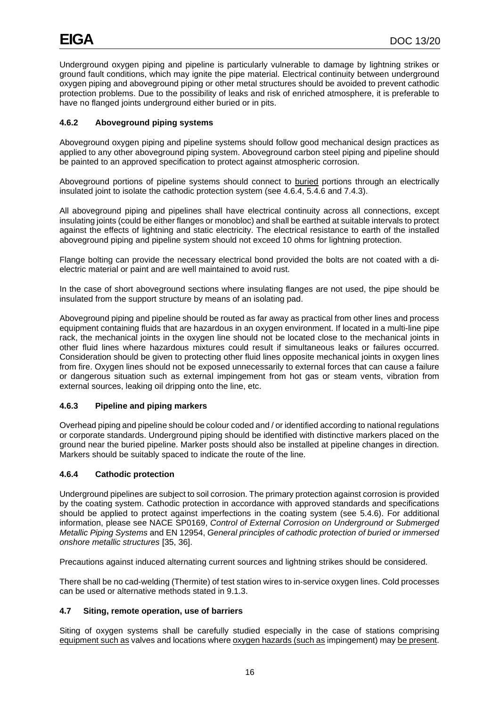Underground oxygen piping and pipeline is particularly vulnerable to damage by lightning strikes or ground fault conditions, which may ignite the pipe material. Electrical continuity between underground oxygen piping and aboveground piping or other metal structures should be avoided to prevent cathodic protection problems. Due to the possibility of leaks and risk of enriched atmosphere, it is preferable to have no flanged joints underground either buried or in pits.

# **4.6.2 Aboveground piping systems**

Aboveground oxygen piping and pipeline systems should follow good mechanical design practices as applied to any other aboveground piping system. Aboveground carbon steel piping and pipeline should be painted to an approved specification to protect against atmospheric corrosion.

Aboveground portions of pipeline systems should connect to buried portions through an electrically insulated joint to isolate the cathodic protection system (see 4.6.4, 5.4.6 and 7.4.3).

All aboveground piping and pipelines shall have electrical continuity across all connections, except insulating joints (could be either flanges or monobloc) and shall be earthed at suitable intervals to protect against the effects of lightning and static electricity. The electrical resistance to earth of the installed aboveground piping and pipeline system should not exceed 10 ohms for lightning protection.

Flange bolting can provide the necessary electrical bond provided the bolts are not coated with a dielectric material or paint and are well maintained to avoid rust.

In the case of short aboveground sections where insulating flanges are not used, the pipe should be insulated from the support structure by means of an isolating pad.

Aboveground piping and pipeline should be routed as far away as practical from other lines and process equipment containing fluids that are hazardous in an oxygen environment. If located in a multi-line pipe rack, the mechanical joints in the oxygen line should not be located close to the mechanical joints in other fluid lines where hazardous mixtures could result if simultaneous leaks or failures occurred. Consideration should be given to protecting other fluid lines opposite mechanical joints in oxygen lines from fire. Oxygen lines should not be exposed unnecessarily to external forces that can cause a failure or dangerous situation such as external impingement from hot gas or steam vents, vibration from external sources, leaking oil dripping onto the line, etc.

# **4.6.3 Pipeline and piping markers**

Overhead piping and pipeline should be colour coded and / or identified according to national regulations or corporate standards. Underground piping should be identified with distinctive markers placed on the ground near the buried pipeline. Marker posts should also be installed at pipeline changes in direction. Markers should be suitably spaced to indicate the route of the line.

# **4.6.4 Cathodic protection**

Underground pipelines are subject to soil corrosion. The primary protection against corrosion is provided by the coating system. Cathodic protection in accordance with approved standards and specifications should be applied to protect against imperfections in the coating system (see 5.4.6). For additional information, please see NACE SP0169, *Control of External Corrosion on Underground or Submerged Metallic Piping Systems* and EN 12954, *General principles of cathodic protection of buried or immersed onshore metallic structures* [35, 36].

Precautions against induced alternating current sources and lightning strikes should be considered.

There shall be no cad-welding (Thermite) of test station wires to in-service oxygen lines. Cold processes can be used or alternative methods stated in 9.1.3.

# <span id="page-19-0"></span>**4.7 Siting, remote operation, use of barriers**

Siting of oxygen systems shall be carefully studied especially in the case of stations comprising equipment such as valves and locations where oxygen hazards (such as impingement) may be present.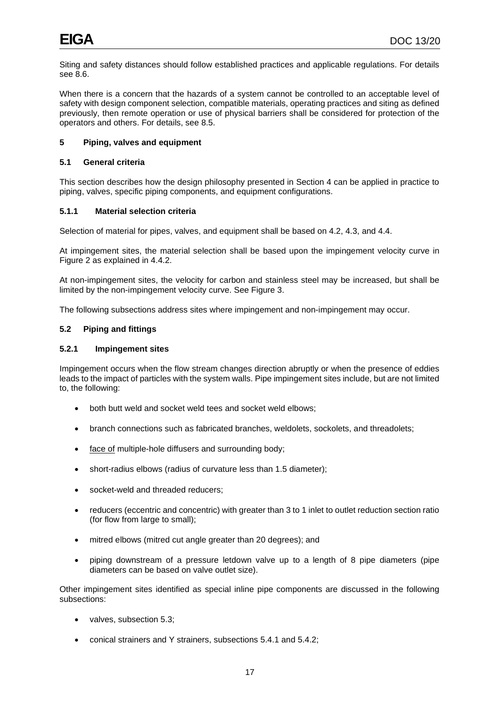Siting and safety distances should follow established practices and applicable regulations. For details see 8.6.

When there is a concern that the hazards of a system cannot be controlled to an acceptable level of safety with design component selection, compatible materials, operating practices and siting as defined previously, then remote operation or use of physical barriers shall be considered for protection of the operators and others. For details, see 8.5.

# <span id="page-20-0"></span>**5 Piping, valves and equipment**

# <span id="page-20-1"></span>**5.1 General criteria**

This section describes how the design philosophy presented in Section 4 can be applied in practice to piping, valves, specific piping components, and equipment configurations.

# **5.1.1 Material selection criteria**

Selection of material for pipes, valves, and equipment shall be based on 4.2, 4.3, and 4.4.

At impingement sites, the material selection shall be based upon the impingement velocity curve in Figure 2 as explained in 4.4.2.

At non-impingement sites, the velocity for carbon and stainless steel may be increased, but shall be limited by the non-impingement velocity curve. See Figure 3.

The following subsections address sites where impingement and non-impingement may occur.

#### <span id="page-20-2"></span>**5.2 Piping and fittings**

#### **5.2.1 Impingement sites**

Impingement occurs when the flow stream changes direction abruptly or when the presence of eddies leads to the impact of particles with the system walls. Pipe impingement sites include, but are not limited to, the following:

- both butt weld and socket weld tees and socket weld elbows;
- branch connections such as fabricated branches, weldolets, sockolets, and threadolets;
- face of multiple-hole diffusers and surrounding body;
- short-radius elbows (radius of curvature less than 1.5 diameter);
- socket-weld and threaded reducers;
- reducers (eccentric and concentric) with greater than 3 to 1 inlet to outlet reduction section ratio (for flow from large to small);
- mitred elbows (mitred cut angle greater than 20 degrees); and
- piping downstream of a pressure letdown valve up to a length of 8 pipe diameters (pipe diameters can be based on valve outlet size).

Other impingement sites identified as special inline pipe components are discussed in the following subsections:

- valves, subsection 5.3;
- conical strainers and Y strainers, subsections 5.4.1 and 5.4.2;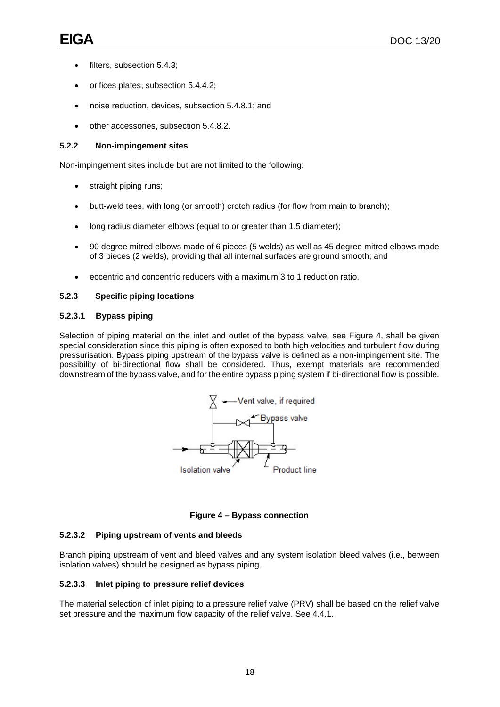- filters, subsection 5.4.3;
- orifices plates, subsection 5.4.4.2;
- noise reduction, devices, subsection 5.4.8.1; and
- other accessories, subsection 5.4.8.2.

# **5.2.2 Non-impingement sites**

Non-impingement sites include but are not limited to the following:

- straight piping runs;
- butt-weld tees, with long (or smooth) crotch radius (for flow from main to branch);
- long radius diameter elbows (equal to or greater than 1.5 diameter);
- 90 degree mitred elbows made of 6 pieces (5 welds) as well as 45 degree mitred elbows made of 3 pieces (2 welds), providing that all internal surfaces are ground smooth; and
- eccentric and concentric reducers with a maximum 3 to 1 reduction ratio.

# **5.2.3 Specific piping locations**

# **5.2.3.1 Bypass piping**

Selection of piping material on the inlet and outlet of the bypass valve, see Figure 4, shall be given special consideration since this piping is often exposed to both high velocities and turbulent flow during pressurisation. Bypass piping upstream of the bypass valve is defined as a non-impingement site. The possibility of bi-directional flow shall be considered. Thus, exempt materials are recommended downstream of the bypass valve, and for the entire bypass piping system if bi-directional flow is possible.



**Figure 4 – Bypass connection**

# <span id="page-21-0"></span>**5.2.3.2 Piping upstream of vents and bleeds**

Branch piping upstream of vent and bleed valves and any system isolation bleed valves (i.e., between isolation valves) should be designed as bypass piping.

# **5.2.3.3 Inlet piping to pressure relief devices**

The material selection of inlet piping to a pressure relief valve (PRV) shall be based on the relief valve set pressure and the maximum flow capacity of the relief valve. See 4.4.1.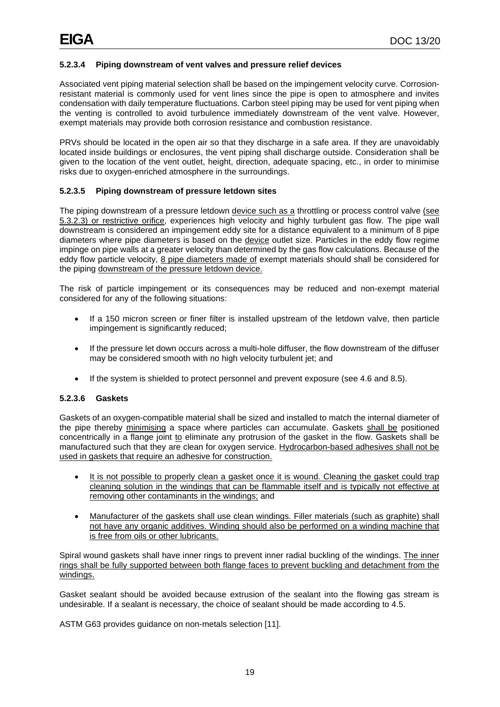# **5.2.3.4 Piping downstream of vent valves and pressure relief devices**

Associated vent piping material selection shall be based on the impingement velocity curve. Corrosionresistant material is commonly used for vent lines since the pipe is open to atmosphere and invites condensation with daily temperature fluctuations. Carbon steel piping may be used for vent piping when the venting is controlled to avoid turbulence immediately downstream of the vent valve. However, exempt materials may provide both corrosion resistance and combustion resistance.

PRVs should be located in the open air so that they discharge in a safe area. If they are unavoidably located inside buildings or enclosures, the vent piping shall discharge outside. Consideration shall be given to the location of the vent outlet, height, direction, adequate spacing, etc., in order to minimise risks due to oxygen-enriched atmosphere in the surroundings.

# **5.2.3.5 Piping downstream of pressure letdown sites**

The piping downstream of a pressure letdown device such as a throttling or process control valve (see 5.3.2.3) or restrictive orifice, experiences high velocity and highly turbulent gas flow. The pipe wall downstream is considered an impingement eddy site for a distance equivalent to a minimum of 8 pipe diameters where pipe diameters is based on the device outlet size. Particles in the eddy flow regime impinge on pipe walls at a greater velocity than determined by the gas flow calculations. Because of the eddy flow particle velocity, 8 pipe diameters made of exempt materials should shall be considered for the piping downstream of the pressure letdown device.

The risk of particle impingement or its consequences may be reduced and non-exempt material considered for any of the following situations:

- If a 150 micron screen or finer filter is installed upstream of the letdown valve, then particle impingement is significantly reduced;
- If the pressure let down occurs across a multi-hole diffuser, the flow downstream of the diffuser may be considered smooth with no high velocity turbulent jet; and
- If the system is shielded to protect personnel and prevent exposure (see 4.6 and 8.5).

#### **5.2.3.6 Gaskets**

Gaskets of an oxygen-compatible material shall be sized and installed to match the internal diameter of the pipe thereby minimising a space where particles can accumulate. Gaskets shall be positioned concentrically in a flange joint to eliminate any protrusion of the gasket in the flow. Gaskets shall be manufactured such that they are clean for oxygen service. Hydrocarbon-based adhesives shall not be used in gaskets that require an adhesive for construction.

- It is not possible to properly clean a gasket once it is wound. Cleaning the gasket could trap cleaning solution in the windings that can be flammable itself and is typically not effective at removing other contaminants in the windings; and
- Manufacturer of the gaskets shall use clean windings. Filler materials (such as graphite) shall not have any organic additives. Winding should also be performed on a winding machine that is free from oils or other lubricants.

Spiral wound gaskets shall have inner rings to prevent inner radial buckling of the windings. The inner rings shall be fully supported between both flange faces to prevent buckling and detachment from the windings.

Gasket sealant should be avoided because extrusion of the sealant into the flowing gas stream is undesirable. If a sealant is necessary, the choice of sealant should be made according to 4.5.

ASTM G63 provides guidance on non-metals selection [11].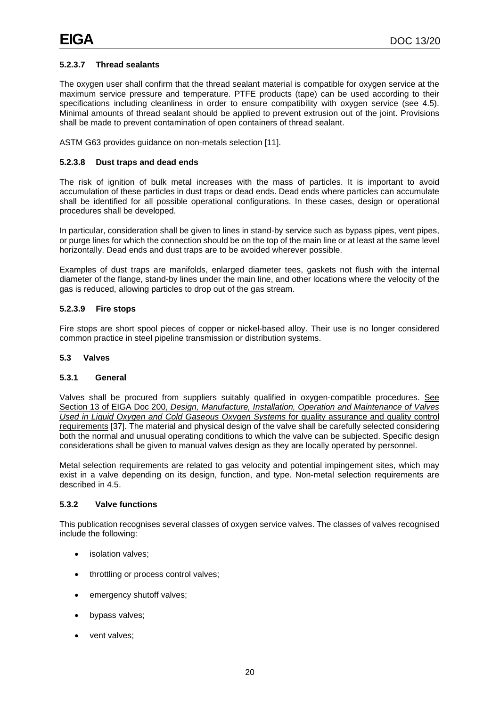# **5.2.3.7 Thread sealants**

The oxygen user shall confirm that the thread sealant material is compatible for oxygen service at the maximum service pressure and temperature. PTFE products (tape) can be used according to their specifications including cleanliness in order to ensure compatibility with oxygen service (see 4.5). Minimal amounts of thread sealant should be applied to prevent extrusion out of the joint. Provisions shall be made to prevent contamination of open containers of thread sealant.

ASTM G63 provides guidance on non-metals selection [11].

#### **5.2.3.8 Dust traps and dead ends**

The risk of ignition of bulk metal increases with the mass of particles. It is important to avoid accumulation of these particles in dust traps or dead ends. Dead ends where particles can accumulate shall be identified for all possible operational configurations. In these cases, design or operational procedures shall be developed.

In particular, consideration shall be given to lines in stand-by service such as bypass pipes, vent pipes, or purge lines for which the connection should be on the top of the main line or at least at the same level horizontally. Dead ends and dust traps are to be avoided wherever possible.

Examples of dust traps are manifolds, enlarged diameter tees, gaskets not flush with the internal diameter of the flange, stand-by lines under the main line, and other locations where the velocity of the gas is reduced, allowing particles to drop out of the gas stream.

#### **5.2.3.9 Fire stops**

Fire stops are short spool pieces of copper or nickel-based alloy. Their use is no longer considered common practice in steel pipeline transmission or distribution systems.

#### <span id="page-23-0"></span>**5.3 Valves**

#### **5.3.1 General**

Valves shall be procured from suppliers suitably qualified in oxygen-compatible procedures. See Section 13 of EIGA Doc 200, *Design, Manufacture, Installation, Operation and Maintenance of Valves Used in Liquid Oxygen and Cold Gaseous Oxygen Systems* for quality assurance and quality control requirements [37]. The material and physical design of the valve shall be carefully selected considering both the normal and unusual operating conditions to which the valve can be subjected. Specific design considerations shall be given to manual valves design as they are locally operated by personnel.

Metal selection requirements are related to gas velocity and potential impingement sites, which may exist in a valve depending on its design, function, and type. Non-metal selection requirements are described in 4.5.

#### **5.3.2 Valve functions**

This publication recognises several classes of oxygen service valves. The classes of valves recognised include the following:

- isolation valves:
- throttling or process control valves;
- emergency shutoff valves;
- bypass valves;
- vent valves;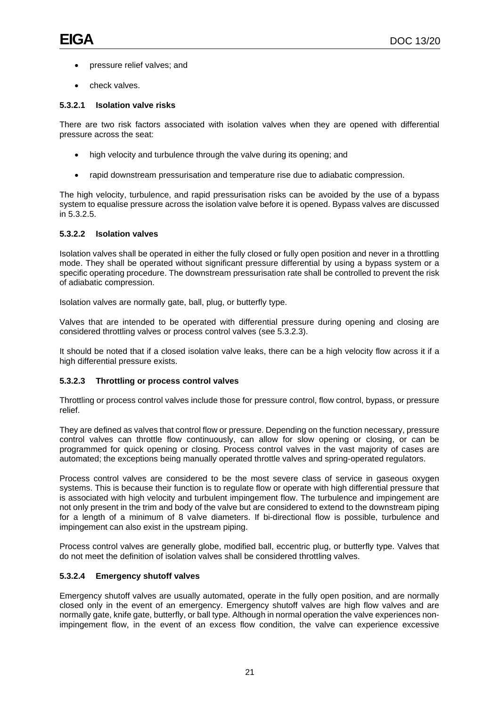- pressure relief valves; and
- check valves.

# **5.3.2.1 Isolation valve risks**

There are two risk factors associated with isolation valves when they are opened with differential pressure across the seat:

- high velocity and turbulence through the valve during its opening; and
- rapid downstream pressurisation and temperature rise due to adiabatic compression.

The high velocity, turbulence, and rapid pressurisation risks can be avoided by the use of a bypass system to equalise pressure across the isolation valve before it is opened. Bypass valves are discussed in 5.3.2.5.

# **5.3.2.2 Isolation valves**

Isolation valves shall be operated in either the fully closed or fully open position and never in a throttling mode. They shall be operated without significant pressure differential by using a bypass system or a specific operating procedure. The downstream pressurisation rate shall be controlled to prevent the risk of adiabatic compression.

Isolation valves are normally gate, ball, plug, or butterfly type.

Valves that are intended to be operated with differential pressure during opening and closing are considered throttling valves or process control valves (see 5.3.2.3).

It should be noted that if a closed isolation valve leaks, there can be a high velocity flow across it if a high differential pressure exists.

# **5.3.2.3 Throttling or process control valves**

Throttling or process control valves include those for pressure control, flow control, bypass, or pressure relief.

They are defined as valves that control flow or pressure. Depending on the function necessary, pressure control valves can throttle flow continuously, can allow for slow opening or closing, or can be programmed for quick opening or closing. Process control valves in the vast majority of cases are automated; the exceptions being manually operated throttle valves and spring-operated regulators.

Process control valves are considered to be the most severe class of service in gaseous oxygen systems. This is because their function is to regulate flow or operate with high differential pressure that is associated with high velocity and turbulent impingement flow. The turbulence and impingement are not only present in the trim and body of the valve but are considered to extend to the downstream piping for a length of a minimum of 8 valve diameters. If bi-directional flow is possible, turbulence and impingement can also exist in the upstream piping.

Process control valves are generally globe, modified ball, eccentric plug, or butterfly type. Valves that do not meet the definition of isolation valves shall be considered throttling valves.

# **5.3.2.4 Emergency shutoff valves**

Emergency shutoff valves are usually automated, operate in the fully open position, and are normally closed only in the event of an emergency. Emergency shutoff valves are high flow valves and are normally gate, knife gate, butterfly, or ball type. Although in normal operation the valve experiences nonimpingement flow, in the event of an excess flow condition, the valve can experience excessive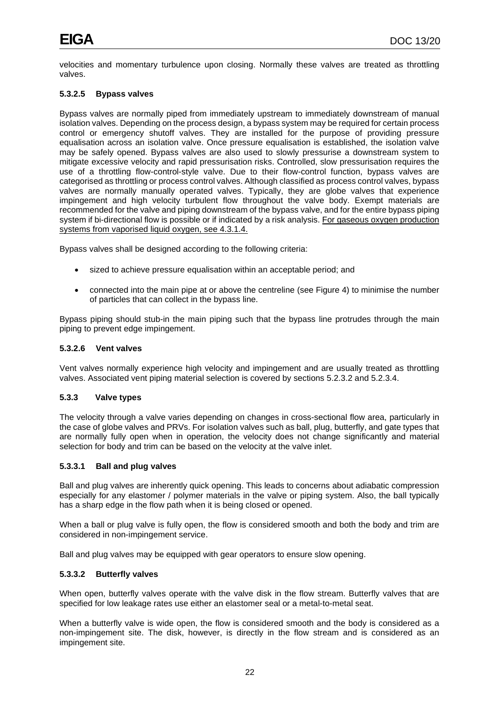velocities and momentary turbulence upon closing. Normally these valves are treated as throttling valves.

# **5.3.2.5 Bypass valves**

Bypass valves are normally piped from immediately upstream to immediately downstream of manual isolation valves. Depending on the process design, a bypass system may be required for certain process control or emergency shutoff valves. They are installed for the purpose of providing pressure equalisation across an isolation valve. Once pressure equalisation is established, the isolation valve may be safely opened. Bypass valves are also used to slowly pressurise a downstream system to mitigate excessive velocity and rapid pressurisation risks. Controlled, slow pressurisation requires the use of a throttling flow-control-style valve. Due to their flow-control function, bypass valves are categorised as throttling or process control valves. Although classified as process control valves, bypass valves are normally manually operated valves. Typically, they are globe valves that experience impingement and high velocity turbulent flow throughout the valve body. Exempt materials are recommended for the valve and piping downstream of the bypass valve, and for the entire bypass piping system if bi-directional flow is possible or if indicated by a risk analysis. For gaseous oxygen production systems from vaporised liquid oxygen, see 4.3.1.4.

Bypass valves shall be designed according to the following criteria:

- sized to achieve pressure equalisation within an acceptable period; and
- connected into the main pipe at or above the centreline (see Figure 4) to minimise the number of particles that can collect in the bypass line.

Bypass piping should stub-in the main piping such that the bypass line protrudes through the main piping to prevent edge impingement.

#### **5.3.2.6 Vent valves**

Vent valves normally experience high velocity and impingement and are usually treated as throttling valves. Associated vent piping material selection is covered by sections 5.2.3.2 and 5.2.3.4.

#### **5.3.3 Valve types**

The velocity through a valve varies depending on changes in cross-sectional flow area, particularly in the case of globe valves and PRVs. For isolation valves such as ball, plug, butterfly, and gate types that are normally fully open when in operation, the velocity does not change significantly and material selection for body and trim can be based on the velocity at the valve inlet.

#### **5.3.3.1 Ball and plug valves**

Ball and plug valves are inherently quick opening. This leads to concerns about adiabatic compression especially for any elastomer / polymer materials in the valve or piping system. Also, the ball typically has a sharp edge in the flow path when it is being closed or opened.

When a ball or plug valve is fully open, the flow is considered smooth and both the body and trim are considered in non-impingement service.

Ball and plug valves may be equipped with gear operators to ensure slow opening.

#### **5.3.3.2 Butterfly valves**

When open, butterfly valves operate with the valve disk in the flow stream. Butterfly valves that are specified for low leakage rates use either an elastomer seal or a metal-to-metal seat.

When a butterfly valve is wide open, the flow is considered smooth and the body is considered as a non-impingement site. The disk, however, is directly in the flow stream and is considered as an impingement site.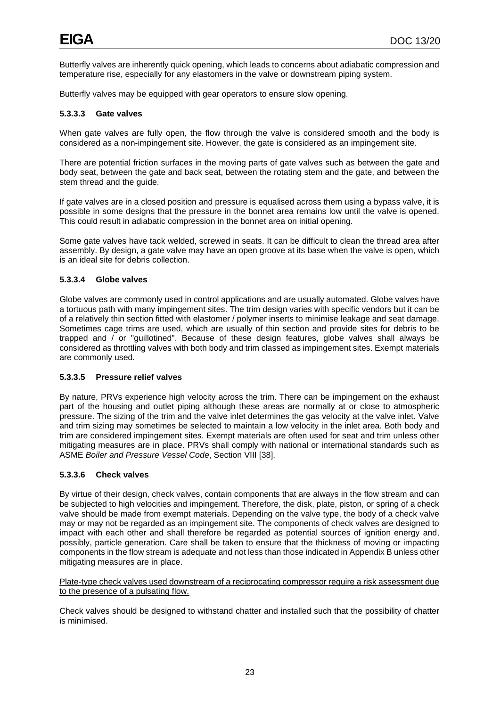Butterfly valves are inherently quick opening, which leads to concerns about adiabatic compression and temperature rise, especially for any elastomers in the valve or downstream piping system.

Butterfly valves may be equipped with gear operators to ensure slow opening.

#### **5.3.3.3 Gate valves**

When gate valves are fully open, the flow through the valve is considered smooth and the body is considered as a non-impingement site. However, the gate is considered as an impingement site.

There are potential friction surfaces in the moving parts of gate valves such as between the gate and body seat, between the gate and back seat, between the rotating stem and the gate, and between the stem thread and the guide.

If gate valves are in a closed position and pressure is equalised across them using a bypass valve, it is possible in some designs that the pressure in the bonnet area remains low until the valve is opened. This could result in adiabatic compression in the bonnet area on initial opening.

Some gate valves have tack welded, screwed in seats. It can be difficult to clean the thread area after assembly. By design, a gate valve may have an open groove at its base when the valve is open, which is an ideal site for debris collection.

#### **5.3.3.4 Globe valves**

Globe valves are commonly used in control applications and are usually automated. Globe valves have a tortuous path with many impingement sites. The trim design varies with specific vendors but it can be of a relatively thin section fitted with elastomer / polymer inserts to minimise leakage and seat damage. Sometimes cage trims are used, which are usually of thin section and provide sites for debris to be trapped and / or "guillotined". Because of these design features, globe valves shall always be considered as throttling valves with both body and trim classed as impingement sites. Exempt materials are commonly used.

#### **5.3.3.5 Pressure relief valves**

By nature, PRVs experience high velocity across the trim. There can be impingement on the exhaust part of the housing and outlet piping although these areas are normally at or close to atmospheric pressure. The sizing of the trim and the valve inlet determines the gas velocity at the valve inlet. Valve and trim sizing may sometimes be selected to maintain a low velocity in the inlet area. Both body and trim are considered impingement sites. Exempt materials are often used for seat and trim unless other mitigating measures are in place. PRVs shall comply with national or international standards such as ASME *Boiler and Pressure Vessel Code*, Section VIII [38].

#### **5.3.3.6 Check valves**

By virtue of their design, check valves, contain components that are always in the flow stream and can be subjected to high velocities and impingement. Therefore, the disk, plate, piston, or spring of a check valve should be made from exempt materials. Depending on the valve type, the body of a check valve may or may not be regarded as an impingement site. The components of check valves are designed to impact with each other and shall therefore be regarded as potential sources of ignition energy and, possibly, particle generation. Care shall be taken to ensure that the thickness of moving or impacting components in the flow stream is adequate and not less than those indicated in Appendix B unless other mitigating measures are in place.

Plate-type check valves used downstream of a reciprocating compressor require a risk assessment due to the presence of a pulsating flow.

Check valves should be designed to withstand chatter and installed such that the possibility of chatter is minimised.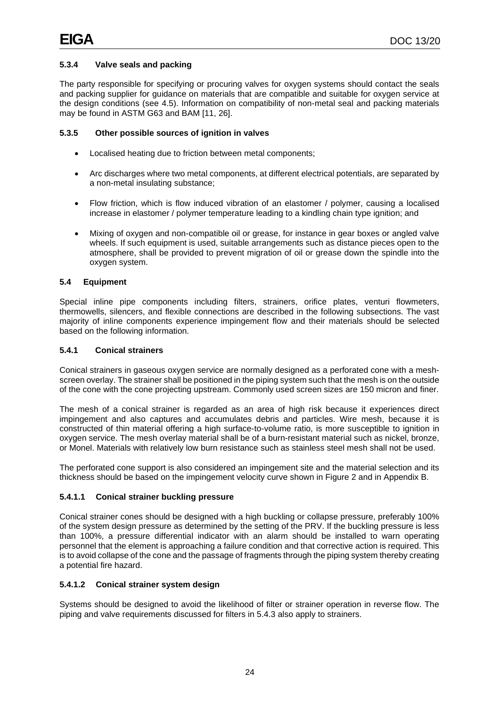# **5.3.4 Valve seals and packing**

The party responsible for specifying or procuring valves for oxygen systems should contact the seals and packing supplier for guidance on materials that are compatible and suitable for oxygen service at the design conditions (see 4.5). Information on compatibility of non-metal seal and packing materials may be found in ASTM G63 and BAM [11, 26].

# **5.3.5 Other possible sources of ignition in valves**

- Localised heating due to friction between metal components;
- Arc discharges where two metal components, at different electrical potentials, are separated by a non-metal insulating substance;
- Flow friction, which is flow induced vibration of an elastomer / polymer, causing a localised increase in elastomer / polymer temperature leading to a kindling chain type ignition; and
- Mixing of oxygen and non-compatible oil or grease, for instance in gear boxes or angled valve wheels. If such equipment is used, suitable arrangements such as distance pieces open to the atmosphere, shall be provided to prevent migration of oil or grease down the spindle into the oxygen system.

# <span id="page-27-0"></span>**5.4 Equipment**

Special inline pipe components including filters, strainers, orifice plates, venturi flowmeters, thermowells, silencers, and flexible connections are described in the following subsections. The vast majority of inline components experience impingement flow and their materials should be selected based on the following information.

#### **5.4.1 Conical strainers**

Conical strainers in gaseous oxygen service are normally designed as a perforated cone with a meshscreen overlay. The strainer shall be positioned in the piping system such that the mesh is on the outside of the cone with the cone projecting upstream. Commonly used screen sizes are 150 micron and finer.

The mesh of a conical strainer is regarded as an area of high risk because it experiences direct impingement and also captures and accumulates debris and particles. Wire mesh, because it is constructed of thin material offering a high surface-to-volume ratio, is more susceptible to ignition in oxygen service. The mesh overlay material shall be of a burn-resistant material such as nickel, bronze, or Monel. Materials with relatively low burn resistance such as stainless steel mesh shall not be used.

The perforated cone support is also considered an impingement site and the material selection and its thickness should be based on the impingement velocity curve shown in Figure 2 and in Appendix B.

# **5.4.1.1 Conical strainer buckling pressure**

Conical strainer cones should be designed with a high buckling or collapse pressure, preferably 100% of the system design pressure as determined by the setting of the PRV. If the buckling pressure is less than 100%, a pressure differential indicator with an alarm should be installed to warn operating personnel that the element is approaching a failure condition and that corrective action is required. This is to avoid collapse of the cone and the passage of fragments through the piping system thereby creating a potential fire hazard.

# **5.4.1.2 Conical strainer system design**

Systems should be designed to avoid the likelihood of filter or strainer operation in reverse flow. The piping and valve requirements discussed for filters in 5.4.3 also apply to strainers.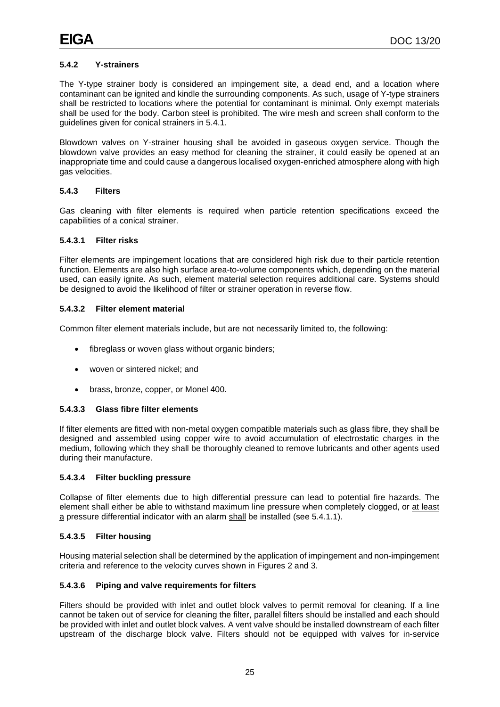# **5.4.2 Y-strainers**

The Y-type strainer body is considered an impingement site, a dead end, and a location where contaminant can be ignited and kindle the surrounding components. As such, usage of Y-type strainers shall be restricted to locations where the potential for contaminant is minimal. Only exempt materials shall be used for the body. Carbon steel is prohibited. The wire mesh and screen shall conform to the guidelines given for conical strainers in 5.4.1.

Blowdown valves on Y-strainer housing shall be avoided in gaseous oxygen service. Though the blowdown valve provides an easy method for cleaning the strainer, it could easily be opened at an inappropriate time and could cause a dangerous localised oxygen-enriched atmosphere along with high gas velocities.

# **5.4.3 Filters**

Gas cleaning with filter elements is required when particle retention specifications exceed the capabilities of a conical strainer.

#### **5.4.3.1 Filter risks**

Filter elements are impingement locations that are considered high risk due to their particle retention function. Elements are also high surface area-to-volume components which, depending on the material used, can easily ignite. As such, element material selection requires additional care. Systems should be designed to avoid the likelihood of filter or strainer operation in reverse flow.

# **5.4.3.2 Filter element material**

Common filter element materials include, but are not necessarily limited to, the following:

- fibreglass or woven glass without organic binders;
- woven or sintered nickel; and
- brass, bronze, copper, or Monel 400.

#### **5.4.3.3 Glass fibre filter elements**

If filter elements are fitted with non-metal oxygen compatible materials such as glass fibre, they shall be designed and assembled using copper wire to avoid accumulation of electrostatic charges in the medium, following which they shall be thoroughly cleaned to remove lubricants and other agents used during their manufacture.

#### **5.4.3.4 Filter buckling pressure**

Collapse of filter elements due to high differential pressure can lead to potential fire hazards. The element shall either be able to withstand maximum line pressure when completely clogged, or at least a pressure differential indicator with an alarm shall be installed (see 5.4.1.1).

# **5.4.3.5 Filter housing**

Housing material selection shall be determined by the application of impingement and non-impingement criteria and reference to the velocity curves shown in Figures 2 and 3.

# **5.4.3.6 Piping and valve requirements for filters**

Filters should be provided with inlet and outlet block valves to permit removal for cleaning. If a line cannot be taken out of service for cleaning the filter, parallel filters should be installed and each should be provided with inlet and outlet block valves. A vent valve should be installed downstream of each filter upstream of the discharge block valve. Filters should not be equipped with valves for in-service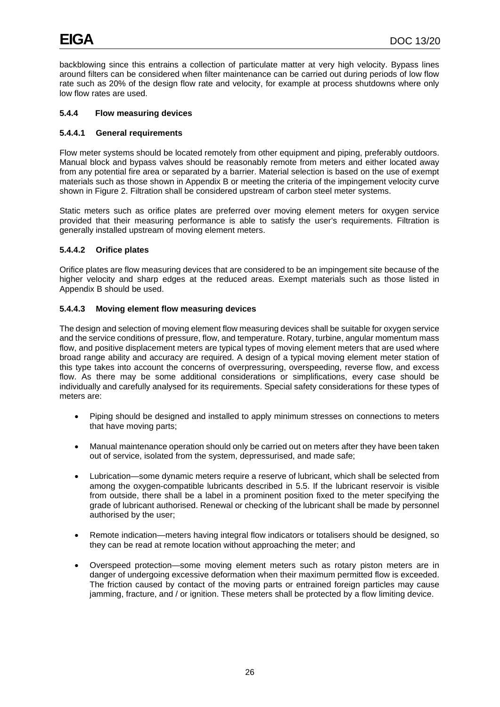backblowing since this entrains a collection of particulate matter at very high velocity. Bypass lines around filters can be considered when filter maintenance can be carried out during periods of low flow rate such as 20% of the design flow rate and velocity, for example at process shutdowns where only low flow rates are used.

# **5.4.4 Flow measuring devices**

#### **5.4.4.1 General requirements**

Flow meter systems should be located remotely from other equipment and piping, preferably outdoors. Manual block and bypass valves should be reasonably remote from meters and either located away from any potential fire area or separated by a barrier. Material selection is based on the use of exempt materials such as those shown in Appendix B or meeting the criteria of the impingement velocity curve shown in Figure 2. Filtration shall be considered upstream of carbon steel meter systems.

Static meters such as orifice plates are preferred over moving element meters for oxygen service provided that their measuring performance is able to satisfy the user's requirements. Filtration is generally installed upstream of moving element meters.

#### **5.4.4.2 Orifice plates**

Orifice plates are flow measuring devices that are considered to be an impingement site because of the higher velocity and sharp edges at the reduced areas. Exempt materials such as those listed in Appendix B should be used.

#### **5.4.4.3 Moving element flow measuring devices**

The design and selection of moving element flow measuring devices shall be suitable for oxygen service and the service conditions of pressure, flow, and temperature. Rotary, turbine, angular momentum mass flow, and positive displacement meters are typical types of moving element meters that are used where broad range ability and accuracy are required. A design of a typical moving element meter station of this type takes into account the concerns of overpressuring, overspeeding, reverse flow, and excess flow. As there may be some additional considerations or simplifications, every case should be individually and carefully analysed for its requirements. Special safety considerations for these types of meters are:

- Piping should be designed and installed to apply minimum stresses on connections to meters that have moving parts;
- Manual maintenance operation should only be carried out on meters after they have been taken out of service, isolated from the system, depressurised, and made safe;
- Lubrication—some dynamic meters require a reserve of lubricant, which shall be selected from among the oxygen-compatible lubricants described in 5.5. If the lubricant reservoir is visible from outside, there shall be a label in a prominent position fixed to the meter specifying the grade of lubricant authorised. Renewal or checking of the lubricant shall be made by personnel authorised by the user;
- Remote indication—meters having integral flow indicators or totalisers should be designed, so they can be read at remote location without approaching the meter; and
- Overspeed protection—some moving element meters such as rotary piston meters are in danger of undergoing excessive deformation when their maximum permitted flow is exceeded. The friction caused by contact of the moving parts or entrained foreign particles may cause jamming, fracture, and / or ignition. These meters shall be protected by a flow limiting device.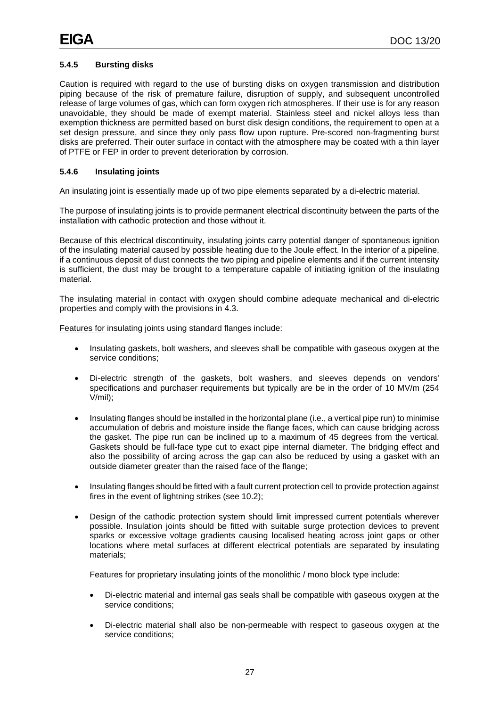# **5.4.5 Bursting disks**

Caution is required with regard to the use of bursting disks on oxygen transmission and distribution piping because of the risk of premature failure, disruption of supply, and subsequent uncontrolled release of large volumes of gas, which can form oxygen rich atmospheres. If their use is for any reason unavoidable, they should be made of exempt material. Stainless steel and nickel alloys less than exemption thickness are permitted based on burst disk design conditions, the requirement to open at a set design pressure, and since they only pass flow upon rupture. Pre-scored non-fragmenting burst disks are preferred. Their outer surface in contact with the atmosphere may be coated with a thin layer of PTFE or FEP in order to prevent deterioration by corrosion.

# **5.4.6 Insulating joints**

An insulating joint is essentially made up of two pipe elements separated by a di-electric material.

The purpose of insulating joints is to provide permanent electrical discontinuity between the parts of the installation with cathodic protection and those without it.

Because of this electrical discontinuity, insulating joints carry potential danger of spontaneous ignition of the insulating material caused by possible heating due to the Joule effect. In the interior of a pipeline, if a continuous deposit of dust connects the two piping and pipeline elements and if the current intensity is sufficient, the dust may be brought to a temperature capable of initiating ignition of the insulating material.

The insulating material in contact with oxygen should combine adequate mechanical and di-electric properties and comply with the provisions in 4.3.

Features for insulating joints using standard flanges include:

- Insulating gaskets, bolt washers, and sleeves shall be compatible with gaseous oxygen at the service conditions;
- Di-electric strength of the gaskets, bolt washers, and sleeves depends on vendors' specifications and purchaser requirements but typically are be in the order of 10 MV/m (254 V/mil);
- Insulating flanges should be installed in the horizontal plane (i.e., a vertical pipe run) to minimise accumulation of debris and moisture inside the flange faces, which can cause bridging across the gasket. The pipe run can be inclined up to a maximum of 45 degrees from the vertical. Gaskets should be full-face type cut to exact pipe internal diameter. The bridging effect and also the possibility of arcing across the gap can also be reduced by using a gasket with an outside diameter greater than the raised face of the flange;
- Insulating flanges should be fitted with a fault current protection cell to provide protection against fires in the event of lightning strikes (see 10.2);
- Design of the cathodic protection system should limit impressed current potentials wherever possible. Insulation joints should be fitted with suitable surge protection devices to prevent sparks or excessive voltage gradients causing localised heating across joint gaps or other locations where metal surfaces at different electrical potentials are separated by insulating materials;

Features for proprietary insulating joints of the monolithic / mono block type include:

- Di-electric material and internal gas seals shall be compatible with gaseous oxygen at the service conditions;
- Di-electric material shall also be non-permeable with respect to gaseous oxygen at the service conditions;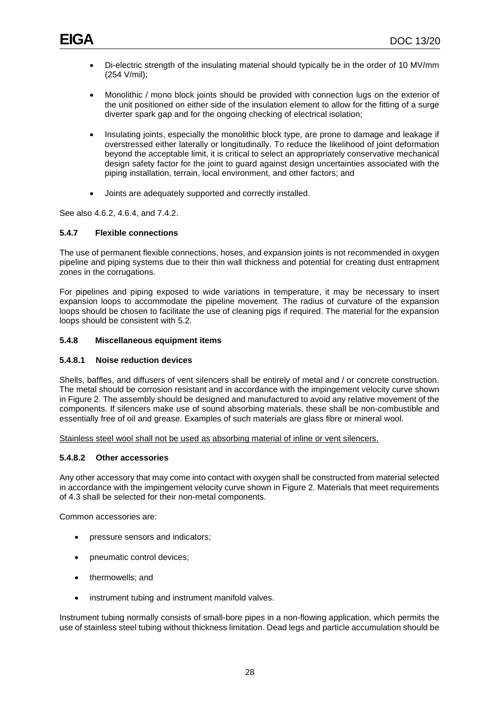- Di-electric strength of the insulating material should typically be in the order of 10 MV/mm (254 V/mil);
- Monolithic / mono block joints should be provided with connection lugs on the exterior of the unit positioned on either side of the insulation element to allow for the fitting of a surge diverter spark gap and for the ongoing checking of electrical isolation;
- Insulating joints, especially the monolithic block type, are prone to damage and leakage if overstressed either laterally or longitudinally. To reduce the likelihood of joint deformation beyond the acceptable limit, it is critical to select an appropriately conservative mechanical design safety factor for the joint to guard against design uncertainties associated with the piping installation, terrain, local environment, and other factors; and
- Joints are adequately supported and correctly installed.

See also 4.6.2, 4.6.4, and 7.4.2.

#### **5.4.7 Flexible connections**

The use of permanent flexible connections, hoses, and expansion joints is not recommended in oxygen pipeline and piping systems due to their thin wall thickness and potential for creating dust entrapment zones in the corrugations.

For pipelines and piping exposed to wide variations in temperature, it may be necessary to insert expansion loops to accommodate the pipeline movement. The radius of curvature of the expansion loops should be chosen to facilitate the use of cleaning pigs if required. The material for the expansion loops should be consistent with 5.2.

#### **5.4.8 Miscellaneous equipment items**

# **5.4.8.1 Noise reduction devices**

Shells, baffles, and diffusers of vent silencers shall be entirely of metal and / or concrete construction. The metal should be corrosion resistant and in accordance with the impingement velocity curve shown in Figure 2. The assembly should be designed and manufactured to avoid any relative movement of the components. If silencers make use of sound absorbing materials, these shall be non-combustible and essentially free of oil and grease. Examples of such materials are glass fibre or mineral wool.

Stainless steel wool shall not be used as absorbing material of inline or vent silencers.

# **5.4.8.2 Other accessories**

Any other accessory that may come into contact with oxygen shall be constructed from material selected in accordance with the impingement velocity curve shown in Figure 2. Materials that meet requirements of 4.3 shall be selected for their non-metal components.

Common accessories are:

- pressure sensors and indicators;
- pneumatic control devices;
- thermowells; and
- instrument tubing and instrument manifold valves.

Instrument tubing normally consists of small-bore pipes in a non-flowing application, which permits the use of stainless steel tubing without thickness limitation. Dead legs and particle accumulation should be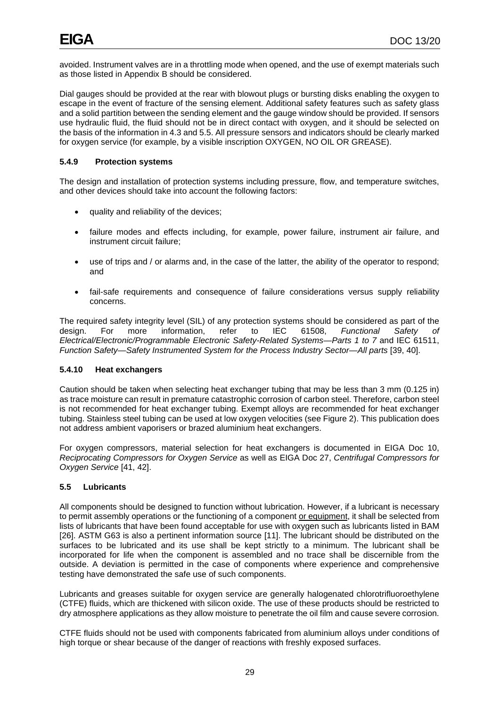avoided. Instrument valves are in a throttling mode when opened, and the use of exempt materials such as those listed in Appendix B should be considered.

Dial gauges should be provided at the rear with blowout plugs or bursting disks enabling the oxygen to escape in the event of fracture of the sensing element. Additional safety features such as safety glass and a solid partition between the sending element and the gauge window should be provided. If sensors use hydraulic fluid, the fluid should not be in direct contact with oxygen, and it should be selected on the basis of the information in 4.3 and 5.5. All pressure sensors and indicators should be clearly marked for oxygen service (for example, by a visible inscription OXYGEN, NO OIL OR GREASE).

#### **5.4.9 Protection systems**

The design and installation of protection systems including pressure, flow, and temperature switches, and other devices should take into account the following factors:

- quality and reliability of the devices;
- failure modes and effects including, for example, power failure, instrument air failure, and instrument circuit failure;
- use of trips and / or alarms and, in the case of the latter, the ability of the operator to respond; and
- fail-safe requirements and consequence of failure considerations versus supply reliability concerns.

The required safety integrity level (SIL) of any protection systems should be considered as part of the design. For more information, refer to IEC 61508, Functional Safety of design. For more information, refer to IEC 61508, *Functional Safety of Electrical/Electronic/Programmable Electronic Safety-Related Systems—Parts 1 to 7* and IEC 61511, *Function Safety—Safety Instrumented System for the Process Industry Sector—All parts* [39, 40].

# **5.4.10 Heat exchangers**

Caution should be taken when selecting heat exchanger tubing that may be less than 3 mm (0.125 in) as trace moisture can result in premature catastrophic corrosion of carbon steel. Therefore, carbon steel is not recommended for heat exchanger tubing. Exempt alloys are recommended for heat exchanger tubing. Stainless steel tubing can be used at low oxygen velocities (see Figure 2). This publication does not address ambient vaporisers or brazed aluminium heat exchangers.

For oxygen compressors, material selection for heat exchangers is documented in EIGA Doc 10, *Reciprocating Compressors for Oxygen Service* as well as EIGA Doc 27, *Centrifugal Compressors for Oxygen Service* [41, 42].

# <span id="page-32-0"></span>**5.5 Lubricants**

All components should be designed to function without lubrication. However, if a lubricant is necessary to permit assembly operations or the functioning of a component or equipment, it shall be selected from lists of lubricants that have been found acceptable for use with oxygen such as lubricants listed in BAM [26]. ASTM G63 is also a pertinent information source [11]. The lubricant should be distributed on the surfaces to be lubricated and its use shall be kept strictly to a minimum. The lubricant shall be incorporated for life when the component is assembled and no trace shall be discernible from the outside. A deviation is permitted in the case of components where experience and comprehensive testing have demonstrated the safe use of such components.

Lubricants and greases suitable for oxygen service are generally halogenated chlorotrifluoroethylene (CTFE) fluids, which are thickened with silicon oxide. The use of these products should be restricted to dry atmosphere applications as they allow moisture to penetrate the oil film and cause severe corrosion.

CTFE fluids should not be used with components fabricated from aluminium alloys under conditions of high torque or shear because of the danger of reactions with freshly exposed surfaces.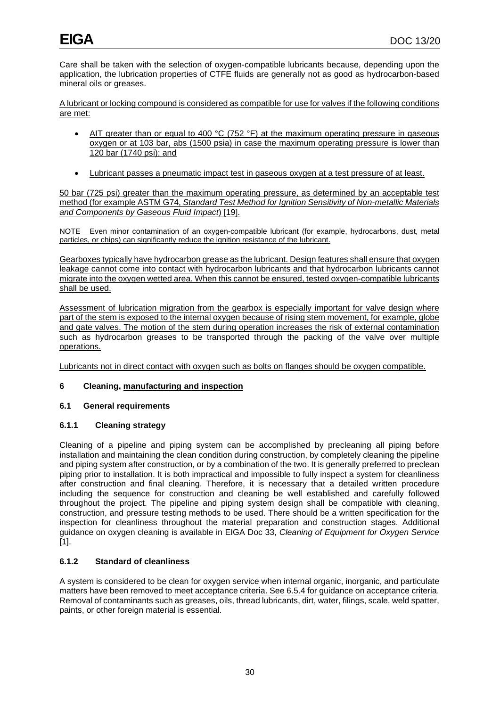Care shall be taken with the selection of oxygen-compatible lubricants because, depending upon the application, the lubrication properties of CTFE fluids are generally not as good as hydrocarbon-based mineral oils or greases.

A lubricant or locking compound is considered as compatible for use for valves if the following conditions are met:

- AIT greater than or equal to 400 °C (752 °F) at the maximum operating pressure in gaseous oxygen or at 103 bar, abs (1500 psia) in case the maximum operating pressure is lower than 120 bar (1740 psi); and
- Lubricant passes a pneumatic impact test in gaseous oxygen at a test pressure of at least.

50 bar (725 psi) greater than the maximum operating pressure, as determined by an acceptable test method (for example ASTM G74, *Standard Test Method for Ignition Sensitivity of Non-metallic Materials and Components by Gaseous Fluid Impact*) [19].

NOTE Even minor contamination of an oxygen-compatible lubricant (for example, hydrocarbons, dust, metal particles, or chips) can significantly reduce the ignition resistance of the lubricant.

Gearboxes typically have hydrocarbon grease as the lubricant. Design features shall ensure that oxygen leakage cannot come into contact with hydrocarbon lubricants and that hydrocarbon lubricants cannot migrate into the oxygen wetted area. When this cannot be ensured, tested oxygen-compatible lubricants shall be used.

Assessment of lubrication migration from the gearbox is especially important for valve design where part of the stem is exposed to the internal oxygen because of rising stem movement, for example, globe and gate valves. The motion of the stem during operation increases the risk of external contamination such as hydrocarbon greases to be transported through the packing of the valve over multiple operations.

Lubricants not in direct contact with oxygen such as bolts on flanges should be oxygen compatible.

# <span id="page-33-0"></span>**6 Cleaning, manufacturing and inspection**

# <span id="page-33-1"></span>**6.1 General requirements**

# **6.1.1 Cleaning strategy**

Cleaning of a pipeline and piping system can be accomplished by precleaning all piping before installation and maintaining the clean condition during construction, by completely cleaning the pipeline and piping system after construction, or by a combination of the two. It is generally preferred to preclean piping prior to installation. It is both impractical and impossible to fully inspect a system for cleanliness after construction and final cleaning. Therefore, it is necessary that a detailed written procedure including the sequence for construction and cleaning be well established and carefully followed throughout the project. The pipeline and piping system design shall be compatible with cleaning, construction, and pressure testing methods to be used. There should be a written specification for the inspection for cleanliness throughout the material preparation and construction stages. Additional guidance on oxygen cleaning is available in EIGA Doc 33, *Cleaning of Equipment for Oxygen Service*  $[1]$ .

# **6.1.2 Standard of cleanliness**

A system is considered to be clean for oxygen service when internal organic, inorganic, and particulate matters have been removed to meet acceptance criteria. See 6.5.4 for guidance on acceptance criteria. Removal of contaminants such as greases, oils, thread lubricants, dirt, water, filings, scale, weld spatter, paints, or other foreign material is essential.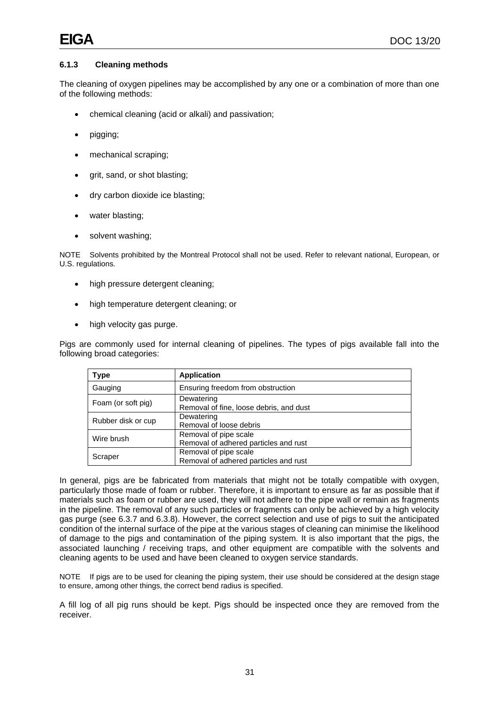# **6.1.3 Cleaning methods**

The cleaning of oxygen pipelines may be accomplished by any one or a combination of more than one of the following methods:

- chemical cleaning (acid or alkali) and passivation;
- pigging;
- mechanical scraping;
- grit, sand, or shot blasting;
- dry carbon dioxide ice blasting;
- water blasting;
- solvent washing;

NOTE Solvents prohibited by the Montreal Protocol shall not be used. Refer to relevant national, European, or U.S. regulations.

- high pressure detergent cleaning:
- high temperature detergent cleaning; or
- high velocity gas purge.

Pigs are commonly used for internal cleaning of pipelines. The types of pigs available fall into the following broad categories:

| <b>Type</b>        | <b>Application</b>                                             |
|--------------------|----------------------------------------------------------------|
| Gauging            | Ensuring freedom from obstruction                              |
| Foam (or soft pig) | Dewatering<br>Removal of fine, loose debris, and dust          |
| Rubber disk or cup | Dewatering<br>Removal of loose debris                          |
| Wire brush         | Removal of pipe scale<br>Removal of adhered particles and rust |
| Scraper            | Removal of pipe scale<br>Removal of adhered particles and rust |

In general, pigs are be fabricated from materials that might not be totally compatible with oxygen, particularly those made of foam or rubber. Therefore, it is important to ensure as far as possible that if materials such as foam or rubber are used, they will not adhere to the pipe wall or remain as fragments in the pipeline. The removal of any such particles or fragments can only be achieved by a high velocity gas purge (see 6.3.7 and 6.3.8). However, the correct selection and use of pigs to suit the anticipated condition of the internal surface of the pipe at the various stages of cleaning can minimise the likelihood of damage to the pigs and contamination of the piping system. It is also important that the pigs, the associated launching / receiving traps, and other equipment are compatible with the solvents and cleaning agents to be used and have been cleaned to oxygen service standards.

NOTE If pigs are to be used for cleaning the piping system, their use should be considered at the design stage to ensure, among other things, the correct bend radius is specified.

A fill log of all pig runs should be kept. Pigs should be inspected once they are removed from the receiver.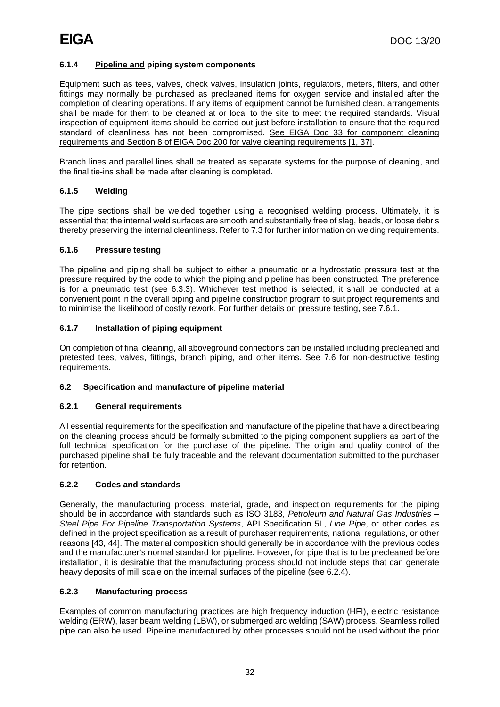# **6.1.4 Pipeline and piping system components**

Equipment such as tees, valves, check valves, insulation joints, regulators, meters, filters, and other fittings may normally be purchased as precleaned items for oxygen service and installed after the completion of cleaning operations. If any items of equipment cannot be furnished clean, arrangements shall be made for them to be cleaned at or local to the site to meet the required standards. Visual inspection of equipment items should be carried out just before installation to ensure that the required standard of cleanliness has not been compromised. See EIGA Doc 33 for component cleaning requirements and Section 8 of EIGA Doc 200 for valve cleaning requirements [1, 37].

Branch lines and parallel lines shall be treated as separate systems for the purpose of cleaning, and the final tie-ins shall be made after cleaning is completed.

# **6.1.5 Welding**

The pipe sections shall be welded together using a recognised welding process. Ultimately, it is essential that the internal weld surfaces are smooth and substantially free of slag, beads, or loose debris thereby preserving the internal cleanliness. Refer to 7.3 for further information on welding requirements.

# **6.1.6 Pressure testing**

The pipeline and piping shall be subject to either a pneumatic or a hydrostatic pressure test at the pressure required by the code to which the piping and pipeline has been constructed. The preference is for a pneumatic test (see 6.3.3). Whichever test method is selected, it shall be conducted at a convenient point in the overall piping and pipeline construction program to suit project requirements and to minimise the likelihood of costly rework. For further details on pressure testing, see 7.6.1.

# **6.1.7 Installation of piping equipment**

On completion of final cleaning, all aboveground connections can be installed including precleaned and pretested tees, valves, fittings, branch piping, and other items. See 7.6 for non-destructive testing requirements.

# <span id="page-35-0"></span>**6.2 Specification and manufacture of pipeline material**

# **6.2.1 General requirements**

All essential requirements for the specification and manufacture of the pipeline that have a direct bearing on the cleaning process should be formally submitted to the piping component suppliers as part of the full technical specification for the purchase of the pipeline. The origin and quality control of the purchased pipeline shall be fully traceable and the relevant documentation submitted to the purchaser for retention.

# **6.2.2 Codes and standards**

Generally, the manufacturing process, material, grade, and inspection requirements for the piping should be in accordance with standards such as ISO 3183, *Petroleum and Natural Gas Industries – Steel Pipe For Pipeline Transportation Systems*, API Specification 5L, *Line Pipe*, or other codes as defined in the project specification as a result of purchaser requirements, national regulations, or other reasons [43, 44]. The material composition should generally be in accordance with the previous codes and the manufacturer's normal standard for pipeline. However, for pipe that is to be precleaned before installation, it is desirable that the manufacturing process should not include steps that can generate heavy deposits of mill scale on the internal surfaces of the pipeline (see 6.2.4).

# **6.2.3 Manufacturing process**

Examples of common manufacturing practices are high frequency induction (HFI), electric resistance welding (ERW), laser beam welding (LBW), or submerged arc welding (SAW) process. Seamless rolled pipe can also be used. Pipeline manufactured by other processes should not be used without the prior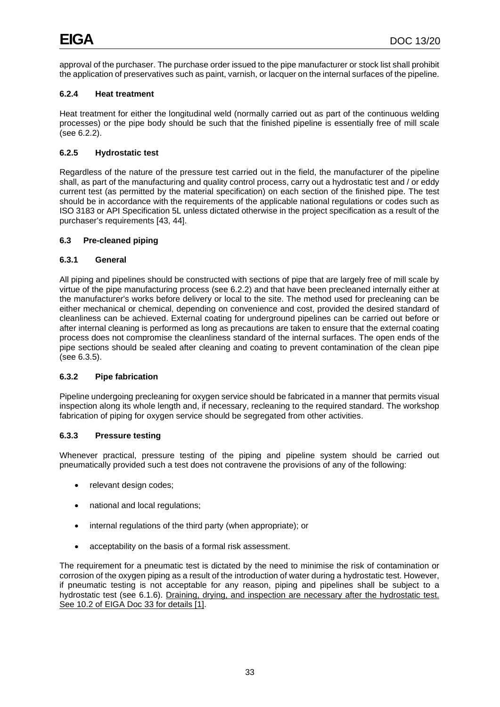approval of the purchaser. The purchase order issued to the pipe manufacturer or stock list shall prohibit the application of preservatives such as paint, varnish, or lacquer on the internal surfaces of the pipeline.

# **6.2.4 Heat treatment**

Heat treatment for either the longitudinal weld (normally carried out as part of the continuous welding processes) or the pipe body should be such that the finished pipeline is essentially free of mill scale (see 6.2.2).

# **6.2.5 Hydrostatic test**

Regardless of the nature of the pressure test carried out in the field, the manufacturer of the pipeline shall, as part of the manufacturing and quality control process, carry out a hydrostatic test and / or eddy current test (as permitted by the material specification) on each section of the finished pipe. The test should be in accordance with the requirements of the applicable national regulations or codes such as ISO 3183 or API Specification 5L unless dictated otherwise in the project specification as a result of the purchaser's requirements [43, 44].

# **6.3 Pre-cleaned piping**

# **6.3.1 General**

All piping and pipelines should be constructed with sections of pipe that are largely free of mill scale by virtue of the pipe manufacturing process (see 6.2.2) and that have been precleaned internally either at the manufacturer's works before delivery or local to the site. The method used for precleaning can be either mechanical or chemical, depending on convenience and cost, provided the desired standard of cleanliness can be achieved. External coating for underground pipelines can be carried out before or after internal cleaning is performed as long as precautions are taken to ensure that the external coating process does not compromise the cleanliness standard of the internal surfaces. The open ends of the pipe sections should be sealed after cleaning and coating to prevent contamination of the clean pipe (see 6.3.5).

# **6.3.2 Pipe fabrication**

Pipeline undergoing precleaning for oxygen service should be fabricated in a manner that permits visual inspection along its whole length and, if necessary, recleaning to the required standard. The workshop fabrication of piping for oxygen service should be segregated from other activities.

# **6.3.3 Pressure testing**

Whenever practical, pressure testing of the piping and pipeline system should be carried out pneumatically provided such a test does not contravene the provisions of any of the following:

- relevant design codes;
- national and local regulations;
- internal regulations of the third party (when appropriate); or
- acceptability on the basis of a formal risk assessment.

The requirement for a pneumatic test is dictated by the need to minimise the risk of contamination or corrosion of the oxygen piping as a result of the introduction of water during a hydrostatic test. However, if pneumatic testing is not acceptable for any reason, piping and pipelines shall be subject to a hydrostatic test (see 6.1.6). Draining, drying, and inspection are necessary after the hydrostatic test. See 10.2 of EIGA Doc 33 for details [1].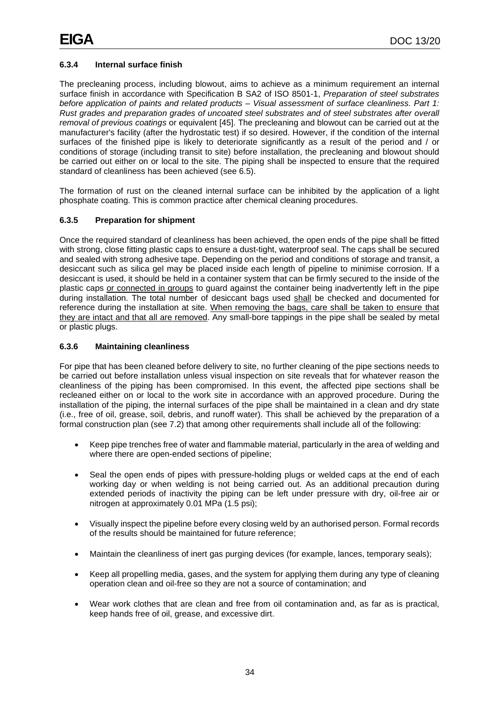# **6.3.4 Internal surface finish**

The precleaning process, including blowout, aims to achieve as a minimum requirement an internal surface finish in accordance with Specification B SA2 of ISO 8501-1, *Preparation of steel substrates before application of paints and related products – Visual assessment of surface cleanliness. Part 1: Rust grades and preparation grades of uncoated steel substrates and of steel substrates after overall removal of previous coatings* or equivalent [45]. The precleaning and blowout can be carried out at the manufacturer's facility (after the hydrostatic test) if so desired. However, if the condition of the internal surfaces of the finished pipe is likely to deteriorate significantly as a result of the period and / or conditions of storage (including transit to site) before installation, the precleaning and blowout should be carried out either on or local to the site. The piping shall be inspected to ensure that the required standard of cleanliness has been achieved (see 6.5).

The formation of rust on the cleaned internal surface can be inhibited by the application of a light phosphate coating. This is common practice after chemical cleaning procedures.

# **6.3.5 Preparation for shipment**

Once the required standard of cleanliness has been achieved, the open ends of the pipe shall be fitted with strong, close fitting plastic caps to ensure a dust-tight, waterproof seal. The caps shall be secured and sealed with strong adhesive tape. Depending on the period and conditions of storage and transit, a desiccant such as silica gel may be placed inside each length of pipeline to minimise corrosion. If a desiccant is used, it should be held in a container system that can be firmly secured to the inside of the plastic caps or connected in groups to guard against the container being inadvertently left in the pipe during installation. The total number of desiccant bags used shall be checked and documented for reference during the installation at site. When removing the bags, care shall be taken to ensure that they are intact and that all are removed. Any small-bore tappings in the pipe shall be sealed by metal or plastic plugs.

# **6.3.6 Maintaining cleanliness**

For pipe that has been cleaned before delivery to site, no further cleaning of the pipe sections needs to be carried out before installation unless visual inspection on site reveals that for whatever reason the cleanliness of the piping has been compromised. In this event, the affected pipe sections shall be recleaned either on or local to the work site in accordance with an approved procedure. During the installation of the piping, the internal surfaces of the pipe shall be maintained in a clean and dry state (i.e., free of oil, grease, soil, debris, and runoff water). This shall be achieved by the preparation of a formal construction plan (see 7.2) that among other requirements shall include all of the following:

- Keep pipe trenches free of water and flammable material, particularly in the area of welding and where there are open-ended sections of pipeline;
- Seal the open ends of pipes with pressure-holding plugs or welded caps at the end of each working day or when welding is not being carried out. As an additional precaution during extended periods of inactivity the piping can be left under pressure with dry, oil-free air or nitrogen at approximately 0.01 MPa (1.5 psi);
- Visually inspect the pipeline before every closing weld by an authorised person. Formal records of the results should be maintained for future reference;
- Maintain the cleanliness of inert gas purging devices (for example, lances, temporary seals);
- Keep all propelling media, gases, and the system for applying them during any type of cleaning operation clean and oil-free so they are not a source of contamination; and
- Wear work clothes that are clean and free from oil contamination and, as far as is practical, keep hands free of oil, grease, and excessive dirt.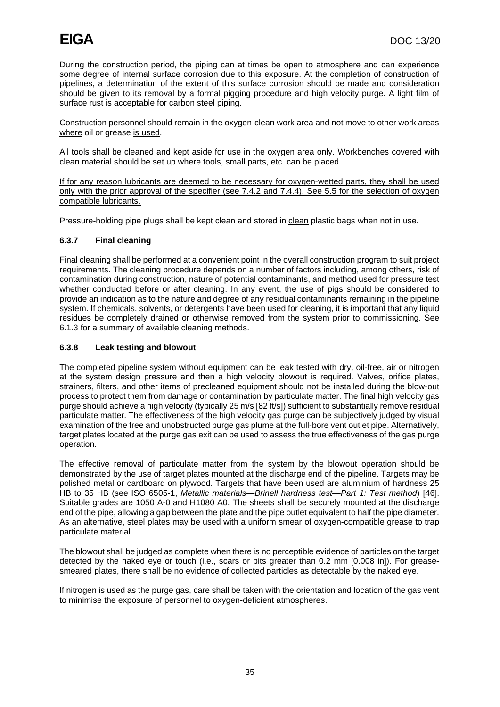During the construction period, the piping can at times be open to atmosphere and can experience some degree of internal surface corrosion due to this exposure. At the completion of construction of pipelines, a determination of the extent of this surface corrosion should be made and consideration should be given to its removal by a formal pigging procedure and high velocity purge. A light film of surface rust is acceptable for carbon steel piping.

Construction personnel should remain in the oxygen-clean work area and not move to other work areas where oil or grease is used.

All tools shall be cleaned and kept aside for use in the oxygen area only. Workbenches covered with clean material should be set up where tools, small parts, etc. can be placed.

If for any reason lubricants are deemed to be necessary for oxygen-wetted parts, they shall be used only with the prior approval of the specifier (see 7.4.2 and 7.4.4). See 5.5 for the selection of oxygen compatible lubricants.

Pressure-holding pipe plugs shall be kept clean and stored in clean plastic bags when not in use.

# **6.3.7 Final cleaning**

Final cleaning shall be performed at a convenient point in the overall construction program to suit project requirements. The cleaning procedure depends on a number of factors including, among others, risk of contamination during construction, nature of potential contaminants, and method used for pressure test whether conducted before or after cleaning. In any event, the use of pigs should be considered to provide an indication as to the nature and degree of any residual contaminants remaining in the pipeline system. If chemicals, solvents, or detergents have been used for cleaning, it is important that any liquid residues be completely drained or otherwise removed from the system prior to commissioning. See 6.1.3 for a summary of available cleaning methods.

## **6.3.8 Leak testing and blowout**

The completed pipeline system without equipment can be leak tested with dry, oil-free, air or nitrogen at the system design pressure and then a high velocity blowout is required. Valves, orifice plates, strainers, filters, and other items of precleaned equipment should not be installed during the blow-out process to protect them from damage or contamination by particulate matter. The final high velocity gas purge should achieve a high velocity (typically 25 m/s [82 ft/s]) sufficient to substantially remove residual particulate matter. The effectiveness of the high velocity gas purge can be subjectively judged by visual examination of the free and unobstructed purge gas plume at the full-bore vent outlet pipe. Alternatively, target plates located at the purge gas exit can be used to assess the true effectiveness of the gas purge operation.

The effective removal of particulate matter from the system by the blowout operation should be demonstrated by the use of target plates mounted at the discharge end of the pipeline. Targets may be polished metal or cardboard on plywood. Targets that have been used are aluminium of hardness 25 HB to 35 HB (see ISO 6505-1, *Metallic materials—Brinell hardness test—Part 1: Test method*) [46]. Suitable grades are 1050 A-0 and H1080 A0. The sheets shall be securely mounted at the discharge end of the pipe, allowing a gap between the plate and the pipe outlet equivalent to half the pipe diameter. As an alternative, steel plates may be used with a uniform smear of oxygen-compatible grease to trap particulate material.

The blowout shall be judged as complete when there is no perceptible evidence of particles on the target detected by the naked eye or touch (i.e., scars or pits greater than 0.2 mm [0.008 in]). For greasesmeared plates, there shall be no evidence of collected particles as detectable by the naked eye.

If nitrogen is used as the purge gas, care shall be taken with the orientation and location of the gas vent to minimise the exposure of personnel to oxygen-deficient atmospheres.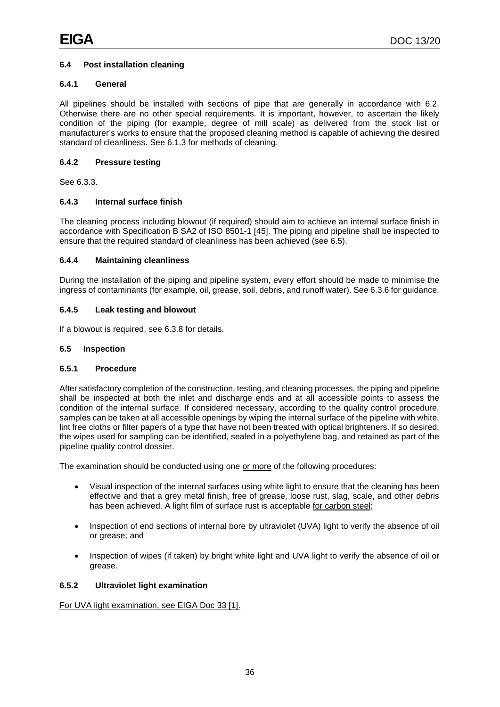# **6.4 Post installation cleaning**

## **6.4.1 General**

All pipelines should be installed with sections of pipe that are generally in accordance with 6.2. Otherwise there are no other special requirements. It is important, however, to ascertain the likely condition of the piping (for example, degree of mill scale) as delivered from the stock list or manufacturer's works to ensure that the proposed cleaning method is capable of achieving the desired standard of cleanliness. See 6.1.3 for methods of cleaning.

## **6.4.2 Pressure testing**

See 6.3.3.

# **6.4.3 Internal surface finish**

The cleaning process including blowout (if required) should aim to achieve an internal surface finish in accordance with Specification B SA2 of ISO 8501-1 [45]. The piping and pipeline shall be inspected to ensure that the required standard of cleanliness has been achieved (see 6.5).

# **6.4.4 Maintaining cleanliness**

During the installation of the piping and pipeline system, every effort should be made to minimise the ingress of contaminants (for example, oil, grease, soil, debris, and runoff water). See 6.3.6 for guidance.

## **6.4.5 Leak testing and blowout**

If a blowout is required, see 6.3.8 for details.

## **6.5 Inspection**

# **6.5.1 Procedure**

After satisfactory completion of the construction, testing, and cleaning processes, the piping and pipeline shall be inspected at both the inlet and discharge ends and at all accessible points to assess the condition of the internal surface. If considered necessary, according to the quality control procedure, samples can be taken at all accessible openings by wiping the internal surface of the pipeline with white, lint free cloths or filter papers of a type that have not been treated with optical brighteners. If so desired, the wipes used for sampling can be identified, sealed in a polyethylene bag, and retained as part of the pipeline quality control dossier.

The examination should be conducted using one or more of the following procedures:

- Visual inspection of the internal surfaces using white light to ensure that the cleaning has been effective and that a grey metal finish, free of grease, loose rust, slag, scale, and other debris has been achieved. A light film of surface rust is acceptable for carbon steel;
- Inspection of end sections of internal bore by ultraviolet (UVA) light to verify the absence of oil or grease; and
- Inspection of wipes (if taken) by bright white light and UVA light to verify the absence of oil or grease.

# **6.5.2 Ultraviolet light examination**

For UVA light examination, see EIGA Doc 33 [1].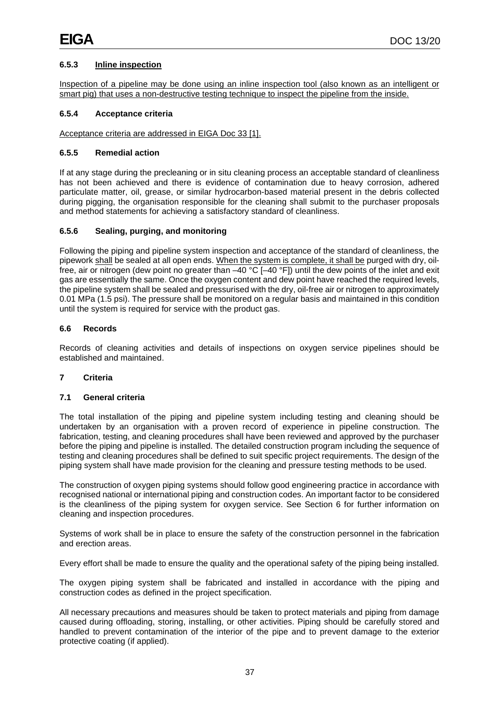# **6.5.3 Inline inspection**

Inspection of a pipeline may be done using an inline inspection tool (also known as an intelligent or smart pig) that uses a non-destructive testing technique to inspect the pipeline from the inside.

## **6.5.4 Acceptance criteria**

## Acceptance criteria are addressed in EIGA Doc 33 [1].

## **6.5.5 Remedial action**

If at any stage during the precleaning or in situ cleaning process an acceptable standard of cleanliness has not been achieved and there is evidence of contamination due to heavy corrosion, adhered particulate matter, oil, grease, or similar hydrocarbon-based material present in the debris collected during pigging, the organisation responsible for the cleaning shall submit to the purchaser proposals and method statements for achieving a satisfactory standard of cleanliness.

# **6.5.6 Sealing, purging, and monitoring**

Following the piping and pipeline system inspection and acceptance of the standard of cleanliness, the pipework shall be sealed at all open ends. When the system is complete, it shall be purged with dry, oilfree, air or nitrogen (dew point no greater than –40 °C [–40 °F]) until the dew points of the inlet and exit gas are essentially the same. Once the oxygen content and dew point have reached the required levels, the pipeline system shall be sealed and pressurised with the dry, oil-free air or nitrogen to approximately 0.01 MPa (1.5 psi). The pressure shall be monitored on a regular basis and maintained in this condition until the system is required for service with the product gas.

## **6.6 Records**

Records of cleaning activities and details of inspections on oxygen service pipelines should be established and maintained.

# **7 Criteria**

#### **7.1 General criteria**

The total installation of the piping and pipeline system including testing and cleaning should be undertaken by an organisation with a proven record of experience in pipeline construction. The fabrication, testing, and cleaning procedures shall have been reviewed and approved by the purchaser before the piping and pipeline is installed. The detailed construction program including the sequence of testing and cleaning procedures shall be defined to suit specific project requirements. The design of the piping system shall have made provision for the cleaning and pressure testing methods to be used.

The construction of oxygen piping systems should follow good engineering practice in accordance with recognised national or international piping and construction codes. An important factor to be considered is the cleanliness of the piping system for oxygen service. See Section 6 for further information on cleaning and inspection procedures.

Systems of work shall be in place to ensure the safety of the construction personnel in the fabrication and erection areas.

Every effort shall be made to ensure the quality and the operational safety of the piping being installed.

The oxygen piping system shall be fabricated and installed in accordance with the piping and construction codes as defined in the project specification.

All necessary precautions and measures should be taken to protect materials and piping from damage caused during offloading, storing, installing, or other activities. Piping should be carefully stored and handled to prevent contamination of the interior of the pipe and to prevent damage to the exterior protective coating (if applied).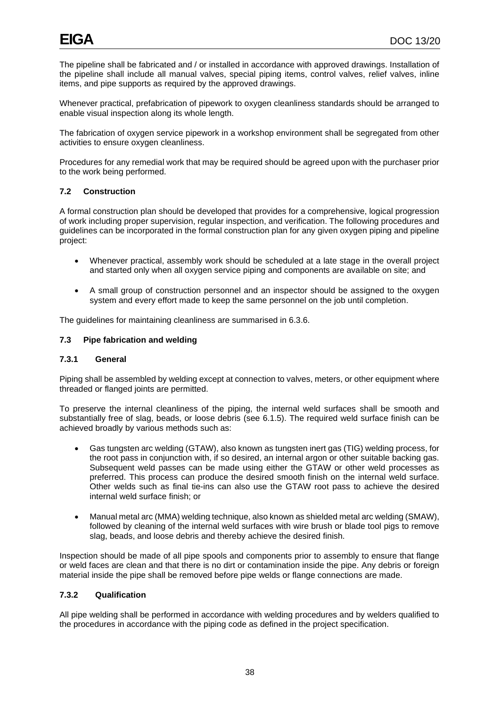The pipeline shall be fabricated and / or installed in accordance with approved drawings. Installation of the pipeline shall include all manual valves, special piping items, control valves, relief valves, inline items, and pipe supports as required by the approved drawings.

Whenever practical, prefabrication of pipework to oxygen cleanliness standards should be arranged to enable visual inspection along its whole length.

The fabrication of oxygen service pipework in a workshop environment shall be segregated from other activities to ensure oxygen cleanliness.

Procedures for any remedial work that may be required should be agreed upon with the purchaser prior to the work being performed.

# **7.2 Construction**

A formal construction plan should be developed that provides for a comprehensive, logical progression of work including proper supervision, regular inspection, and verification. The following procedures and guidelines can be incorporated in the formal construction plan for any given oxygen piping and pipeline project:

- Whenever practical, assembly work should be scheduled at a late stage in the overall project and started only when all oxygen service piping and components are available on site; and
- A small group of construction personnel and an inspector should be assigned to the oxygen system and every effort made to keep the same personnel on the job until completion.

The guidelines for maintaining cleanliness are summarised in 6.3.6.

## **7.3 Pipe fabrication and welding**

#### **7.3.1 General**

Piping shall be assembled by welding except at connection to valves, meters, or other equipment where threaded or flanged joints are permitted.

To preserve the internal cleanliness of the piping, the internal weld surfaces shall be smooth and substantially free of slag, beads, or loose debris (see 6.1.5). The required weld surface finish can be achieved broadly by various methods such as:

- Gas tungsten arc welding (GTAW), also known as tungsten inert gas (TIG) welding process, for the root pass in conjunction with, if so desired, an internal argon or other suitable backing gas. Subsequent weld passes can be made using either the GTAW or other weld processes as preferred. This process can produce the desired smooth finish on the internal weld surface. Other welds such as final tie-ins can also use the GTAW root pass to achieve the desired internal weld surface finish; or
- Manual metal arc (MMA) welding technique, also known as shielded metal arc welding (SMAW), followed by cleaning of the internal weld surfaces with wire brush or blade tool pigs to remove slag, beads, and loose debris and thereby achieve the desired finish.

Inspection should be made of all pipe spools and components prior to assembly to ensure that flange or weld faces are clean and that there is no dirt or contamination inside the pipe. Any debris or foreign material inside the pipe shall be removed before pipe welds or flange connections are made.

# **7.3.2 Qualification**

All pipe welding shall be performed in accordance with welding procedures and by welders qualified to the procedures in accordance with the piping code as defined in the project specification.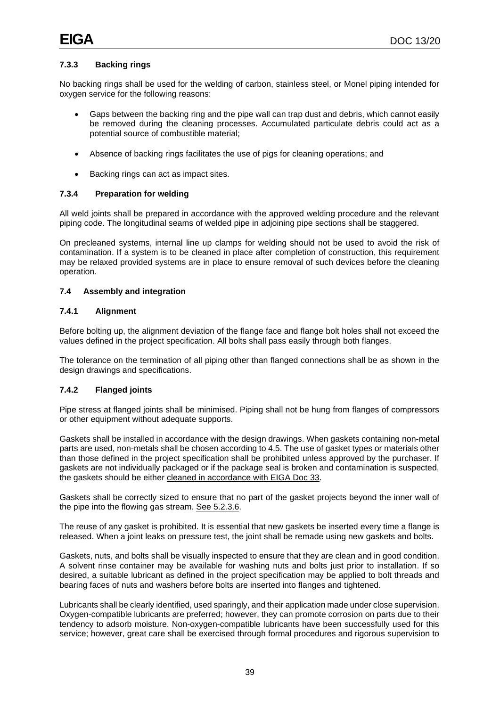# **7.3.3 Backing rings**

No backing rings shall be used for the welding of carbon, stainless steel, or Monel piping intended for oxygen service for the following reasons:

- Gaps between the backing ring and the pipe wall can trap dust and debris, which cannot easily be removed during the cleaning processes. Accumulated particulate debris could act as a potential source of combustible material;
- Absence of backing rings facilitates the use of pigs for cleaning operations; and
- Backing rings can act as impact sites.

## **7.3.4 Preparation for welding**

All weld joints shall be prepared in accordance with the approved welding procedure and the relevant piping code. The longitudinal seams of welded pipe in adjoining pipe sections shall be staggered.

On precleaned systems, internal line up clamps for welding should not be used to avoid the risk of contamination. If a system is to be cleaned in place after completion of construction, this requirement may be relaxed provided systems are in place to ensure removal of such devices before the cleaning operation.

## **7.4 Assembly and integration**

## **7.4.1 Alignment**

Before bolting up, the alignment deviation of the flange face and flange bolt holes shall not exceed the values defined in the project specification. All bolts shall pass easily through both flanges.

The tolerance on the termination of all piping other than flanged connections shall be as shown in the design drawings and specifications.

# **7.4.2 Flanged joints**

Pipe stress at flanged joints shall be minimised. Piping shall not be hung from flanges of compressors or other equipment without adequate supports.

Gaskets shall be installed in accordance with the design drawings. When gaskets containing non-metal parts are used, non-metals shall be chosen according to 4.5. The use of gasket types or materials other than those defined in the project specification shall be prohibited unless approved by the purchaser. If gaskets are not individually packaged or if the package seal is broken and contamination is suspected, the gaskets should be either cleaned in accordance with EIGA Doc 33.

Gaskets shall be correctly sized to ensure that no part of the gasket projects beyond the inner wall of the pipe into the flowing gas stream. See 5.2.3.6.

The reuse of any gasket is prohibited. It is essential that new gaskets be inserted every time a flange is released. When a joint leaks on pressure test, the joint shall be remade using new gaskets and bolts.

Gaskets, nuts, and bolts shall be visually inspected to ensure that they are clean and in good condition. A solvent rinse container may be available for washing nuts and bolts just prior to installation. If so desired, a suitable lubricant as defined in the project specification may be applied to bolt threads and bearing faces of nuts and washers before bolts are inserted into flanges and tightened.

Lubricants shall be clearly identified, used sparingly, and their application made under close supervision. Oxygen-compatible lubricants are preferred; however, they can promote corrosion on parts due to their tendency to adsorb moisture. Non-oxygen-compatible lubricants have been successfully used for this service; however, great care shall be exercised through formal procedures and rigorous supervision to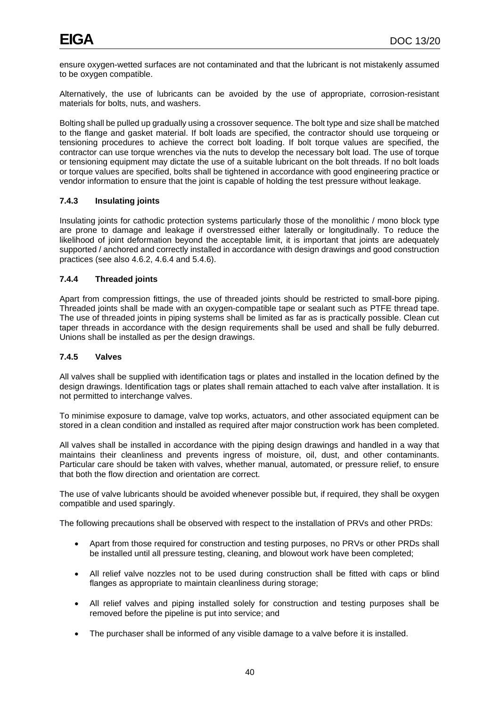ensure oxygen-wetted surfaces are not contaminated and that the lubricant is not mistakenly assumed to be oxygen compatible.

Alternatively, the use of lubricants can be avoided by the use of appropriate, corrosion-resistant materials for bolts, nuts, and washers.

Bolting shall be pulled up gradually using a crossover sequence. The bolt type and size shall be matched to the flange and gasket material. If bolt loads are specified, the contractor should use torqueing or tensioning procedures to achieve the correct bolt loading. If bolt torque values are specified, the contractor can use torque wrenches via the nuts to develop the necessary bolt load. The use of torque or tensioning equipment may dictate the use of a suitable lubricant on the bolt threads. If no bolt loads or torque values are specified, bolts shall be tightened in accordance with good engineering practice or vendor information to ensure that the joint is capable of holding the test pressure without leakage.

# **7.4.3 Insulating joints**

Insulating joints for cathodic protection systems particularly those of the monolithic / mono block type are prone to damage and leakage if overstressed either laterally or longitudinally. To reduce the likelihood of joint deformation beyond the acceptable limit, it is important that joints are adequately supported / anchored and correctly installed in accordance with design drawings and good construction practices (see also 4.6.2, 4.6.4 and 5.4.6).

# **7.4.4 Threaded joints**

Apart from compression fittings, the use of threaded joints should be restricted to small-bore piping. Threaded joints shall be made with an oxygen-compatible tape or sealant such as PTFE thread tape. The use of threaded joints in piping systems shall be limited as far as is practically possible. Clean cut taper threads in accordance with the design requirements shall be used and shall be fully deburred. Unions shall be installed as per the design drawings.

## **7.4.5 Valves**

All valves shall be supplied with identification tags or plates and installed in the location defined by the design drawings. Identification tags or plates shall remain attached to each valve after installation. It is not permitted to interchange valves.

To minimise exposure to damage, valve top works, actuators, and other associated equipment can be stored in a clean condition and installed as required after major construction work has been completed.

All valves shall be installed in accordance with the piping design drawings and handled in a way that maintains their cleanliness and prevents ingress of moisture, oil, dust, and other contaminants. Particular care should be taken with valves, whether manual, automated, or pressure relief, to ensure that both the flow direction and orientation are correct.

The use of valve lubricants should be avoided whenever possible but, if required, they shall be oxygen compatible and used sparingly.

The following precautions shall be observed with respect to the installation of PRVs and other PRDs:

- Apart from those required for construction and testing purposes, no PRVs or other PRDs shall be installed until all pressure testing, cleaning, and blowout work have been completed;
- All relief valve nozzles not to be used during construction shall be fitted with caps or blind flanges as appropriate to maintain cleanliness during storage;
- All relief valves and piping installed solely for construction and testing purposes shall be removed before the pipeline is put into service; and
- The purchaser shall be informed of any visible damage to a valve before it is installed.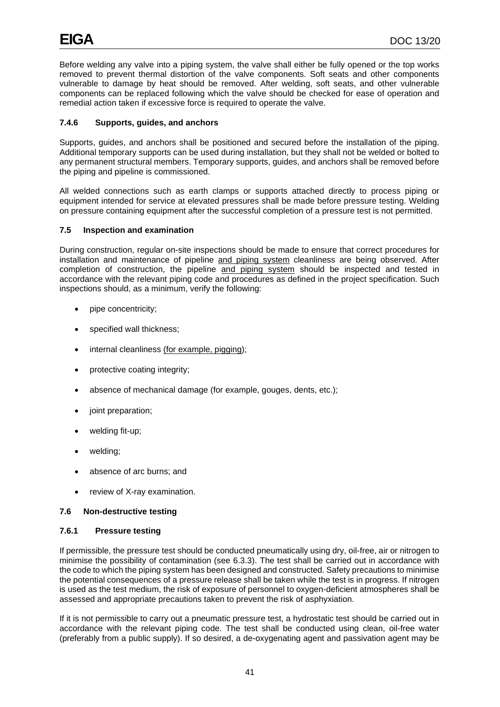Before welding any valve into a piping system, the valve shall either be fully opened or the top works removed to prevent thermal distortion of the valve components. Soft seats and other components vulnerable to damage by heat should be removed. After welding, soft seats, and other vulnerable components can be replaced following which the valve should be checked for ease of operation and remedial action taken if excessive force is required to operate the valve.

# **7.4.6 Supports, guides, and anchors**

Supports, guides, and anchors shall be positioned and secured before the installation of the piping. Additional temporary supports can be used during installation, but they shall not be welded or bolted to any permanent structural members. Temporary supports, guides, and anchors shall be removed before the piping and pipeline is commissioned.

All welded connections such as earth clamps or supports attached directly to process piping or equipment intended for service at elevated pressures shall be made before pressure testing. Welding on pressure containing equipment after the successful completion of a pressure test is not permitted.

# **7.5 Inspection and examination**

During construction, regular on-site inspections should be made to ensure that correct procedures for installation and maintenance of pipeline and piping system cleanliness are being observed. After completion of construction, the pipeline and piping system should be inspected and tested in accordance with the relevant piping code and procedures as defined in the project specification. Such inspections should, as a minimum, verify the following:

- pipe concentricity;
- specified wall thickness;
- internal cleanliness (for example, pigging);
- protective coating integrity;
- absence of mechanical damage (for example, gouges, dents, etc.);
- joint preparation;
- welding fit-up;
- welding;
- absence of arc burns; and
- review of X-ray examination.

# **7.6 Non-destructive testing**

# **7.6.1 Pressure testing**

If permissible, the pressure test should be conducted pneumatically using dry, oil-free, air or nitrogen to minimise the possibility of contamination (see 6.3.3). The test shall be carried out in accordance with the code to which the piping system has been designed and constructed. Safety precautions to minimise the potential consequences of a pressure release shall be taken while the test is in progress. If nitrogen is used as the test medium, the risk of exposure of personnel to oxygen-deficient atmospheres shall be assessed and appropriate precautions taken to prevent the risk of asphyxiation.

If it is not permissible to carry out a pneumatic pressure test, a hydrostatic test should be carried out in accordance with the relevant piping code. The test shall be conducted using clean, oil-free water (preferably from a public supply). If so desired, a de-oxygenating agent and passivation agent may be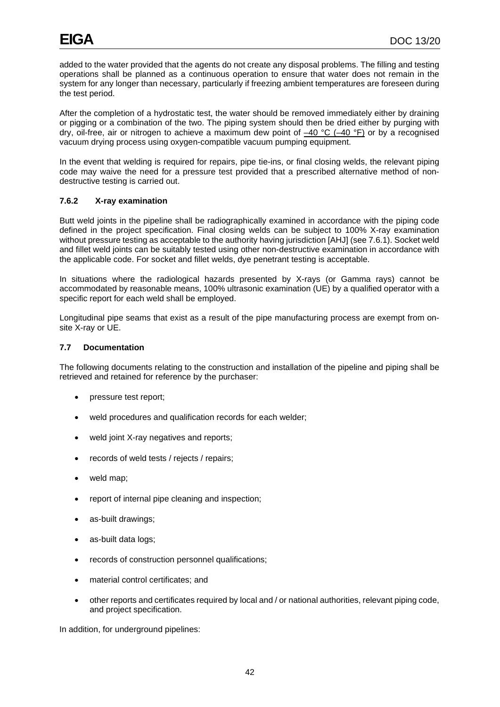added to the water provided that the agents do not create any disposal problems. The filling and testing operations shall be planned as a continuous operation to ensure that water does not remain in the system for any longer than necessary, particularly if freezing ambient temperatures are foreseen during the test period.

After the completion of a hydrostatic test, the water should be removed immediately either by draining or pigging or a combination of the two. The piping system should then be dried either by purging with dry, oil-free, air or nitrogen to achieve a maximum dew point of  $-40$  °C ( $-40$  °F) or by a recognised vacuum drying process using oxygen-compatible vacuum pumping equipment.

In the event that welding is required for repairs, pipe tie-ins, or final closing welds, the relevant piping code may waive the need for a pressure test provided that a prescribed alternative method of nondestructive testing is carried out.

# **7.6.2 X-ray examination**

Butt weld joints in the pipeline shall be radiographically examined in accordance with the piping code defined in the project specification. Final closing welds can be subject to 100% X-ray examination without pressure testing as acceptable to the authority having jurisdiction [AHJ] (see 7.6.1). Socket weld and fillet weld joints can be suitably tested using other non-destructive examination in accordance with the applicable code. For socket and fillet welds, dye penetrant testing is acceptable.

In situations where the radiological hazards presented by X-rays (or Gamma rays) cannot be accommodated by reasonable means, 100% ultrasonic examination (UE) by a qualified operator with a specific report for each weld shall be employed.

Longitudinal pipe seams that exist as a result of the pipe manufacturing process are exempt from onsite X-ray or UE.

## **7.7 Documentation**

The following documents relating to the construction and installation of the pipeline and piping shall be retrieved and retained for reference by the purchaser:

- pressure test report;
- weld procedures and qualification records for each welder;
- weld joint X-ray negatives and reports;
- records of weld tests / rejects / repairs;
- weld map;
- report of internal pipe cleaning and inspection;
- as-built drawings;
- as-built data logs;
- records of construction personnel qualifications:
- material control certificates; and
- other reports and certificates required by local and / or national authorities, relevant piping code, and project specification.

In addition, for underground pipelines: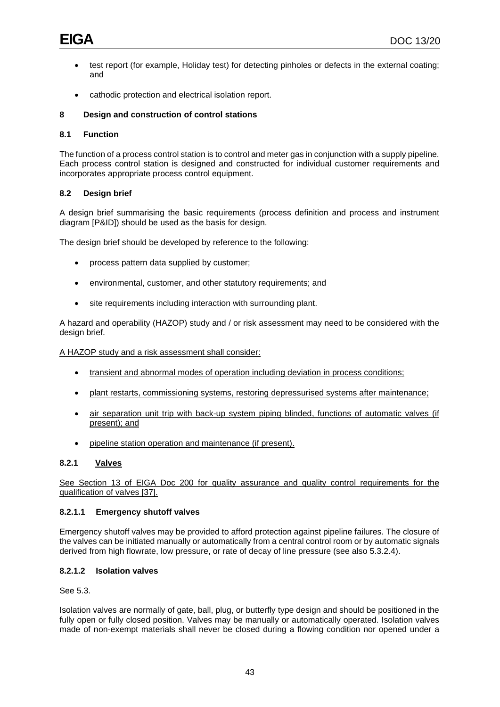- test report (for example, Holiday test) for detecting pinholes or defects in the external coating; and
- cathodic protection and electrical isolation report.

## **8 Design and construction of control stations**

## **8.1 Function**

The function of a process control station is to control and meter gas in conjunction with a supply pipeline. Each process control station is designed and constructed for individual customer requirements and incorporates appropriate process control equipment.

## **8.2 Design brief**

A design brief summarising the basic requirements (process definition and process and instrument diagram [P&ID]) should be used as the basis for design.

The design brief should be developed by reference to the following:

- process pattern data supplied by customer;
- environmental, customer, and other statutory requirements; and
- site requirements including interaction with surrounding plant.

A hazard and operability (HAZOP) study and / or risk assessment may need to be considered with the design brief.

A HAZOP study and a risk assessment shall consider:

- transient and abnormal modes of operation including deviation in process conditions;
- plant restarts, commissioning systems, restoring depressurised systems after maintenance;
- air separation unit trip with back-up system piping blinded, functions of automatic valves (if present); and
- pipeline station operation and maintenance (if present).

### **8.2.1 Valves**

See Section 13 of EIGA Doc 200 for quality assurance and quality control requirements for the qualification of valves [37].

#### **8.2.1.1 Emergency shutoff valves**

Emergency shutoff valves may be provided to afford protection against pipeline failures. The closure of the valves can be initiated manually or automatically from a central control room or by automatic signals derived from high flowrate, low pressure, or rate of decay of line pressure (see also 5.3.2.4).

## **8.2.1.2 Isolation valves**

See 5.3.

Isolation valves are normally of gate, ball, plug, or butterfly type design and should be positioned in the fully open or fully closed position. Valves may be manually or automatically operated. Isolation valves made of non-exempt materials shall never be closed during a flowing condition nor opened under a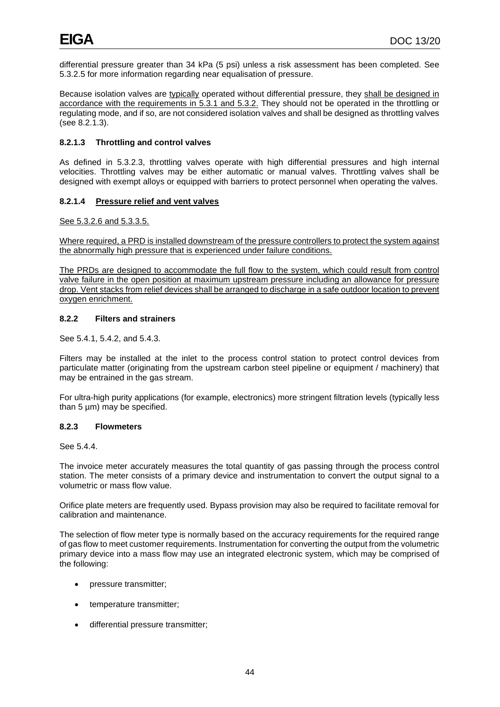differential pressure greater than 34 kPa (5 psi) unless a risk assessment has been completed. See 5.3.2.5 for more information regarding near equalisation of pressure.

Because isolation valves are typically operated without differential pressure, they shall be designed in accordance with the requirements in 5.3.1 and 5.3.2. They should not be operated in the throttling or regulating mode, and if so, are not considered isolation valves and shall be designed as throttling valves (see 8.2.1.3).

# **8.2.1.3 Throttling and control valves**

As defined in 5.3.2.3, throttling valves operate with high differential pressures and high internal velocities. Throttling valves may be either automatic or manual valves. Throttling valves shall be designed with exempt alloys or equipped with barriers to protect personnel when operating the valves.

## **8.2.1.4 Pressure relief and vent valves**

See 5.3.2.6 and 5.3.3.5.

Where required, a PRD is installed downstream of the pressure controllers to protect the system against the abnormally high pressure that is experienced under failure conditions.

The PRDs are designed to accommodate the full flow to the system, which could result from control valve failure in the open position at maximum upstream pressure including an allowance for pressure drop. Vent stacks from relief devices shall be arranged to discharge in a safe outdoor location to prevent oxygen enrichment.

## **8.2.2 Filters and strainers**

See 5.4.1, 5.4.2, and 5.4.3.

Filters may be installed at the inlet to the process control station to protect control devices from particulate matter (originating from the upstream carbon steel pipeline or equipment / machinery) that may be entrained in the gas stream.

For ultra-high purity applications (for example, electronics) more stringent filtration levels (typically less than 5 µm) may be specified.

#### **8.2.3 Flowmeters**

See 5.4.4.

The invoice meter accurately measures the total quantity of gas passing through the process control station. The meter consists of a primary device and instrumentation to convert the output signal to a volumetric or mass flow value.

Orifice plate meters are frequently used. Bypass provision may also be required to facilitate removal for calibration and maintenance.

The selection of flow meter type is normally based on the accuracy requirements for the required range of gas flow to meet customer requirements. Instrumentation for converting the output from the volumetric primary device into a mass flow may use an integrated electronic system, which may be comprised of the following:

- pressure transmitter;
- temperature transmitter;
- differential pressure transmitter;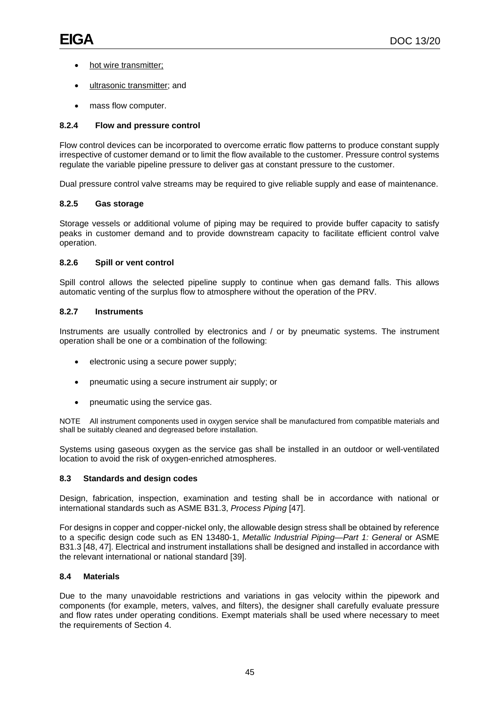- hot wire transmitter;
- ultrasonic transmitter; and
- mass flow computer.

# **8.2.4 Flow and pressure control**

Flow control devices can be incorporated to overcome erratic flow patterns to produce constant supply irrespective of customer demand or to limit the flow available to the customer. Pressure control systems regulate the variable pipeline pressure to deliver gas at constant pressure to the customer.

Dual pressure control valve streams may be required to give reliable supply and ease of maintenance.

# **8.2.5 Gas storage**

Storage vessels or additional volume of piping may be required to provide buffer capacity to satisfy peaks in customer demand and to provide downstream capacity to facilitate efficient control valve operation.

# **8.2.6 Spill or vent control**

Spill control allows the selected pipeline supply to continue when gas demand falls. This allows automatic venting of the surplus flow to atmosphere without the operation of the PRV.

# **8.2.7 Instruments**

Instruments are usually controlled by electronics and / or by pneumatic systems. The instrument operation shall be one or a combination of the following:

- electronic using a secure power supply;
- pneumatic using a secure instrument air supply; or
- pneumatic using the service gas.

NOTE All instrument components used in oxygen service shall be manufactured from compatible materials and shall be suitably cleaned and degreased before installation.

Systems using gaseous oxygen as the service gas shall be installed in an outdoor or well-ventilated location to avoid the risk of oxygen-enriched atmospheres.

# **8.3 Standards and design codes**

Design, fabrication, inspection, examination and testing shall be in accordance with national or international standards such as ASME B31.3, *Process Piping* [47].

For designs in copper and copper-nickel only, the allowable design stress shall be obtained by reference to a specific design code such as EN 13480-1, *Metallic Industrial Piping—Part 1: General* or ASME B31.3 [48, 47]. Electrical and instrument installations shall be designed and installed in accordance with the relevant international or national standard [39].

# **8.4 Materials**

Due to the many unavoidable restrictions and variations in gas velocity within the pipework and components (for example, meters, valves, and filters), the designer shall carefully evaluate pressure and flow rates under operating conditions. Exempt materials shall be used where necessary to meet the requirements of Section 4.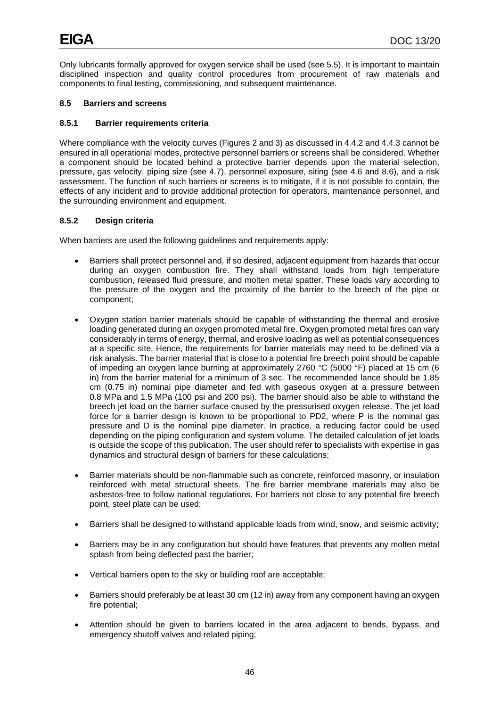Only lubricants formally approved for oxygen service shall be used (see 5.5). It is important to maintain disciplined inspection and quality control procedures from procurement of raw materials and components to final testing, commissioning, and subsequent maintenance.

## **8.5 Barriers and screens**

## **8.5.1 Barrier requirements criteria**

Where compliance with the velocity curves (Figures 2 and 3) as discussed in 4.4.2 and 4.4.3 cannot be ensured in all operational modes, protective personnel barriers or screens shall be considered. Whether a component should be located behind a protective barrier depends upon the material selection, pressure, gas velocity, piping size (see 4.7), personnel exposure, siting (see 4.6 and 8.6), and a risk assessment. The function of such barriers or screens is to mitigate, if it is not possible to contain, the effects of any incident and to provide additional protection for operators, maintenance personnel, and the surrounding environment and equipment.

## **8.5.2 Design criteria**

When barriers are used the following guidelines and requirements apply:

- Barriers shall protect personnel and, if so desired, adjacent equipment from hazards that occur during an oxygen combustion fire. They shall withstand loads from high temperature combustion, released fluid pressure, and molten metal spatter. These loads vary according to the pressure of the oxygen and the proximity of the barrier to the breech of the pipe or component;
- Oxygen station barrier materials should be capable of withstanding the thermal and erosive loading generated during an oxygen promoted metal fire. Oxygen promoted metal fires can vary considerably in terms of energy, thermal, and erosive loading as well as potential consequences at a specific site. Hence, the requirements for barrier materials may need to be defined via a risk analysis. The barrier material that is close to a potential fire breech point should be capable of impeding an oxygen lance burning at approximately 2760 °C (5000 °F) placed at 15 cm (6 in) from the barrier material for a minimum of 3 sec. The recommended lance should be 1.85 cm (0.75 in) nominal pipe diameter and fed with gaseous oxygen at a pressure between 0.8 MPa and 1.5 MPa (100 psi and 200 psi). The barrier should also be able to withstand the breech jet load on the barrier surface caused by the pressurised oxygen release. The jet load force for a barrier design is known to be proportional to PD2, where P is the nominal gas pressure and D is the nominal pipe diameter. In practice, a reducing factor could be used depending on the piping configuration and system volume. The detailed calculation of jet loads is outside the scope of this publication. The user should refer to specialists with expertise in gas dynamics and structural design of barriers for these calculations;
- Barrier materials should be non-flammable such as concrete, reinforced masonry, or insulation reinforced with metal structural sheets. The fire barrier membrane materials may also be asbestos-free to follow national regulations. For barriers not close to any potential fire breech point, steel plate can be used;
- Barriers shall be designed to withstand applicable loads from wind, snow, and seismic activity;
- Barriers may be in any configuration but should have features that prevents any molten metal splash from being deflected past the barrier;
- Vertical barriers open to the sky or building roof are acceptable;
- Barriers should preferably be at least 30 cm (12 in) away from any component having an oxygen fire potential;
- Attention should be given to barriers located in the area adjacent to bends, bypass, and emergency shutoff valves and related piping;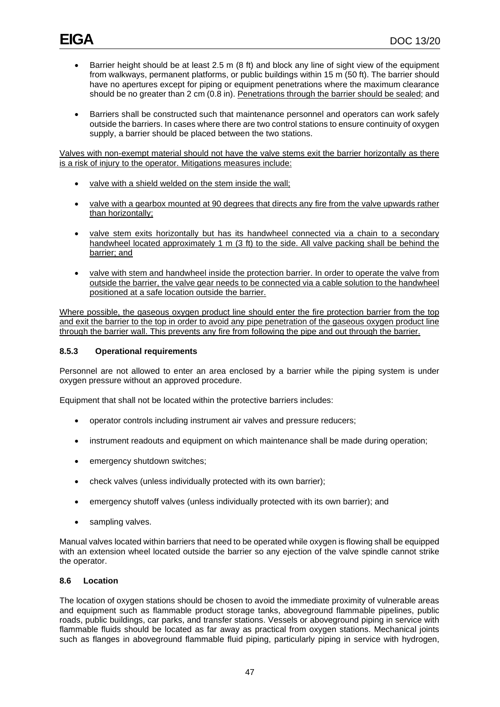- Barrier height should be at least 2.5 m (8 ft) and block any line of sight view of the equipment from walkways, permanent platforms, or public buildings within 15 m (50 ft). The barrier should have no apertures except for piping or equipment penetrations where the maximum clearance should be no greater than 2 cm (0.8 in). Penetrations through the barrier should be sealed; and
- Barriers shall be constructed such that maintenance personnel and operators can work safely outside the barriers. In cases where there are two control stations to ensure continuity of oxygen supply, a barrier should be placed between the two stations.

Valves with non-exempt material should not have the valve stems exit the barrier horizontally as there is a risk of injury to the operator. Mitigations measures include:

- valve with a shield welded on the stem inside the wall;
- valve with a gearbox mounted at 90 degrees that directs any fire from the valve upwards rather than horizontally;
- valve stem exits horizontally but has its handwheel connected via a chain to a secondary handwheel located approximately 1 m (3 ft) to the side. All valve packing shall be behind the barrier; and
- valve with stem and handwheel inside the protection barrier. In order to operate the valve from outside the barrier, the valve gear needs to be connected via a cable solution to the handwheel positioned at a safe location outside the barrier.

Where possible, the gaseous oxygen product line should enter the fire protection barrier from the top and exit the barrier to the top in order to avoid any pipe penetration of the gaseous oxygen product line through the barrier wall. This prevents any fire from following the pipe and out through the barrier.

## **8.5.3 Operational requirements**

Personnel are not allowed to enter an area enclosed by a barrier while the piping system is under oxygen pressure without an approved procedure.

Equipment that shall not be located within the protective barriers includes:

- operator controls including instrument air valves and pressure reducers;
- instrument readouts and equipment on which maintenance shall be made during operation;
- emergency shutdown switches;
- check valves (unless individually protected with its own barrier);
- emergency shutoff valves (unless individually protected with its own barrier); and
- sampling valves.

Manual valves located within barriers that need to be operated while oxygen is flowing shall be equipped with an extension wheel located outside the barrier so any ejection of the valve spindle cannot strike the operator.

### **8.6 Location**

The location of oxygen stations should be chosen to avoid the immediate proximity of vulnerable areas and equipment such as flammable product storage tanks, aboveground flammable pipelines, public roads, public buildings, car parks, and transfer stations. Vessels or aboveground piping in service with flammable fluids should be located as far away as practical from oxygen stations. Mechanical joints such as flanges in aboveground flammable fluid piping, particularly piping in service with hydrogen,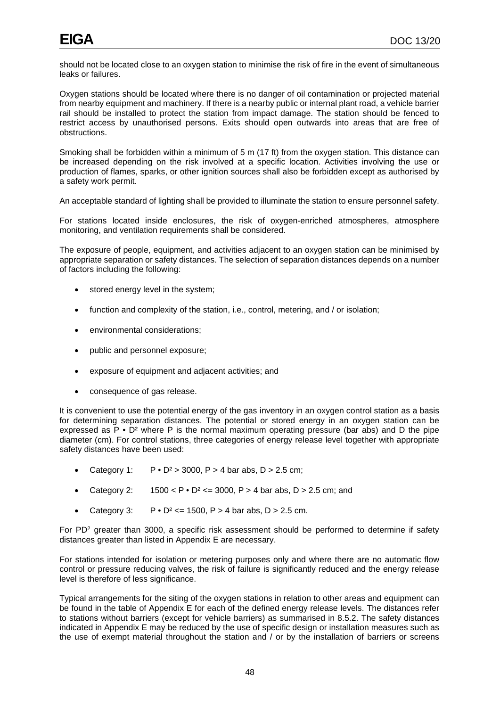should not be located close to an oxygen station to minimise the risk of fire in the event of simultaneous leaks or failures.

Oxygen stations should be located where there is no danger of oil contamination or projected material from nearby equipment and machinery. If there is a nearby public or internal plant road, a vehicle barrier rail should be installed to protect the station from impact damage. The station should be fenced to restrict access by unauthorised persons. Exits should open outwards into areas that are free of obstructions.

Smoking shall be forbidden within a minimum of 5 m (17 ft) from the oxygen station. This distance can be increased depending on the risk involved at a specific location. Activities involving the use or production of flames, sparks, or other ignition sources shall also be forbidden except as authorised by a safety work permit.

An acceptable standard of lighting shall be provided to illuminate the station to ensure personnel safety.

For stations located inside enclosures, the risk of oxygen-enriched atmospheres, atmosphere monitoring, and ventilation requirements shall be considered.

The exposure of people, equipment, and activities adjacent to an oxygen station can be minimised by appropriate separation or safety distances. The selection of separation distances depends on a number of factors including the following:

- stored energy level in the system;
- function and complexity of the station, i.e., control, metering, and / or isolation;
- environmental considerations:
- public and personnel exposure;
- exposure of equipment and adjacent activities; and
- consequence of gas release.

It is convenient to use the potential energy of the gas inventory in an oxygen control station as a basis for determining separation distances. The potential or stored energy in an oxygen station can be expressed as  $\overline{P} \cdot \overline{D^2}$  where P is the normal maximum operating pressure (bar abs) and D the pipe diameter (cm). For control stations, three categories of energy release level together with appropriate safety distances have been used:

- Category 1:  $P \cdot D^2 > 3000$ ,  $P > 4$  bar abs,  $D > 2.5$  cm;
- Category 2:  $1500 < P \cdot D^2 \le 3000$ ,  $P > 4$  bar abs,  $D > 2.5$  cm; and
- Category 3:  $P \cdot D^2 \le 1500$ ,  $P > 4$  bar abs,  $D > 2.5$  cm.

For PD2 greater than 3000, a specific risk assessment should be performed to determine if safety distances greater than listed in Appendix E are necessary.

For stations intended for isolation or metering purposes only and where there are no automatic flow control or pressure reducing valves, the risk of failure is significantly reduced and the energy release level is therefore of less significance.

Typical arrangements for the siting of the oxygen stations in relation to other areas and equipment can be found in the table of Appendix E for each of the defined energy release levels. The distances refer to stations without barriers (except for vehicle barriers) as summarised in 8.5.2. The safety distances indicated in Appendix E may be reduced by the use of specific design or installation measures such as the use of exempt material throughout the station and / or by the installation of barriers or screens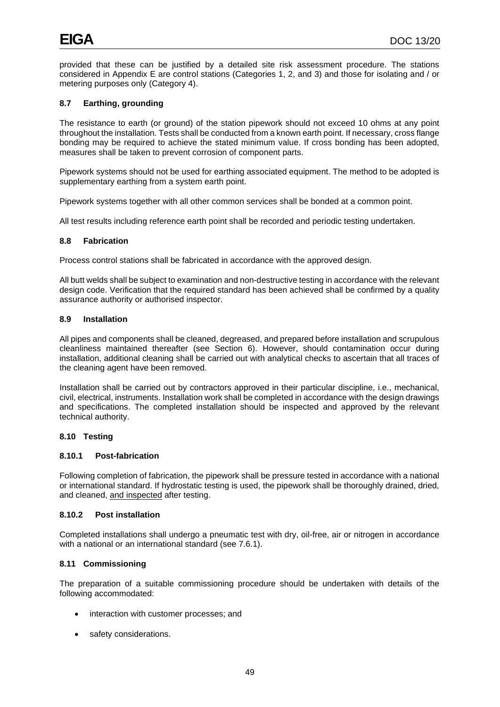provided that these can be justified by a detailed site risk assessment procedure. The stations considered in Appendix E are control stations (Categories 1, 2, and 3) and those for isolating and / or metering purposes only (Category 4).

# **8.7 Earthing, grounding**

The resistance to earth (or ground) of the station pipework should not exceed 10 ohms at any point throughout the installation. Tests shall be conducted from a known earth point. If necessary, cross flange bonding may be required to achieve the stated minimum value. If cross bonding has been adopted, measures shall be taken to prevent corrosion of component parts.

Pipework systems should not be used for earthing associated equipment. The method to be adopted is supplementary earthing from a system earth point.

Pipework systems together with all other common services shall be bonded at a common point.

All test results including reference earth point shall be recorded and periodic testing undertaken.

#### **8.8 Fabrication**

Process control stations shall be fabricated in accordance with the approved design.

All butt welds shall be subject to examination and non-destructive testing in accordance with the relevant design code. Verification that the required standard has been achieved shall be confirmed by a quality assurance authority or authorised inspector.

#### **8.9 Installation**

All pipes and components shall be cleaned, degreased, and prepared before installation and scrupulous cleanliness maintained thereafter (see Section 6). However, should contamination occur during installation, additional cleaning shall be carried out with analytical checks to ascertain that all traces of the cleaning agent have been removed.

Installation shall be carried out by contractors approved in their particular discipline, i.e., mechanical, civil, electrical, instruments. Installation work shall be completed in accordance with the design drawings and specifications. The completed installation should be inspected and approved by the relevant technical authority.

#### **8.10 Testing**

## **8.10.1 Post-fabrication**

Following completion of fabrication, the pipework shall be pressure tested in accordance with a national or international standard. If hydrostatic testing is used, the pipework shall be thoroughly drained, dried, and cleaned, and inspected after testing.

#### **8.10.2 Post installation**

Completed installations shall undergo a pneumatic test with dry, oil-free, air or nitrogen in accordance with a national or an international standard (see 7.6.1).

#### **8.11 Commissioning**

The preparation of a suitable commissioning procedure should be undertaken with details of the following accommodated:

- interaction with customer processes; and
- safety considerations.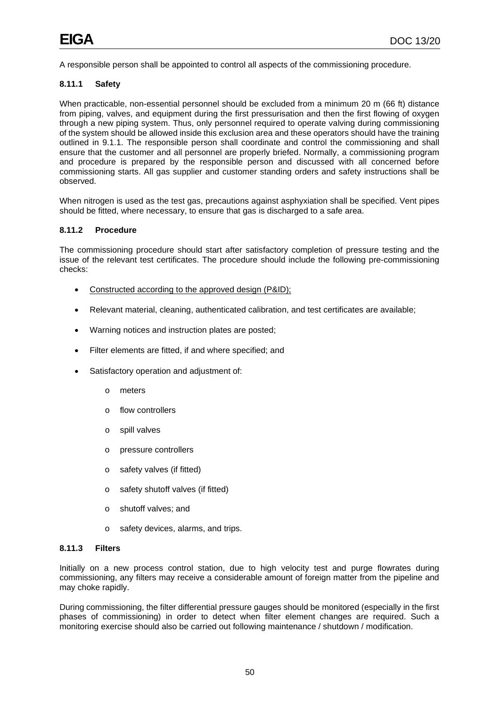A responsible person shall be appointed to control all aspects of the commissioning procedure.

## **8.11.1 Safety**

When practicable, non-essential personnel should be excluded from a minimum 20 m (66 ft) distance from piping, valves, and equipment during the first pressurisation and then the first flowing of oxygen through a new piping system. Thus, only personnel required to operate valving during commissioning of the system should be allowed inside this exclusion area and these operators should have the training outlined in 9.1.1. The responsible person shall coordinate and control the commissioning and shall ensure that the customer and all personnel are properly briefed. Normally, a commissioning program and procedure is prepared by the responsible person and discussed with all concerned before commissioning starts. All gas supplier and customer standing orders and safety instructions shall be observed.

When nitrogen is used as the test gas, precautions against asphyxiation shall be specified. Vent pipes should be fitted, where necessary, to ensure that gas is discharged to a safe area.

## **8.11.2 Procedure**

The commissioning procedure should start after satisfactory completion of pressure testing and the issue of the relevant test certificates. The procedure should include the following pre-commissioning checks:

- Constructed according to the approved design (P&ID);
- Relevant material, cleaning, authenticated calibration, and test certificates are available;
- Warning notices and instruction plates are posted;
- Filter elements are fitted, if and where specified; and
- Satisfactory operation and adjustment of:
	- o meters
	- o flow controllers
	- o spill valves
	- o pressure controllers
	- o safety valves (if fitted)
	- o safety shutoff valves (if fitted)
	- o shutoff valves; and
	- o safety devices, alarms, and trips.

#### **8.11.3 Filters**

Initially on a new process control station, due to high velocity test and purge flowrates during commissioning, any filters may receive a considerable amount of foreign matter from the pipeline and may choke rapidly.

During commissioning, the filter differential pressure gauges should be monitored (especially in the first phases of commissioning) in order to detect when filter element changes are required. Such a monitoring exercise should also be carried out following maintenance / shutdown / modification.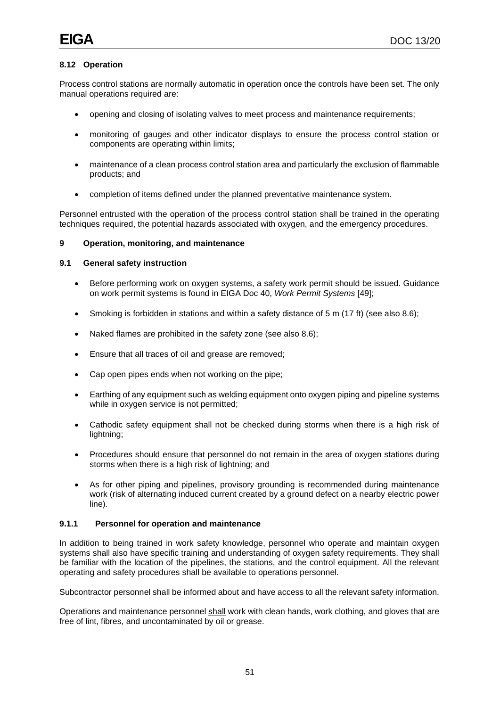# **8.12 Operation**

Process control stations are normally automatic in operation once the controls have been set. The only manual operations required are:

- opening and closing of isolating valves to meet process and maintenance requirements;
- monitoring of gauges and other indicator displays to ensure the process control station or components are operating within limits;
- maintenance of a clean process control station area and particularly the exclusion of flammable products; and
- completion of items defined under the planned preventative maintenance system.

Personnel entrusted with the operation of the process control station shall be trained in the operating techniques required, the potential hazards associated with oxygen, and the emergency procedures.

## **9 Operation, monitoring, and maintenance**

# **9.1 General safety instruction**

- Before performing work on oxygen systems, a safety work permit should be issued. Guidance on work permit systems is found in EIGA Doc 40, *Work Permit Systems* [49];
- Smoking is forbidden in stations and within a safety distance of 5 m (17 ft) (see also 8.6);
- Naked flames are prohibited in the safety zone (see also 8.6);
- Ensure that all traces of oil and grease are removed;
- Cap open pipes ends when not working on the pipe;
- Earthing of any equipment such as welding equipment onto oxygen piping and pipeline systems while in oxygen service is not permitted;
- Cathodic safety equipment shall not be checked during storms when there is a high risk of lightning;
- Procedures should ensure that personnel do not remain in the area of oxygen stations during storms when there is a high risk of lightning; and
- As for other piping and pipelines, provisory grounding is recommended during maintenance work (risk of alternating induced current created by a ground defect on a nearby electric power line).

# **9.1.1 Personnel for operation and maintenance**

In addition to being trained in work safety knowledge, personnel who operate and maintain oxygen systems shall also have specific training and understanding of oxygen safety requirements. They shall be familiar with the location of the pipelines, the stations, and the control equipment. All the relevant operating and safety procedures shall be available to operations personnel.

Subcontractor personnel shall be informed about and have access to all the relevant safety information.

Operations and maintenance personnel shall work with clean hands, work clothing, and gloves that are free of lint, fibres, and uncontaminated by oil or grease.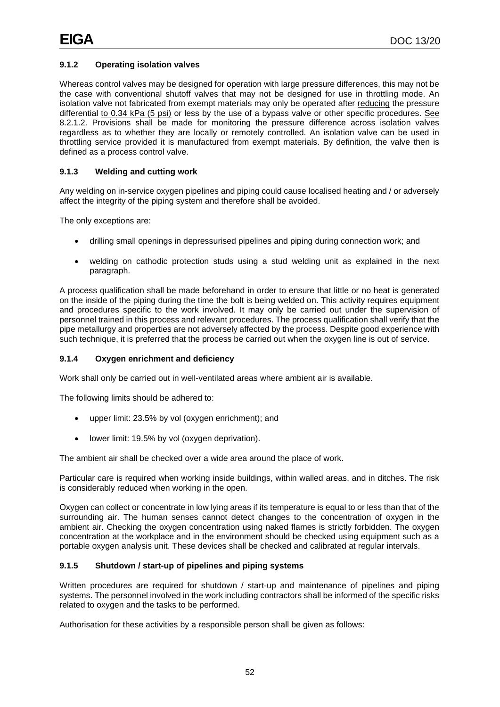# **9.1.2 Operating isolation valves**

Whereas control valves may be designed for operation with large pressure differences, this may not be the case with conventional shutoff valves that may not be designed for use in throttling mode. An isolation valve not fabricated from exempt materials may only be operated after reducing the pressure differential to 0.34 kPa (5 psi) or less by the use of a bypass valve or other specific procedures. See 8.2.1.2. Provisions shall be made for monitoring the pressure difference across isolation valves regardless as to whether they are locally or remotely controlled. An isolation valve can be used in throttling service provided it is manufactured from exempt materials. By definition, the valve then is defined as a process control valve.

## **9.1.3 Welding and cutting work**

Any welding on in-service oxygen pipelines and piping could cause localised heating and / or adversely affect the integrity of the piping system and therefore shall be avoided.

The only exceptions are:

- drilling small openings in depressurised pipelines and piping during connection work; and
- welding on cathodic protection studs using a stud welding unit as explained in the next paragraph.

A process qualification shall be made beforehand in order to ensure that little or no heat is generated on the inside of the piping during the time the bolt is being welded on. This activity requires equipment and procedures specific to the work involved. It may only be carried out under the supervision of personnel trained in this process and relevant procedures. The process qualification shall verify that the pipe metallurgy and properties are not adversely affected by the process. Despite good experience with such technique, it is preferred that the process be carried out when the oxygen line is out of service.

## **9.1.4 Oxygen enrichment and deficiency**

Work shall only be carried out in well-ventilated areas where ambient air is available.

The following limits should be adhered to:

- upper limit: 23.5% by vol (oxygen enrichment); and
- lower limit: 19.5% by vol (oxygen deprivation).

The ambient air shall be checked over a wide area around the place of work.

Particular care is required when working inside buildings, within walled areas, and in ditches. The risk is considerably reduced when working in the open.

Oxygen can collect or concentrate in low lying areas if its temperature is equal to or less than that of the surrounding air. The human senses cannot detect changes to the concentration of oxygen in the ambient air. Checking the oxygen concentration using naked flames is strictly forbidden. The oxygen concentration at the workplace and in the environment should be checked using equipment such as a portable oxygen analysis unit. These devices shall be checked and calibrated at regular intervals.

#### **9.1.5 Shutdown / start-up of pipelines and piping systems**

Written procedures are required for shutdown / start-up and maintenance of pipelines and piping systems. The personnel involved in the work including contractors shall be informed of the specific risks related to oxygen and the tasks to be performed.

Authorisation for these activities by a responsible person shall be given as follows: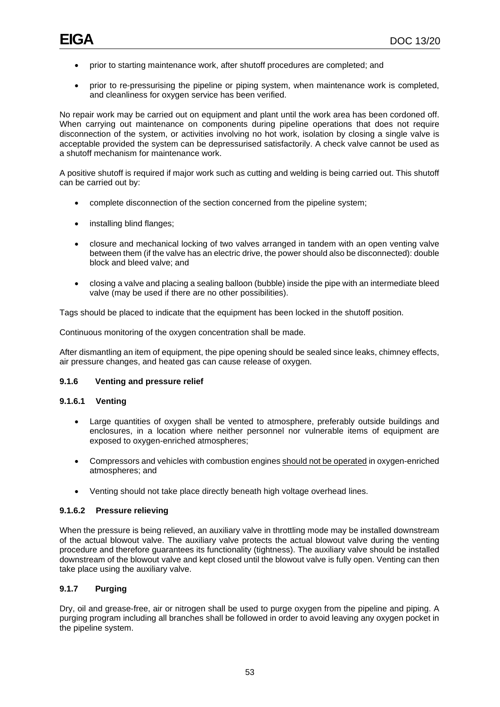- prior to starting maintenance work, after shutoff procedures are completed; and
- prior to re-pressurising the pipeline or piping system, when maintenance work is completed, and cleanliness for oxygen service has been verified.

No repair work may be carried out on equipment and plant until the work area has been cordoned off. When carrying out maintenance on components during pipeline operations that does not require disconnection of the system, or activities involving no hot work, isolation by closing a single valve is acceptable provided the system can be depressurised satisfactorily. A check valve cannot be used as a shutoff mechanism for maintenance work.

A positive shutoff is required if major work such as cutting and welding is being carried out. This shutoff can be carried out by:

- complete disconnection of the section concerned from the pipeline system;
- installing blind flanges;
- closure and mechanical locking of two valves arranged in tandem with an open venting valve between them (if the valve has an electric drive, the power should also be disconnected): double block and bleed valve; and
- closing a valve and placing a sealing balloon (bubble) inside the pipe with an intermediate bleed valve (may be used if there are no other possibilities).

Tags should be placed to indicate that the equipment has been locked in the shutoff position.

Continuous monitoring of the oxygen concentration shall be made.

After dismantling an item of equipment, the pipe opening should be sealed since leaks, chimney effects, air pressure changes, and heated gas can cause release of oxygen.

#### **9.1.6 Venting and pressure relief**

# **9.1.6.1 Venting**

- Large quantities of oxygen shall be vented to atmosphere, preferably outside buildings and enclosures, in a location where neither personnel nor vulnerable items of equipment are exposed to oxygen-enriched atmospheres;
- Compressors and vehicles with combustion engines should not be operated in oxygen-enriched atmospheres; and
- Venting should not take place directly beneath high voltage overhead lines.

#### **9.1.6.2 Pressure relieving**

When the pressure is being relieved, an auxiliary valve in throttling mode may be installed downstream of the actual blowout valve. The auxiliary valve protects the actual blowout valve during the venting procedure and therefore guarantees its functionality (tightness). The auxiliary valve should be installed downstream of the blowout valve and kept closed until the blowout valve is fully open. Venting can then take place using the auxiliary valve.

## **9.1.7 Purging**

Dry, oil and grease-free, air or nitrogen shall be used to purge oxygen from the pipeline and piping. A purging program including all branches shall be followed in order to avoid leaving any oxygen pocket in the pipeline system.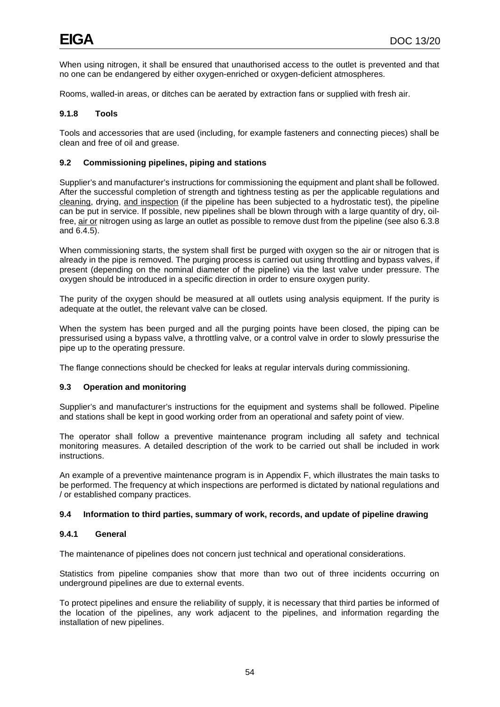When using nitrogen, it shall be ensured that unauthorised access to the outlet is prevented and that no one can be endangered by either oxygen-enriched or oxygen-deficient atmospheres.

Rooms, walled-in areas, or ditches can be aerated by extraction fans or supplied with fresh air.

# **9.1.8 Tools**

Tools and accessories that are used (including, for example fasteners and connecting pieces) shall be clean and free of oil and grease.

# **9.2 Commissioning pipelines, piping and stations**

Supplier's and manufacturer's instructions for commissioning the equipment and plant shall be followed. After the successful completion of strength and tightness testing as per the applicable regulations and cleaning, drying, and inspection (if the pipeline has been subjected to a hydrostatic test), the pipeline can be put in service. If possible, new pipelines shall be blown through with a large quantity of dry, oilfree, air or nitrogen using as large an outlet as possible to remove dust from the pipeline (see also 6.3.8 and 6.4.5).

When commissioning starts, the system shall first be purged with oxygen so the air or nitrogen that is already in the pipe is removed. The purging process is carried out using throttling and bypass valves, if present (depending on the nominal diameter of the pipeline) via the last valve under pressure. The oxygen should be introduced in a specific direction in order to ensure oxygen purity.

The purity of the oxygen should be measured at all outlets using analysis equipment. If the purity is adequate at the outlet, the relevant valve can be closed.

When the system has been purged and all the purging points have been closed, the piping can be pressurised using a bypass valve, a throttling valve, or a control valve in order to slowly pressurise the pipe up to the operating pressure.

The flange connections should be checked for leaks at regular intervals during commissioning.

# **9.3 Operation and monitoring**

Supplier's and manufacturer's instructions for the equipment and systems shall be followed. Pipeline and stations shall be kept in good working order from an operational and safety point of view.

The operator shall follow a preventive maintenance program including all safety and technical monitoring measures. A detailed description of the work to be carried out shall be included in work instructions.

An example of a preventive maintenance program is in Appendix F, which illustrates the main tasks to be performed. The frequency at which inspections are performed is dictated by national regulations and / or established company practices.

# **9.4 Information to third parties, summary of work, records, and update of pipeline drawing**

## **9.4.1 General**

The maintenance of pipelines does not concern just technical and operational considerations.

Statistics from pipeline companies show that more than two out of three incidents occurring on underground pipelines are due to external events.

To protect pipelines and ensure the reliability of supply, it is necessary that third parties be informed of the location of the pipelines, any work adjacent to the pipelines, and information regarding the installation of new pipelines.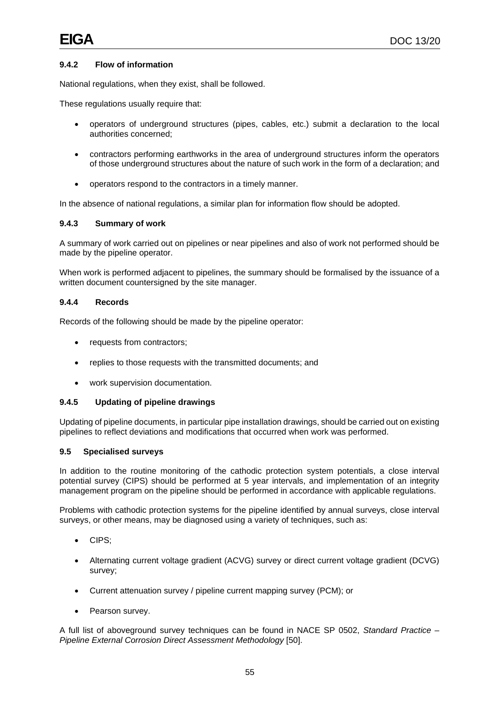# **9.4.2 Flow of information**

National regulations, when they exist, shall be followed.

These regulations usually require that:

- operators of underground structures (pipes, cables, etc.) submit a declaration to the local authorities concerned;
- contractors performing earthworks in the area of underground structures inform the operators of those underground structures about the nature of such work in the form of a declaration; and
- operators respond to the contractors in a timely manner.

In the absence of national regulations, a similar plan for information flow should be adopted.

## **9.4.3 Summary of work**

A summary of work carried out on pipelines or near pipelines and also of work not performed should be made by the pipeline operator.

When work is performed adjacent to pipelines, the summary should be formalised by the issuance of a written document countersigned by the site manager.

#### **9.4.4 Records**

Records of the following should be made by the pipeline operator:

- requests from contractors;
- replies to those requests with the transmitted documents; and
- work supervision documentation.

### **9.4.5 Updating of pipeline drawings**

Updating of pipeline documents, in particular pipe installation drawings, should be carried out on existing pipelines to reflect deviations and modifications that occurred when work was performed.

#### **9.5 Specialised surveys**

In addition to the routine monitoring of the cathodic protection system potentials, a close interval potential survey (CIPS) should be performed at 5 year intervals, and implementation of an integrity management program on the pipeline should be performed in accordance with applicable regulations.

Problems with cathodic protection systems for the pipeline identified by annual surveys, close interval surveys, or other means, may be diagnosed using a variety of techniques, such as:

- CIPS;
- Alternating current voltage gradient (ACVG) survey or direct current voltage gradient (DCVG) survey;
- Current attenuation survey / pipeline current mapping survey (PCM); or
- Pearson survey.

A full list of aboveground survey techniques can be found in NACE SP 0502, *Standard Practice – Pipeline External Corrosion Direct Assessment Methodology* [50].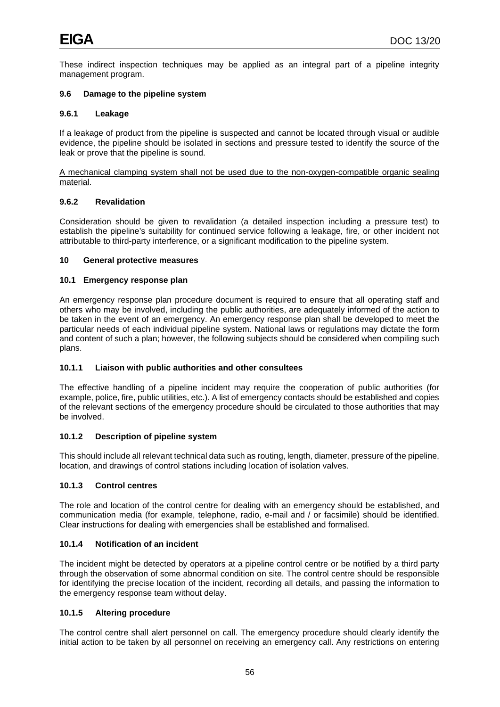These indirect inspection techniques may be applied as an integral part of a pipeline integrity management program.

## **9.6 Damage to the pipeline system**

## **9.6.1 Leakage**

If a leakage of product from the pipeline is suspected and cannot be located through visual or audible evidence, the pipeline should be isolated in sections and pressure tested to identify the source of the leak or prove that the pipeline is sound.

A mechanical clamping system shall not be used due to the non-oxygen-compatible organic sealing material.

# **9.6.2 Revalidation**

Consideration should be given to revalidation (a detailed inspection including a pressure test) to establish the pipeline's suitability for continued service following a leakage, fire, or other incident not attributable to third-party interference, or a significant modification to the pipeline system.

## **10 General protective measures**

## **10.1 Emergency response plan**

An emergency response plan procedure document is required to ensure that all operating staff and others who may be involved, including the public authorities, are adequately informed of the action to be taken in the event of an emergency. An emergency response plan shall be developed to meet the particular needs of each individual pipeline system. National laws or regulations may dictate the form and content of such a plan; however, the following subjects should be considered when compiling such plans.

# **10.1.1 Liaison with public authorities and other consultees**

The effective handling of a pipeline incident may require the cooperation of public authorities (for example, police, fire, public utilities, etc.). A list of emergency contacts should be established and copies of the relevant sections of the emergency procedure should be circulated to those authorities that may be involved.

# **10.1.2 Description of pipeline system**

This should include all relevant technical data such as routing, length, diameter, pressure of the pipeline, location, and drawings of control stations including location of isolation valves.

# **10.1.3 Control centres**

The role and location of the control centre for dealing with an emergency should be established, and communication media (for example, telephone, radio, e-mail and / or facsimile) should be identified. Clear instructions for dealing with emergencies shall be established and formalised.

# **10.1.4 Notification of an incident**

The incident might be detected by operators at a pipeline control centre or be notified by a third party through the observation of some abnormal condition on site. The control centre should be responsible for identifying the precise location of the incident, recording all details, and passing the information to the emergency response team without delay.

# **10.1.5 Altering procedure**

The control centre shall alert personnel on call. The emergency procedure should clearly identify the initial action to be taken by all personnel on receiving an emergency call. Any restrictions on entering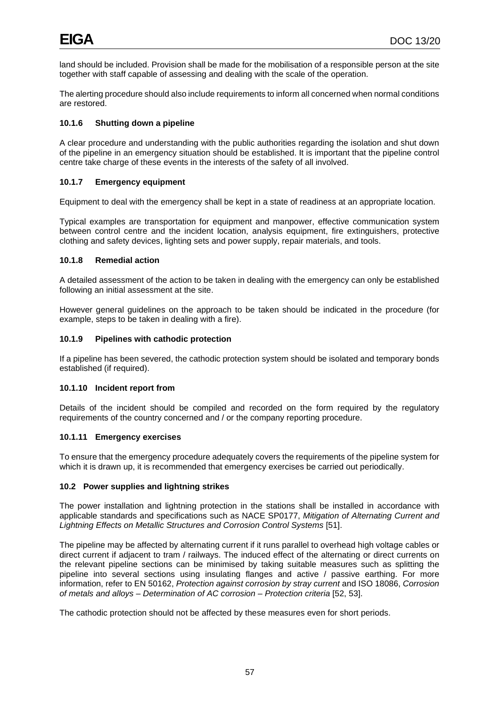land should be included. Provision shall be made for the mobilisation of a responsible person at the site together with staff capable of assessing and dealing with the scale of the operation.

The alerting procedure should also include requirements to inform all concerned when normal conditions are restored.

# **10.1.6 Shutting down a pipeline**

A clear procedure and understanding with the public authorities regarding the isolation and shut down of the pipeline in an emergency situation should be established. It is important that the pipeline control centre take charge of these events in the interests of the safety of all involved.

# **10.1.7 Emergency equipment**

Equipment to deal with the emergency shall be kept in a state of readiness at an appropriate location.

Typical examples are transportation for equipment and manpower, effective communication system between control centre and the incident location, analysis equipment, fire extinguishers, protective clothing and safety devices, lighting sets and power supply, repair materials, and tools.

# **10.1.8 Remedial action**

A detailed assessment of the action to be taken in dealing with the emergency can only be established following an initial assessment at the site.

However general guidelines on the approach to be taken should be indicated in the procedure (for example, steps to be taken in dealing with a fire).

# **10.1.9 Pipelines with cathodic protection**

If a pipeline has been severed, the cathodic protection system should be isolated and temporary bonds established (if required).

# **10.1.10 Incident report from**

Details of the incident should be compiled and recorded on the form required by the regulatory requirements of the country concerned and / or the company reporting procedure.

# **10.1.11 Emergency exercises**

To ensure that the emergency procedure adequately covers the requirements of the pipeline system for which it is drawn up, it is recommended that emergency exercises be carried out periodically.

# **10.2 Power supplies and lightning strikes**

The power installation and lightning protection in the stations shall be installed in accordance with applicable standards and specifications such as NACE SP0177, *Mitigation of Alternating Current and Lightning Effects on Metallic Structures and Corrosion Control Systems* [51].

The pipeline may be affected by alternating current if it runs parallel to overhead high voltage cables or direct current if adjacent to tram / railways. The induced effect of the alternating or direct currents on the relevant pipeline sections can be minimised by taking suitable measures such as splitting the pipeline into several sections using insulating flanges and active / passive earthing. For more information, refer to EN 50162, *Protection against corrosion by stray current* and ISO 18086, *Corrosion of metals and alloys – Determination of AC corrosion – Protection criteria* [52, 53].

The cathodic protection should not be affected by these measures even for short periods.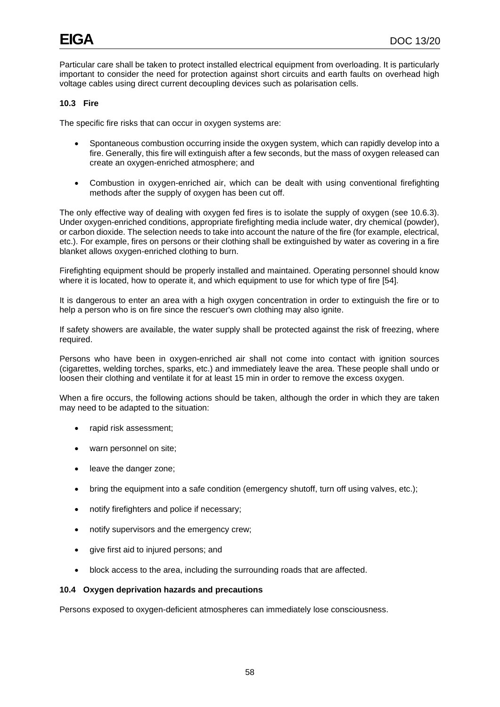Particular care shall be taken to protect installed electrical equipment from overloading. It is particularly important to consider the need for protection against short circuits and earth faults on overhead high voltage cables using direct current decoupling devices such as polarisation cells.

# **10.3 Fire**

The specific fire risks that can occur in oxygen systems are:

- Spontaneous combustion occurring inside the oxygen system, which can rapidly develop into a fire. Generally, this fire will extinguish after a few seconds, but the mass of oxygen released can create an oxygen-enriched atmosphere; and
- Combustion in oxygen-enriched air, which can be dealt with using conventional firefighting methods after the supply of oxygen has been cut off.

The only effective way of dealing with oxygen fed fires is to isolate the supply of oxygen (see 10.6.3). Under oxygen-enriched conditions, appropriate firefighting media include water, dry chemical (powder), or carbon dioxide. The selection needs to take into account the nature of the fire (for example, electrical, etc.). For example, fires on persons or their clothing shall be extinguished by water as covering in a fire blanket allows oxygen-enriched clothing to burn.

Firefighting equipment should be properly installed and maintained. Operating personnel should know where it is located, how to operate it, and which equipment to use for which type of fire [54].

It is dangerous to enter an area with a high oxygen concentration in order to extinguish the fire or to help a person who is on fire since the rescuer's own clothing may also ignite.

If safety showers are available, the water supply shall be protected against the risk of freezing, where required.

Persons who have been in oxygen-enriched air shall not come into contact with ignition sources (cigarettes, welding torches, sparks, etc.) and immediately leave the area. These people shall undo or loosen their clothing and ventilate it for at least 15 min in order to remove the excess oxygen.

When a fire occurs, the following actions should be taken, although the order in which they are taken may need to be adapted to the situation:

- rapid risk assessment;
- warn personnel on site;
- leave the danger zone;
- bring the equipment into a safe condition (emergency shutoff, turn off using valves, etc.);
- notify firefighters and police if necessary;
- notify supervisors and the emergency crew;
- give first aid to injured persons; and
- block access to the area, including the surrounding roads that are affected.

#### **10.4 Oxygen deprivation hazards and precautions**

Persons exposed to oxygen-deficient atmospheres can immediately lose consciousness.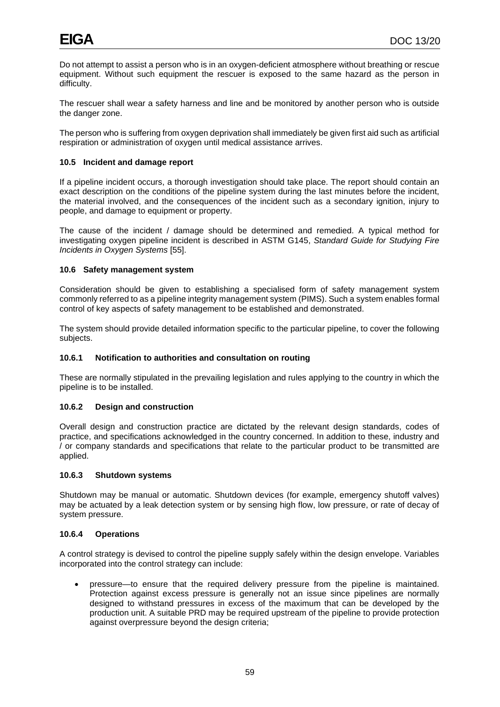Do not attempt to assist a person who is in an oxygen-deficient atmosphere without breathing or rescue equipment. Without such equipment the rescuer is exposed to the same hazard as the person in difficulty.

The rescuer shall wear a safety harness and line and be monitored by another person who is outside the danger zone.

The person who is suffering from oxygen deprivation shall immediately be given first aid such as artificial respiration or administration of oxygen until medical assistance arrives.

## **10.5 Incident and damage report**

If a pipeline incident occurs, a thorough investigation should take place. The report should contain an exact description on the conditions of the pipeline system during the last minutes before the incident, the material involved, and the consequences of the incident such as a secondary ignition, injury to people, and damage to equipment or property.

The cause of the incident / damage should be determined and remedied. A typical method for investigating oxygen pipeline incident is described in ASTM G145, *Standard Guide for Studying Fire Incidents in Oxygen Systems* [55].

## **10.6 Safety management system**

Consideration should be given to establishing a specialised form of safety management system commonly referred to as a pipeline integrity management system (PIMS). Such a system enables formal control of key aspects of safety management to be established and demonstrated.

The system should provide detailed information specific to the particular pipeline, to cover the following subjects.

## **10.6.1 Notification to authorities and consultation on routing**

These are normally stipulated in the prevailing legislation and rules applying to the country in which the pipeline is to be installed.

# **10.6.2 Design and construction**

Overall design and construction practice are dictated by the relevant design standards, codes of practice, and specifications acknowledged in the country concerned. In addition to these, industry and / or company standards and specifications that relate to the particular product to be transmitted are applied.

#### **10.6.3 Shutdown systems**

Shutdown may be manual or automatic. Shutdown devices (for example, emergency shutoff valves) may be actuated by a leak detection system or by sensing high flow, low pressure, or rate of decay of system pressure.

#### **10.6.4 Operations**

A control strategy is devised to control the pipeline supply safely within the design envelope. Variables incorporated into the control strategy can include:

• pressure—to ensure that the required delivery pressure from the pipeline is maintained. Protection against excess pressure is generally not an issue since pipelines are normally designed to withstand pressures in excess of the maximum that can be developed by the production unit. A suitable PRD may be required upstream of the pipeline to provide protection against overpressure beyond the design criteria;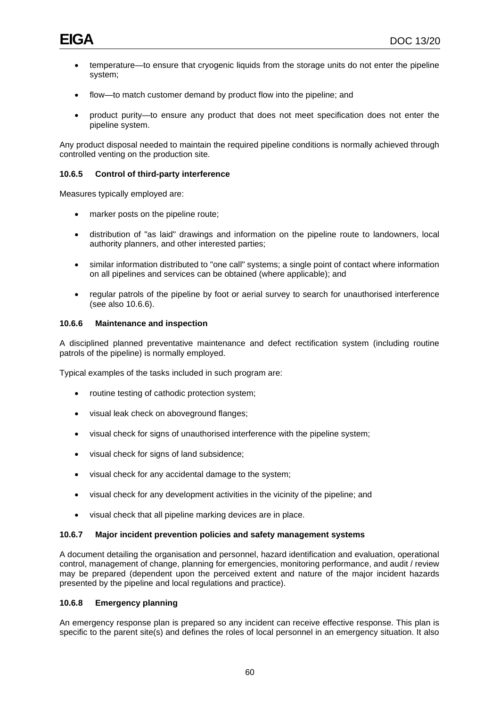- temperature—to ensure that cryogenic liquids from the storage units do not enter the pipeline system;
- flow—to match customer demand by product flow into the pipeline; and
- product purity—to ensure any product that does not meet specification does not enter the pipeline system.

Any product disposal needed to maintain the required pipeline conditions is normally achieved through controlled venting on the production site.

## **10.6.5 Control of third-party interference**

Measures typically employed are:

- marker posts on the pipeline route;
- distribution of "as laid" drawings and information on the pipeline route to landowners, local authority planners, and other interested parties;
- similar information distributed to "one call" systems; a single point of contact where information on all pipelines and services can be obtained (where applicable); and
- regular patrols of the pipeline by foot or aerial survey to search for unauthorised interference (see also 10.6.6).

#### **10.6.6 Maintenance and inspection**

A disciplined planned preventative maintenance and defect rectification system (including routine patrols of the pipeline) is normally employed.

Typical examples of the tasks included in such program are:

- routine testing of cathodic protection system;
- visual leak check on aboveground flanges;
- visual check for signs of unauthorised interference with the pipeline system;
- visual check for signs of land subsidence;
- visual check for any accidental damage to the system;
- visual check for any development activities in the vicinity of the pipeline; and
- visual check that all pipeline marking devices are in place.

#### **10.6.7 Major incident prevention policies and safety management systems**

A document detailing the organisation and personnel, hazard identification and evaluation, operational control, management of change, planning for emergencies, monitoring performance, and audit / review may be prepared (dependent upon the perceived extent and nature of the major incident hazards presented by the pipeline and local regulations and practice).

## **10.6.8 Emergency planning**

An emergency response plan is prepared so any incident can receive effective response. This plan is specific to the parent site(s) and defines the roles of local personnel in an emergency situation. It also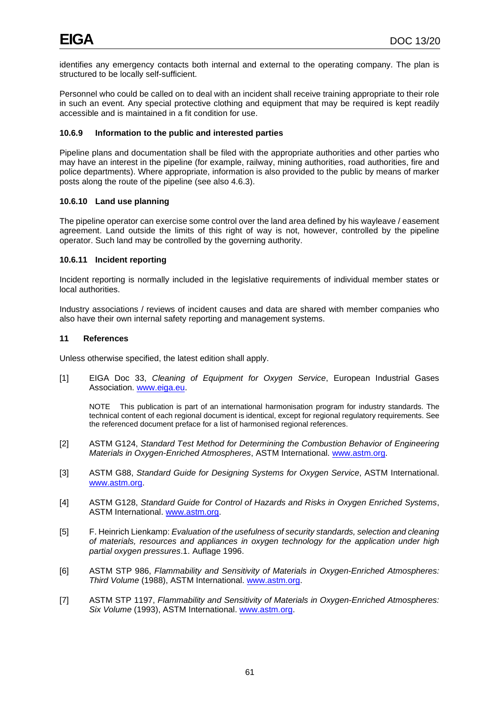identifies any emergency contacts both internal and external to the operating company. The plan is structured to be locally self-sufficient.

Personnel who could be called on to deal with an incident shall receive training appropriate to their role in such an event. Any special protective clothing and equipment that may be required is kept readily accessible and is maintained in a fit condition for use.

# **10.6.9 Information to the public and interested parties**

Pipeline plans and documentation shall be filed with the appropriate authorities and other parties who may have an interest in the pipeline (for example, railway, mining authorities, road authorities, fire and police departments). Where appropriate, information is also provided to the public by means of marker posts along the route of the pipeline (see also 4.6.3).

# **10.6.10 Land use planning**

The pipeline operator can exercise some control over the land area defined by his wayleave / easement agreement. Land outside the limits of this right of way is not, however, controlled by the pipeline operator. Such land may be controlled by the governing authority.

## **10.6.11 Incident reporting**

Incident reporting is normally included in the legislative requirements of individual member states or local authorities.

Industry associations / reviews of incident causes and data are shared with member companies who also have their own internal safety reporting and management systems.

#### **11 References**

Unless otherwise specified, the latest edition shall apply.

[1] EIGA Doc 33, *Cleaning of Equipment for Oxygen Service*, European Industrial Gases Association. [www.eiga.eu.](http://www.eiga.eu/)

NOTE This publication is part of an international harmonisation program for industry standards. The technical content of each regional document is identical, except for regional regulatory requirements. See the referenced document preface for a list of harmonised regional references.

- [2] ASTM G124, *Standard Test Method for Determining the Combustion Behavior of Engineering Materials in Oxygen-Enriched Atmospheres*, ASTM International. [www.astm.org.](http://www.astm.org/)
- [3] ASTM G88, *Standard Guide for Designing Systems for Oxygen Service*, ASTM International. [www.astm.org.](http://www.astm.org/)
- [4] ASTM G128, *Standard Guide for Control of Hazards and Risks in Oxygen Enriched Systems*, ASTM International. [www.astm.org.](http://www.astm.org/)
- [5] F. Heinrich Lienkamp: *Evaluation of the usefulness of security standards, selection and cleaning of materials, resources and appliances in oxygen technology for the application under high partial oxygen pressures*.1. Auflage 1996.
- [6] ASTM STP 986, *Flammability and Sensitivity of Materials in Oxygen-Enriched Atmospheres: Third Volume* (1988), ASTM International. [www.astm.org.](http://www.astm.org/)
- [7] ASTM STP 1197, *Flammability and Sensitivity of Materials in Oxygen-Enriched Atmospheres: Six Volume* (1993), ASTM International. [www.astm.org.](http://www.astm.org/)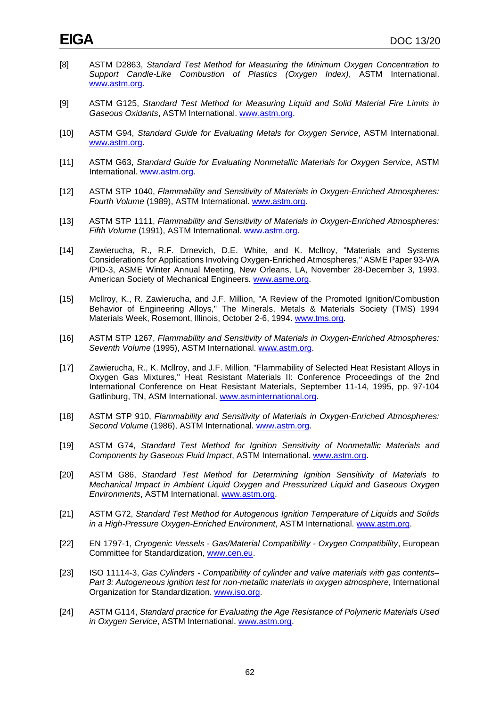- [8] ASTM D2863, *Standard Test Method for Measuring the Minimum Oxygen Concentration to Support Candle-Like Combustion of Plastics (Oxygen Index)*, ASTM International. [www.astm.org.](http://www.astm.org/)
- [9] ASTM G125, *Standard Test Method for Measuring Liquid and Solid Material Fire Limits in Gaseous Oxidants*, ASTM International. [www.astm.org.](http://www.astm.org/)
- [10] ASTM G94, *Standard Guide for Evaluating Metals for Oxygen Service*, ASTM International. [www.astm.org.](http://www.astm.org/)
- [11] ASTM G63, *Standard Guide for Evaluating Nonmetallic Materials for Oxygen Service*, ASTM International. [www.astm.org.](http://www.astm.org/)
- [12] ASTM STP 1040, *Flammability and Sensitivity of Materials in Oxygen-Enriched Atmospheres: Fourth Volume* (1989), ASTM International. [www.astm.org.](http://www.astm.org/)
- [13] ASTM STP 1111, *Flammability and Sensitivity of Materials in Oxygen-Enriched Atmospheres: Fifth Volume* (1991), ASTM International. [www.astm.org.](http://www.astm.org/)
- [14] Zawierucha, R., R.F. Drnevich, D.E. White, and K. Mcllroy, "Materials and Systems Considerations for Applications Involving Oxygen-Enriched Atmospheres," ASME Paper 93-WA /PID-3, ASME Winter Annual Meeting, New Orleans, LA, November 28-December 3, 1993. American Society of Mechanical Engineers. [www.asme.org.](http://www.asme.org/)
- [15] Mcllroy, K., R. Zawierucha, and J.F. Million, "A Review of the Promoted Ignition/Combustion Behavior of Engineering Alloys," The Minerals, Metals & Materials Society (TMS) 1994 Materials Week, Rosemont, Illinois, October 2-6, 1994. [www.tms.org.](http://www.tms.org/)
- [16] ASTM STP 1267, *Flammability and Sensitivity of Materials in Oxygen-Enriched Atmospheres: Seventh Volume* (1995), ASTM International. [www.astm.org.](http://www.astm.org/)
- [17] Zawierucha, R., K. Mcllroy, and J.F. Million, "Flammability of Selected Heat Resistant Alloys in Oxygen Gas Mixtures," Heat Resistant Materials II: Conference Proceedings of the 2nd International Conference on Heat Resistant Materials, September 11-14, 1995, pp. 97-104 Gatlinburg, TN, ASM International. [www.asminternational.org.](http://www.asminternational.org/)
- [18] ASTM STP 910, *Flammability and Sensitivity of Materials in Oxygen-Enriched Atmospheres: Second Volume* (1986), ASTM International. [www.astm.org.](http://www.astm.org/)
- [19] ASTM G74, *Standard Test Method for Ignition Sensitivity of Nonmetallic Materials and Components by Gaseous Fluid Impact*, ASTM International. [www.astm.org.](http://www.astm.org/)
- [20] ASTM G86, *Standard Test Method for Determining Ignition Sensitivity of Materials to Mechanical Impact in Ambient Liquid Oxygen and Pressurized Liquid and Gaseous Oxygen Environments*, ASTM International. [www.astm.org.](http://www.astm.org/)
- [21] ASTM G72, *Standard Test Method for Autogenous Ignition Temperature of Liquids and Solids in a High-Pressure Oxygen-Enriched Environment*, ASTM International. [www.astm.org.](http://www.astm.org/)
- [22] EN 1797-1, *Cryogenic Vessels - Gas/Material Compatibility - Oxygen Compatibility*, European Committee for Standardization, [www.cen.eu.](http://www.cen.eu/)
- [23] ISO 11114-3, *Gas Cylinders - Compatibility of cylinder and valve materials with gas contents– Part 3: Autogeneous ignition test for non-metallic materials in oxygen atmosphere*, International Organization for Standardization. [www.iso.org.](http://www.iso.org/)
- [24] ASTM G114, *Standard practice for Evaluating the Age Resistance of Polymeric Materials Used in Oxygen Service*, ASTM International. [www.astm.org.](http://www.astm.org/)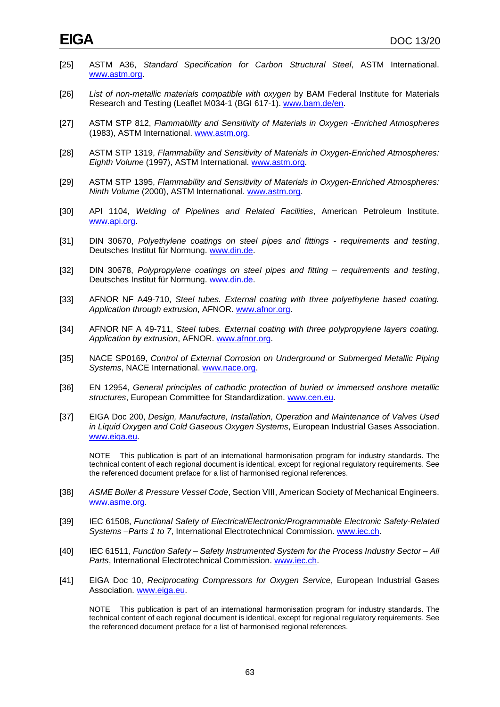- [25] ASTM A36, *Standard Specification for Carbon Structural Steel*, ASTM International. [www.astm.org.](http://www.astm.org/)
- [26] *List of non-metallic materials compatible with oxygen* by BAM Federal Institute for Materials Research and Testing (Leaflet M034-1 (BGI 617-1). [www.bam.de/en.](http://www.bam.de/en)
- [27] ASTM STP 812, *Flammability and Sensitivity of Materials in Oxygen -Enriched Atmospheres* (1983), ASTM International. [www.astm.org.](http://www.astm.org/)
- [28] ASTM STP 1319, *Flammability and Sensitivity of Materials in Oxygen-Enriched Atmospheres: Eighth Volume* (1997), ASTM International. [www.astm.org.](http://www.astm.org/)
- [29] ASTM STP 1395, *Flammability and Sensitivity of Materials in Oxygen-Enriched Atmospheres: Ninth Volume* (2000), ASTM International. [www.astm.org.](http://www.astm.org/)
- [30] API 1104, *Welding of Pipelines and Related Facilities*, American Petroleum Institute. [www.api.org.](http://www.api.org/)
- [31] DIN 30670, *Polyethylene coatings on steel pipes and fittings - requirements and testing*, Deutsches Institut für Normung. [www.din.de.](http://www.din.de/)
- [32] DIN 30678, *Polypropylene coatings on steel pipes and fitting – requirements and testing*, Deutsches Institut für Normung. [www.din.de.](http://www.din.de/)
- [33] AFNOR NF A49-710, *Steel tubes. External coating with three polyethylene based coating. Application through extrusion*, AFNOR. [www.afnor.org.](http://www.afnor.org/)
- [34] AFNOR NF A 49-711, *Steel tubes. External coating with three polypropylene layers coating. Application by extrusion*, AFNOR. [www.afnor.org.](http://www.afnor.org/)
- [35] NACE SP0169, *Control of External Corrosion on Underground or Submerged Metallic Piping Systems*, NACE International. [www.nace.org.](http://www.nace.org/)
- [36] EN 12954, *General principles of cathodic protection of buried or immersed onshore metallic structures*, European Committee for Standardization. [www.cen.eu.](http://www.cen.eu/)
- [37] EIGA Doc 200, *Design, Manufacture, Installation, Operation and Maintenance of Valves Used in Liquid Oxygen and Cold Gaseous Oxygen Systems*, European Industrial Gases Association. [www.eiga.eu.](http://www.eiga.eu/)

NOTE This publication is part of an international harmonisation program for industry standards. The technical content of each regional document is identical, except for regional regulatory requirements. See the referenced document preface for a list of harmonised regional references.

- [38] *ASME Boiler & Pressure Vessel Code*, Section VIII, American Society of Mechanical Engineers. [www.asme.org.](http://www.asme.org/)
- [39] IEC 61508, *Functional Safety of Electrical/Electronic/Programmable Electronic Safety-Related Systems –Parts 1 to 7*, International Electrotechnical Commission. [www.iec.ch.](http://www.iec.ch/)
- [40] IEC 61511, *Function Safety – Safety Instrumented System for the Process Industry Sector – All Parts*, International Electrotechnical Commission. [www.iec.ch.](http://www.iec.ch/)
- [41] EIGA Doc 10, *Reciprocating Compressors for Oxygen Service*, European Industrial Gases Association. [www.eiga.eu.](http://www.eiga.eu/)

NOTE This publication is part of an international harmonisation program for industry standards. The technical content of each regional document is identical, except for regional regulatory requirements. See the referenced document preface for a list of harmonised regional references.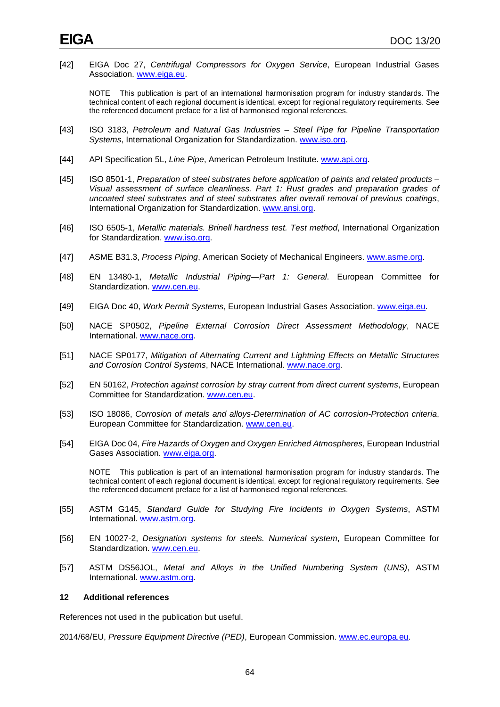[42] EIGA Doc 27, *Centrifugal Compressors for Oxygen Service*, European Industrial Gases Association. [www.eiga.eu.](http://www.eiga.eu/)

NOTE This publication is part of an international harmonisation program for industry standards. The technical content of each regional document is identical, except for regional regulatory requirements. See the referenced document preface for a list of harmonised regional references.

- [43] ISO 3183, *Petroleum and Natural Gas Industries – Steel Pipe for Pipeline Transportation Systems*, International Organization for Standardization. [www.iso.org.](http://www.iso.org/)
- [44] API Specification 5L, *Line Pipe*, American Petroleum Institute. [www.api.org.](http://www.api.org/)
- [45] ISO 8501-1, *Preparation of steel substrates before application of paints and related products – Visual assessment of surface cleanliness. Part 1: Rust grades and preparation grades of uncoated steel substrates and of steel substrates after overall removal of previous coatings*, International Organization for Standardization. [www.ansi.org.](http://www.ansi.org/)
- [46] ISO 6505-1, *Metallic materials. Brinell hardness test. Test method*, International Organization for Standardization. [www.iso.org.](http://www.iso.org/)
- [47] ASME B31.3, *Process Piping*, American Society of Mechanical Engineers. [www.asme.org.](http://www.asme.org/)
- [48] EN 13480-1, *Metallic Industrial Piping—Part 1: General*. European Committee for Standardization. [www.cen.eu.](http://www.cen.eu/)
- [49] EIGA Doc 40, *Work Permit Systems*, European Industrial Gases Association. [www.eiga.eu.](http://www.eiga.eu/)
- [50] NACE SP0502, *Pipeline External Corrosion Direct Assessment Methodology*, NACE International. [www.nace.org.](http://www.nace.org/)
- [51] NACE SP0177, *Mitigation of Alternating Current and Lightning Effects on Metallic Structures and Corrosion Control Systems*, NACE International. [www.nace.org.](http://www.nace.org/)
- [52] EN 50162, *Protection against corrosion by stray current from direct current systems*, European Committee for Standardization. [www.cen.eu.](http://www.cen.eu/)
- [53] ISO 18086, *Corrosion of metals and alloys-Determination of AC corrosion-Protection criteria*, European Committee for Standardization. [www.cen.eu.](http://www.cen.eu/)
- [54] EIGA Doc 04, *Fire Hazards of Oxygen and Oxygen Enriched Atmospheres*, European Industrial Gases Association. [www.eiga.org.](http://www.eiga.org/)

NOTE This publication is part of an international harmonisation program for industry standards. The technical content of each regional document is identical, except for regional regulatory requirements. See the referenced document preface for a list of harmonised regional references.

- [55] ASTM G145, *Standard Guide for Studying Fire Incidents in Oxygen Systems*, ASTM International. [www.astm.org.](http://www.astm.org/)
- [56] EN 10027-2, *Designation systems for steels. Numerical system*, European Committee for Standardization. [www.cen.eu.](http://www.cen.eu/)
- [57] ASTM DS56JOL, *Metal and Alloys in the Unified Numbering System (UNS)*, ASTM International. [www.astm.org.](http://www.astm.org/)

#### **12 Additional references**

References not used in the publication but useful.

2014/68/EU, *Pressure Equipment Directive (PED)*, European Commission. [www.ec.europa.eu.](http://www.ec.europa.eu/)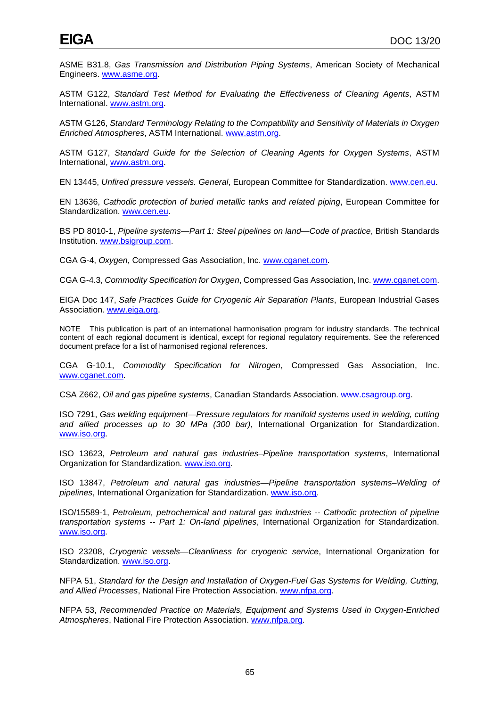ASME B31.8, *Gas Transmission and Distribution Piping Systems*, American Society of Mechanical Engineers. [www.asme.org.](http://www.asme.org/)

ASTM G122, *Standard Test Method for Evaluating the Effectiveness of Cleaning Agents*, ASTM International. [www.astm.org.](http://www.astm.org/)

ASTM G126, *Standard Terminology Relating to the Compatibility and Sensitivity of Materials in Oxygen Enriched Atmospheres*, ASTM International. [www.astm.org.](http://www.astm.org/)

ASTM G127, *Standard Guide for the Selection of Cleaning Agents for Oxygen Systems*, ASTM International, [www.astm.org.](http://www.astm.org/)

EN 13445, *Unfired pressure vessels. General*, European Committee for Standardization. [www.cen.eu.](http://www.cen.eu/)

EN 13636, *Cathodic protection of buried metallic tanks and related piping*, European Committee for Standardization. [www.cen.eu.](http://www.cen.eu/)

BS PD 8010-1, *Pipeline systems—Part 1: Steel pipelines on land—Code of practice*, British Standards Institution. [www.bsigroup.com.](http://www.bsigroup.com/)

CGA G-4, *Oxygen*, Compressed Gas Association, Inc. [www.cganet.com.](http://www.cganet.com/)

CGA G-4.3, *Commodity Specification for Oxygen*, Compressed Gas Association, Inc[. www.cganet.com.](http://www.cganet.com/)

EIGA Doc 147, *Safe Practices Guide for Cryogenic Air Separation Plants*, European Industrial Gases Association. [www.eiga.org.](http://www.eiga.org/)

NOTE This publication is part of an international harmonisation program for industry standards. The technical content of each regional document is identical, except for regional regulatory requirements. See the referenced document preface for a list of harmonised regional references.

CGA G-10.1, *Commodity Specification for Nitrogen*, Compressed Gas Association, Inc. [www.cganet.com.](http://www.cganet.com/)

CSA Z662, *Oil and gas pipeline systems*, Canadian Standards Association. [www.csagroup.org.](http://www.csagroup.org/)

ISO 7291, *Gas welding equipment—Pressure regulators for manifold systems used in welding, cutting and allied processes up to 30 MPa (300 bar)*, International Organization for Standardization. [www.iso.org.](http://www.iso.org/)

ISO 13623, *Petroleum and natural gas industries–Pipeline transportation systems*, International Organization for Standardization. [www.iso.org.](http://www.iso.org/)

ISO 13847, *Petroleum and natural gas industries—Pipeline transportation systems–Welding of pipelines*, International Organization for Standardization. [www.iso.org.](http://www.iso.org/)

ISO/15589-1, *Petroleum, petrochemical and natural gas industries -- Cathodic protection of pipeline transportation systems -- Part 1: On-land pipelines*, International Organization for Standardization. [www.iso.org.](http://www.iso.org/)

ISO 23208, *Cryogenic vessels—Cleanliness for cryogenic service*, International Organization for Standardization. [www.iso.org.](http://www.iso.org/)

NFPA 51, *Standard for the Design and Installation of Oxygen-Fuel Gas Systems for Welding, Cutting, and Allied Processes*, National Fire Protection Association. [www.nfpa.org.](http://www.nfpa.org/)

NFPA 53, *Recommended Practice on Materials, Equipment and Systems Used in Oxygen-Enriched Atmospheres*, National Fire Protection Association. [www.nfpa.org.](http://www.nfpa.org/)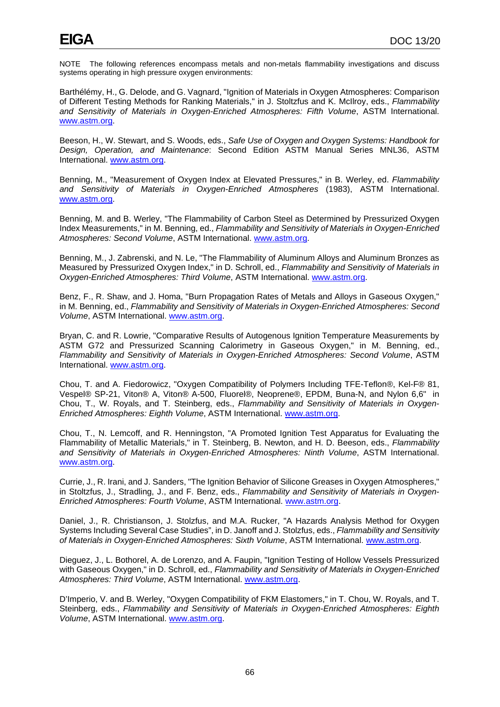NOTE The following references encompass metals and non-metals flammability investigations and discuss systems operating in high pressure oxygen environments:

Barthélémy, H., G. Delode, and G. Vagnard, "Ignition of Materials in Oxygen Atmospheres: Comparison of Different Testing Methods for Ranking Materials," in J. Stoltzfus and K. McIlroy, eds., *Flammability and Sensitivity of Materials in Oxygen-Enriched Atmospheres: Fifth Volume*, ASTM International. [www.astm.org.](http://www.astm.org/)

Beeson, H., W. Stewart, and S. Woods, eds., *Safe Use of Oxygen and Oxygen Systems: Handbook for Design, Operation, and Maintenance*: Second Edition ASTM Manual Series MNL36, ASTM International. [www.astm.org.](http://www.astm.org/)

Benning, M., "Measurement of Oxygen Index at Elevated Pressures," in B. Werley, ed. *Flammability and Sensitivity of Materials in Oxygen-Enriched Atmospheres* (1983), ASTM International. [www.astm.org.](http://www.astm.org/)

Benning, M. and B. Werley, "The Flammability of Carbon Steel as Determined by Pressurized Oxygen Index Measurements," in M. Benning, ed., *Flammability and Sensitivity of Materials in Oxygen-Enriched Atmospheres: Second Volume*, ASTM International. [www.astm.org.](http://www.astm.org/)

Benning, M., J. Zabrenski, and N. Le, "The Flammability of Aluminum Alloys and Aluminum Bronzes as Measured by Pressurized Oxygen Index," in D. Schroll, ed., *Flammability and Sensitivity of Materials in Oxygen-Enriched Atmospheres: Third Volume*, ASTM International. [www.astm.org.](http://www.astm.org/)

Benz, F., R. Shaw, and J. Homa, "Burn Propagation Rates of Metals and Alloys in Gaseous Oxygen," in M. Benning, ed., *Flammability and Sensitivity of Materials in Oxygen-Enriched Atmospheres: Second Volume*, ASTM International. [www.astm.org.](http://www.astm.org/)

Bryan, C. and R. Lowrie, "Comparative Results of Autogenous Ignition Temperature Measurements by ASTM G72 and Pressurized Scanning Calorimetry in Gaseous Oxygen," in M. Benning, ed., *Flammability and Sensitivity of Materials in Oxygen-Enriched Atmospheres: Second Volume*, ASTM International. [www.astm.org.](http://www.astm.org/)

Chou, T. and A. Fiedorowicz, "Oxygen Compatibility of Polymers Including TFE-Teflon®, Kel-F® 81, Vespel® SP-21, Viton® A, Viton® A-500, Fluorel®, Neoprene®, EPDM, Buna-N, and Nylon 6,6" in Chou, T., W. Royals, and T. Steinberg, eds., *Flammability and Sensitivity of Materials in Oxygen-Enriched Atmospheres: Eighth Volume*, ASTM International. [www.astm.org.](http://www.astm.org/)

Chou, T., N. Lemcoff, and R. Henningston, "A Promoted Ignition Test Apparatus for Evaluating the Flammability of Metallic Materials," in T. Steinberg, B. Newton, and H. D. Beeson, eds., *Flammability and Sensitivity of Materials in Oxygen-Enriched Atmospheres: Ninth Volume*, ASTM International. [www.astm.org.](http://www.astm.org/)

Currie, J., R. Irani, and J. Sanders, "The Ignition Behavior of Silicone Greases in Oxygen Atmospheres," in Stoltzfus, J., Stradling, J., and F. Benz, eds., *Flammability and Sensitivity of Materials in Oxygen-Enriched Atmospheres: Fourth Volume*, ASTM International. [www.astm.org.](http://www.astm.org/)

Daniel, J., R. Christianson, J. Stolzfus, and M.A. Rucker, "A Hazards Analysis Method for Oxygen Systems Including Several Case Studies", in D. Janoff and J. Stolzfus, eds., *Flammability and Sensitivity of Materials in Oxygen-Enriched Atmospheres: Sixth Volume*, ASTM International. [www.astm.org.](http://www.astm.org/)

Dieguez, J., L. Bothorel, A. de Lorenzo, and A. Faupin, "Ignition Testing of Hollow Vessels Pressurized with Gaseous Oxygen," in D. Schroll, ed., *Flammability and Sensitivity of Materials in Oxygen-Enriched Atmospheres: Third Volume*, ASTM International. [www.astm.org.](http://www.astm.org/)

D'Imperio, V. and B. Werley, "Oxygen Compatibility of FKM Elastomers," in T. Chou, W. Royals, and T. Steinberg, eds., *Flammability and Sensitivity of Materials in Oxygen-Enriched Atmospheres: Eighth Volume*, ASTM International. [www.astm.org.](http://www.astm.org/)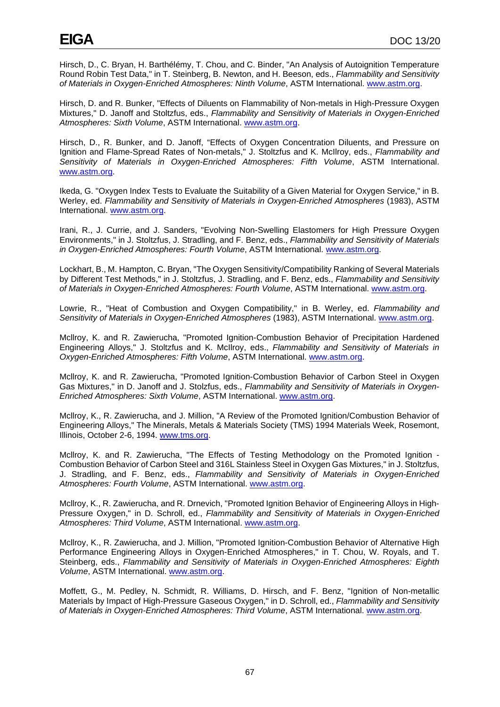Hirsch, D., C. Bryan, H. Barthélémy, T. Chou, and C. Binder, "An Analysis of Autoignition Temperature Round Robin Test Data," in T. Steinberg, B. Newton, and H. Beeson, eds., *Flammability and Sensitivity of Materials in Oxygen-Enriched Atmospheres: Ninth Volume*, ASTM International. [www.astm.org.](http://www.astm.org/)

Hirsch, D. and R. Bunker, "Effects of Diluents on Flammability of Non-metals in High-Pressure Oxygen Mixtures," D. Janoff and Stoltzfus, eds., *Flammability and Sensitivity of Materials in Oxygen-Enriched Atmospheres: Sixth Volume*, ASTM International. [www.astm.org.](http://www.astm.org/)

Hirsch, D., R. Bunker, and D. Janoff, "Effects of Oxygen Concentration Diluents, and Pressure on Ignition and Flame-Spread Rates of Non-metals," J. Stoltzfus and K. McIlroy, eds., *Flammability and Sensitivity of Materials in Oxygen-Enriched Atmospheres: Fifth Volume*, ASTM International. [www.astm.org.](http://www.astm.org/)

Ikeda, G. "Oxygen Index Tests to Evaluate the Suitability of a Given Material for Oxygen Service," in B. Werley, ed. *Flammability and Sensitivity of Materials in Oxygen-Enriched Atmospheres* (1983), ASTM International. [www.astm.org.](http://www.astm.org/)

Irani, R., J. Currie, and J. Sanders, "Evolving Non-Swelling Elastomers for High Pressure Oxygen Environments," in J. Stoltzfus, J. Stradling, and F. Benz, eds., *Flammability and Sensitivity of Materials in Oxygen-Enriched Atmospheres: Fourth Volume*, ASTM International. [www.astm.org.](http://www.astm.org/)

Lockhart, B., M. Hampton, C. Bryan, "The Oxygen Sensitivity/Compatibility Ranking of Several Materials by Different Test Methods," in J. Stoltzfus, J. Stradling, and F. Benz, eds., *Flammability and Sensitivity of Materials in Oxygen-Enriched Atmospheres: Fourth Volume*, ASTM International. [www.astm.org.](http://www.astm.org/)

Lowrie, R., "Heat of Combustion and Oxygen Compatibility," in B. Werley, ed. *Flammability and Sensitivity of Materials in Oxygen-Enriched Atmospheres* (1983), ASTM International. [www.astm.org.](http://www.astm.org/)

Mcllroy, K. and R. Zawierucha, "Promoted Ignition-Combustion Behavior of Precipitation Hardened Engineering Alloys," J. Stoltzfus and K. McIlroy, eds., *Flammability and Sensitivity of Materials in Oxygen-Enriched Atmospheres: Fifth Volume*, ASTM International. [www.astm.org.](http://www.astm.org/)

Mcllroy, K. and R. Zawierucha, "Promoted Ignition-Combustion Behavior of Carbon Steel in Oxygen Gas Mixtures," in D. Janoff and J. Stolzfus, eds., *Flammability and Sensitivity of Materials in Oxygen-Enriched Atmospheres: Sixth Volume*, ASTM International. [www.astm.org.](http://www.astm.org/)

Mcllroy, K., R. Zawierucha, and J. Million, "A Review of the Promoted Ignition/Combustion Behavior of Engineering Alloys," The Minerals, Metals & Materials Society (TMS) 1994 Materials Week, Rosemont, Illinois, October 2-6, 1994. [www.tms.org.](http://www.tms.org/)

Mcllroy, K. and R. Zawierucha, "The Effects of Testing Methodology on the Promoted Ignition - Combustion Behavior of Carbon Steel and 316L Stainless Steel in Oxygen Gas Mixtures," in J. Stoltzfus, J. Stradling, and F. Benz, eds., *Flammability and Sensitivity of Materials in Oxygen-Enriched Atmospheres: Fourth Volume*, ASTM International. [www.astm.org.](http://www.astm.org/)

Mcllroy, K., R. Zawierucha, and R. Drnevich, "Promoted Ignition Behavior of Engineering Alloys in High-Pressure Oxygen," in D. Schroll, ed., *Flammability and Sensitivity of Materials in Oxygen-Enriched Atmospheres: Third Volume*, ASTM International. [www.astm.org.](http://www.astm.org/)

Mcllroy, K., R. Zawierucha, and J. Million, "Promoted Ignition-Combustion Behavior of Alternative High Performance Engineering Alloys in Oxygen-Enriched Atmospheres," in T. Chou, W. Royals, and T. Steinberg, eds., *Flammability and Sensitivity of Materials in Oxygen-Enriched Atmospheres: Eighth Volume*, ASTM International. [www.astm.org.](http://www.astm.org/)

Moffett, G., M. Pedley, N. Schmidt, R. Williams, D. Hirsch, and F. Benz, "Ignition of Non-metallic Materials by Impact of High-Pressure Gaseous Oxygen," in D. Schroll, ed., *Flammability and Sensitivity of Materials in Oxygen-Enriched Atmospheres: Third Volume*, ASTM International. [www.astm.org.](http://www.astm.org/)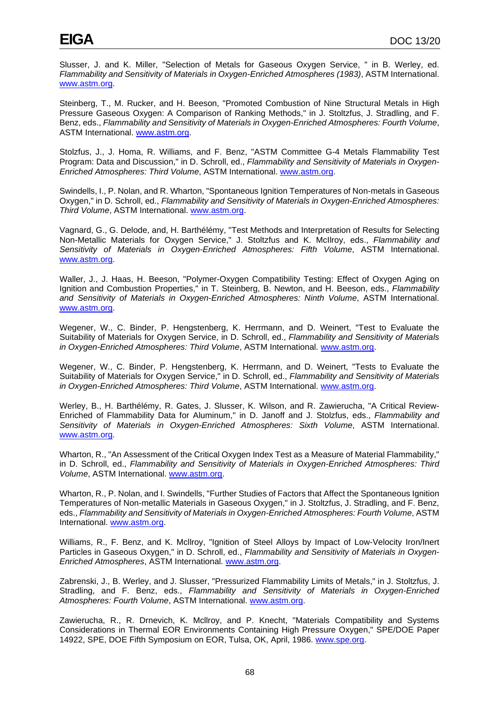Slusser, J. and K. Miller, "Selection of Metals for Gaseous Oxygen Service, " in B. Werley, ed. *Flammability and Sensitivity of Materials in Oxygen-Enriched Atmospheres (1983)*, ASTM International. [www.astm.org.](http://www.astm.org/)

Steinberg, T., M. Rucker, and H. Beeson, "Promoted Combustion of Nine Structural Metals in High Pressure Gaseous Oxygen: A Comparison of Ranking Methods," in J. Stoltzfus, J. Stradling, and F. Benz, eds., *Flammability and Sensitivity of Materials in Oxygen-Enriched Atmospheres: Fourth Volume*, ASTM International. [www.astm.org.](http://www.astm.org/)

Stolzfus, J., J. Homa, R. Williams, and F. Benz, "ASTM Committee G-4 Metals Flammability Test Program: Data and Discussion," in D. Schroll, ed., *Flammability and Sensitivity of Materials in Oxygen-Enriched Atmospheres: Third Volume*, ASTM International. [www.astm.org.](http://www.astm.org/)

Swindells, I., P. Nolan, and R. Wharton, "Spontaneous Ignition Temperatures of Non-metals in Gaseous Oxygen," in D. Schroll, ed., *Flammability and Sensitivity of Materials in Oxygen-Enriched Atmospheres: Third Volume*, ASTM International. [www.astm.org.](http://www.astm.org/)

Vagnard, G., G. Delode, and, H. Barthélémy, "Test Methods and Interpretation of Results for Selecting Non-Metallic Materials for Oxygen Service," J. Stoltzfus and K. McIlroy, eds., *Flammability and Sensitivity of Materials in Oxygen-Enriched Atmospheres: Fifth Volume*, ASTM International. [www.astm.org.](http://www.astm.org/)

Waller, J., J. Haas, H. Beeson, "Polymer-Oxygen Compatibility Testing: Effect of Oxygen Aging on Ignition and Combustion Properties," in T. Steinberg, B. Newton, and H. Beeson, eds., *Flammability and Sensitivity of Materials in Oxygen-Enriched Atmospheres: Ninth Volume*, ASTM International. [www.astm.org.](http://www.astm.org/)

Wegener, W., C. Binder, P. Hengstenberg, K. Herrmann, and D. Weinert, "Test to Evaluate the Suitability of Materials for Oxygen Service, in D. Schroll, ed., *Flammability and Sensitivity of Materials in Oxygen-Enriched Atmospheres: Third Volume*, ASTM International. [www.astm.org.](http://www.astm.org/)

Wegener, W., C. Binder, P. Hengstenberg, K. Herrmann, and D. Weinert, "Tests to Evaluate the Suitability of Materials for Oxygen Service," in D. Schroll, ed., *Flammability and Sensitivity of Materials in Oxygen-Enriched Atmospheres: Third Volume*, ASTM International. [www.astm.org.](http://www.astm.org/)

Werley, B., H. Barthélémy, R. Gates, J. Slusser, K. Wilson, and R. Zawierucha, "A Critical Review-Enriched of Flammability Data for Aluminum," in D. Janoff and J. Stolzfus, eds., *Flammability and Sensitivity of Materials in Oxygen-Enriched Atmospheres: Sixth Volume*, ASTM International. [www.astm.org.](http://www.astm.org/)

Wharton, R., "An Assessment of the Critical Oxygen Index Test as a Measure of Material Flammability," in D. Schroll, ed., *Flammability and Sensitivity of Materials in Oxygen-Enriched Atmospheres: Third Volume*, ASTM International. [www.astm.org.](http://www.astm.org/)

Wharton, R., P. Nolan, and I. Swindells, "Further Studies of Factors that Affect the Spontaneous Ignition Temperatures of Non-metallic Materials in Gaseous Oxygen," in J. Stoltzfus, J. Stradling, and F. Benz, eds., *Flammability and Sensitivity of Materials in Oxygen-Enriched Atmospheres: Fourth Volume*, ASTM International. [www.astm.org.](http://www.astm.org/)

Williams, R., F. Benz, and K. Mcllroy, "Ignition of Steel Alloys by Impact of Low-Velocity Iron/Inert Particles in Gaseous Oxygen," in D. Schroll, ed., *Flammability and Sensitivity of Materials in Oxygen-Enriched Atmospheres*, ASTM International. [www.astm.org.](http://www.astm.org/)

Zabrenski, J., B. Werley, and J. Slusser, "Pressurized Flammability Limits of Metals," in J. Stoltzfus, J. Stradling, and F. Benz, eds., *Flammability and Sensitivity of Materials in Oxygen-Enriched Atmospheres: Fourth Volume*, ASTM International. [www.astm.org.](http://www.astm.org/)

Zawierucha, R., R. Drnevich, K. Mcllroy, and P. Knecht, "Materials Compatibility and Systems Considerations in Thermal EOR Environments Containing High Pressure Oxygen," SPE/DOE Paper 14922, SPE, DOE Fifth Symposium on EOR, Tulsa, OK, April, 1986. [www.spe.org.](http://www.spe.org/)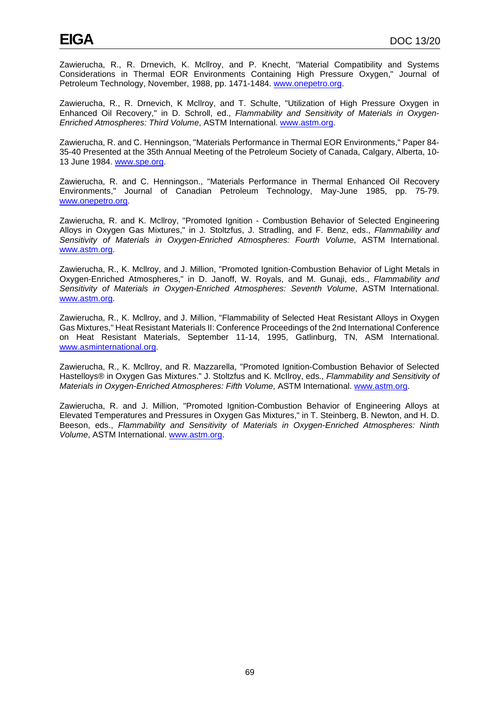Zawierucha, R., R. Drnevich, K. Mcllroy, and P. Knecht, "Material Compatibility and Systems Considerations in Thermal EOR Environments Containing High Pressure Oxygen," Journal of Petroleum Technology, November, 1988, pp. 1471-1484. [www.onepetro.org.](http://www.onepetro.org/)

Zawierucha, R., R. Drnevich, K Mcllroy, and T. Schulte, "Utilization of High Pressure Oxygen in Enhanced Oil Recovery," in D. Schroll, ed., *Flammability and Sensitivity of Materials in Oxygen-Enriched Atmospheres: Third Volume*, ASTM International. [www.astm.org.](http://www.astm.org/)

Zawierucha, R. and C. Henningson, "Materials Performance in Thermal EOR Environments," Paper 84- 35-40 Presented at the 35th Annual Meeting of the Petroleum Society of Canada, Calgary, Alberta, 10- 13 June 1984. [www.spe.org.](http://www.spe.org/)

Zawierucha, R. and C. Henningson., "Materials Performance in Thermal Enhanced Oil Recovery Environments," Journal of Canadian Petroleum Technology, May-June 1985, pp. 75-79. [www.onepetro.org.](http://www.onepetro.org/)

Zawierucha, R. and K. Mcllroy, "Promoted Ignition - Combustion Behavior of Selected Engineering Alloys in Oxygen Gas Mixtures," in J. Stoltzfus, J. Stradling, and F. Benz, eds., *Flammability and Sensitivity of Materials in Oxygen-Enriched Atmospheres: Fourth Volume*, ASTM International. [www.astm.org.](http://www.astm.org/)

Zawierucha, R., K. Mcllroy, and J. Million, "Promoted Ignition-Combustion Behavior of Light Metals in Oxygen-Enriched Atmospheres," in D. Janoff, W. Royals, and M. Gunaji, eds., *Flammability and Sensitivity of Materials in Oxygen-Enriched Atmospheres: Seventh Volume*, ASTM International. [www.astm.org.](http://www.astm.org/)

Zawierucha, R., K. Mcllroy, and J. Million, "Flammability of Selected Heat Resistant Alloys in Oxygen Gas Mixtures," Heat Resistant Materials II: Conference Proceedings of the 2nd International Conference on Heat Resistant Materials, September 11-14, 1995, Gatlinburg, TN, ASM International. [www.asminternational.org.](http://www.asminternational.org/)

Zawierucha, R., K. Mcllroy, and R. Mazzarella, "Promoted Ignition-Combustion Behavior of Selected Hastelloys® in Oxygen Gas Mixtures." J. Stoltzfus and K. McIlroy, eds*., Flammability and Sensitivity of Materials in Oxygen-Enriched Atmospheres: Fifth Volume*, ASTM International. [www.astm.org.](http://www.astm.org/)

Zawierucha, R. and J. Million, "Promoted Ignition-Combustion Behavior of Engineering Alloys at Elevated Temperatures and Pressures in Oxygen Gas Mixtures," in T. Steinberg, B. Newton, and H. D. Beeson, eds., *Flammability and Sensitivity of Materials in Oxygen-Enriched Atmospheres: Ninth Volume*, ASTM International. [www.astm.org.](http://www.astm.org/)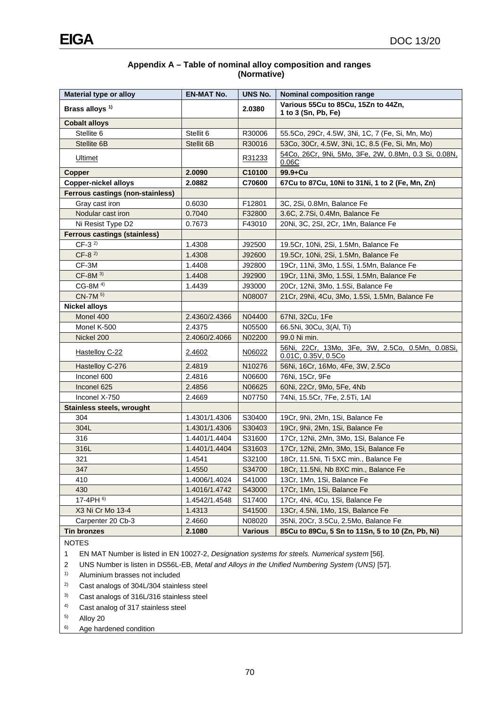### **Appendix A – Table of nominal alloy composition and ranges (Normative)**

| Brass alloys <sup>1)</sup><br>2.0380<br>1 to 3 (Sn, Pb, Fe)<br><b>Cobalt alloys</b><br>Stellite 6<br>Stellit 6<br>R30006<br>55.5Co, 29Cr, 4.5W, 3Ni, 1C, 7 (Fe, Si, Mn, Mo)<br>Stellite 6B<br>Stellit 6B<br>53Co, 30Cr, 4.5W, 3Ni, 1C, 8.5 (Fe, Si, Mn, Mo)<br>R30016<br>54Co, 26Cr, 9Ni, 5Mo, 3Fe, 2W, 0.8Mn, 0.3 Si, 0.08N,<br>Ultimet<br>R31233<br>0.06C<br>Copper<br>2.0090<br>C10100<br>99.9+Cu<br><b>Copper-nickel alloys</b><br>2.0882<br>C70600<br>67Cu to 87Cu, 10Ni to 31Ni, 1 to 2 (Fe, Mn, Zn)<br><b>Ferrous castings (non-stainless)</b><br>Gray cast iron<br>0.6030<br>F12801<br>3C, 2Si, 0.8Mn, Balance Fe<br>Nodular cast iron<br>0.7040<br>F32800<br>3.6C, 2.7Si, 0.4Mn, Balance Fe<br>Ni Resist Type D2<br>0.7673<br>20Ni, 3C, 2SI, 2Cr, 1Mn, Balance Fe<br>F43010<br><b>Ferrous castings (stainless)</b><br>$CF-3^{2}$<br>1.4308<br>J92500<br>19.5Cr, 10Ni, 2Si, 1.5Mn, Balance Fe<br>$CF-82$<br>1.4308<br>J92600<br>19.5Cr, 10Ni, 2Si, 1.5Mn, Balance Fe<br>CF-3M<br>1.4408<br>J92800<br>19Cr, 11Ni, 3Mo, 1.5Si, 1.5Mn, Balance Fe<br>$CF-8M3$<br>1.4408<br>J92900<br>19Cr, 11Ni, 3Mo, 1.5Si, 1.5Mn, Balance Fe<br>CG-8M <sup>4)</sup><br>20Cr, 12Ni, 3Mo, 1.5Si, Balance Fe<br>1.4439<br>J93000<br>CN-7M 5)<br>21Cr, 29Ni, 4Cu, 3Mo, 1.5Si, 1.5Mn, Balance Fe<br>N08007<br><b>Nickel alloys</b><br>Monel 400<br>2.4360/2.4366<br>N04400<br>67NI, 32Cu, 1Fe<br>Monel K-500<br>2.4375<br>N05500<br>66.5Ni, 30Cu, 3(Al, Ti)<br>Nickel 200<br>2.4060/2.4066<br>99.0 Ni min.<br>N02200<br>56Ni, 22Cr, 13Mo, 3Fe, 3W, 2.5Co, 0.5Mn, 0.08Si,<br>Hastelloy C-22<br>2.4602<br>N06022<br>$0.01C$ , $0.35V$ , $0.5Co$<br>Hastelloy C-276<br>2.4819<br>N <sub>10276</sub><br>56Ni, 16Cr, 16Mo, 4Fe, 3W, 2.5Co<br>Inconel 600<br>2.4816<br>N06600<br>76Ni, 15Cr, 9Fe<br>Inconel 625<br>2.4856<br>N06625<br>60Ni, 22Cr, 9Mo, 5Fe, 4Nb<br>Inconel X-750<br>2.4669<br>N07750<br>74Ni, 15.5Cr, 7Fe, 2.5Ti, 1AI<br><b>Stainless steels, wrought</b><br>304<br>1.4301/1.4306<br>S30400<br>19Cr, 9Ni, 2Mn, 1Si, Balance Fe<br>304L<br>19Cr, 9Ni, 2Mn, 1Si, Balance Fe<br>1.4301/1.4306<br>S30403<br>316<br>1.4401/1.4404<br>S31600<br>17Cr, 12Ni, 2Mn, 3Mo, 1Si, Balance Fe<br>316L<br>17Cr, 12Ni, 2Mn, 3Mo, 1Si, Balance Fe<br>1.4401/1.4404<br>S31603<br>321<br>1.4541<br>S32100<br>18Cr, 11.5Ni, Ti 5XC min., Balance Fe<br>S34700<br>347<br>1.4550<br>18Cr, 11.5Ni, Nb 8XC min., Balance Fe<br>410<br>S41000<br>1.4006/1.4024<br>13Cr, 1Mn, 1Si, Balance Fe<br>430<br>S43000<br>1.4016/1.4742<br>17Cr, 1Mn, 1Si, Balance Fe<br>17-4PH 6)<br>S17400<br>1.4542/1.4548<br>17Cr, 4Ni, 4Cu, 1Si, Balance Fe<br>S41500<br>X3 Ni Cr Mo 13-4<br>1.4313<br>13Cr, 4.5Ni, 1Mo, 1Si, Balance Fe<br>Carpenter 20 Cb-3<br>2.4660<br>N08020<br>35Ni, 20Cr, 3.5Cu, 2.5Mo, Balance Fe<br><b>Tin bronzes</b><br>2.1080<br><b>Various</b><br>85Cu to 89Cu, 5 Sn to 11Sn, 5 to 10 (Zn, Pb, Ni) | Material type or alloy | <b>EN-MAT No.</b> | <b>UNS No.</b> | <b>Nominal composition range</b>    |  |  |  |  |
|---------------------------------------------------------------------------------------------------------------------------------------------------------------------------------------------------------------------------------------------------------------------------------------------------------------------------------------------------------------------------------------------------------------------------------------------------------------------------------------------------------------------------------------------------------------------------------------------------------------------------------------------------------------------------------------------------------------------------------------------------------------------------------------------------------------------------------------------------------------------------------------------------------------------------------------------------------------------------------------------------------------------------------------------------------------------------------------------------------------------------------------------------------------------------------------------------------------------------------------------------------------------------------------------------------------------------------------------------------------------------------------------------------------------------------------------------------------------------------------------------------------------------------------------------------------------------------------------------------------------------------------------------------------------------------------------------------------------------------------------------------------------------------------------------------------------------------------------------------------------------------------------------------------------------------------------------------------------------------------------------------------------------------------------------------------------------------------------------------------------------------------------------------------------------------------------------------------------------------------------------------------------------------------------------------------------------------------------------------------------------------------------------------------------------------------------------------------------------------------------------------------------------------------------------------------------------------------------------------------------------------------------------------------------------------------------------------------------------------------------------------------------------------------------------------------------------------------------------------------------------------|------------------------|-------------------|----------------|-------------------------------------|--|--|--|--|
|                                                                                                                                                                                                                                                                                                                                                                                                                                                                                                                                                                                                                                                                                                                                                                                                                                                                                                                                                                                                                                                                                                                                                                                                                                                                                                                                                                                                                                                                                                                                                                                                                                                                                                                                                                                                                                                                                                                                                                                                                                                                                                                                                                                                                                                                                                                                                                                                                                                                                                                                                                                                                                                                                                                                                                                                                                                                                 |                        |                   |                | Various 55Cu to 85Cu, 15Zn to 44Zn, |  |  |  |  |
|                                                                                                                                                                                                                                                                                                                                                                                                                                                                                                                                                                                                                                                                                                                                                                                                                                                                                                                                                                                                                                                                                                                                                                                                                                                                                                                                                                                                                                                                                                                                                                                                                                                                                                                                                                                                                                                                                                                                                                                                                                                                                                                                                                                                                                                                                                                                                                                                                                                                                                                                                                                                                                                                                                                                                                                                                                                                                 |                        |                   |                |                                     |  |  |  |  |
|                                                                                                                                                                                                                                                                                                                                                                                                                                                                                                                                                                                                                                                                                                                                                                                                                                                                                                                                                                                                                                                                                                                                                                                                                                                                                                                                                                                                                                                                                                                                                                                                                                                                                                                                                                                                                                                                                                                                                                                                                                                                                                                                                                                                                                                                                                                                                                                                                                                                                                                                                                                                                                                                                                                                                                                                                                                                                 |                        |                   |                |                                     |  |  |  |  |
|                                                                                                                                                                                                                                                                                                                                                                                                                                                                                                                                                                                                                                                                                                                                                                                                                                                                                                                                                                                                                                                                                                                                                                                                                                                                                                                                                                                                                                                                                                                                                                                                                                                                                                                                                                                                                                                                                                                                                                                                                                                                                                                                                                                                                                                                                                                                                                                                                                                                                                                                                                                                                                                                                                                                                                                                                                                                                 |                        |                   |                |                                     |  |  |  |  |
|                                                                                                                                                                                                                                                                                                                                                                                                                                                                                                                                                                                                                                                                                                                                                                                                                                                                                                                                                                                                                                                                                                                                                                                                                                                                                                                                                                                                                                                                                                                                                                                                                                                                                                                                                                                                                                                                                                                                                                                                                                                                                                                                                                                                                                                                                                                                                                                                                                                                                                                                                                                                                                                                                                                                                                                                                                                                                 |                        |                   |                |                                     |  |  |  |  |
|                                                                                                                                                                                                                                                                                                                                                                                                                                                                                                                                                                                                                                                                                                                                                                                                                                                                                                                                                                                                                                                                                                                                                                                                                                                                                                                                                                                                                                                                                                                                                                                                                                                                                                                                                                                                                                                                                                                                                                                                                                                                                                                                                                                                                                                                                                                                                                                                                                                                                                                                                                                                                                                                                                                                                                                                                                                                                 |                        |                   |                |                                     |  |  |  |  |
|                                                                                                                                                                                                                                                                                                                                                                                                                                                                                                                                                                                                                                                                                                                                                                                                                                                                                                                                                                                                                                                                                                                                                                                                                                                                                                                                                                                                                                                                                                                                                                                                                                                                                                                                                                                                                                                                                                                                                                                                                                                                                                                                                                                                                                                                                                                                                                                                                                                                                                                                                                                                                                                                                                                                                                                                                                                                                 |                        |                   |                |                                     |  |  |  |  |
|                                                                                                                                                                                                                                                                                                                                                                                                                                                                                                                                                                                                                                                                                                                                                                                                                                                                                                                                                                                                                                                                                                                                                                                                                                                                                                                                                                                                                                                                                                                                                                                                                                                                                                                                                                                                                                                                                                                                                                                                                                                                                                                                                                                                                                                                                                                                                                                                                                                                                                                                                                                                                                                                                                                                                                                                                                                                                 |                        |                   |                |                                     |  |  |  |  |
|                                                                                                                                                                                                                                                                                                                                                                                                                                                                                                                                                                                                                                                                                                                                                                                                                                                                                                                                                                                                                                                                                                                                                                                                                                                                                                                                                                                                                                                                                                                                                                                                                                                                                                                                                                                                                                                                                                                                                                                                                                                                                                                                                                                                                                                                                                                                                                                                                                                                                                                                                                                                                                                                                                                                                                                                                                                                                 |                        |                   |                |                                     |  |  |  |  |
|                                                                                                                                                                                                                                                                                                                                                                                                                                                                                                                                                                                                                                                                                                                                                                                                                                                                                                                                                                                                                                                                                                                                                                                                                                                                                                                                                                                                                                                                                                                                                                                                                                                                                                                                                                                                                                                                                                                                                                                                                                                                                                                                                                                                                                                                                                                                                                                                                                                                                                                                                                                                                                                                                                                                                                                                                                                                                 |                        |                   |                |                                     |  |  |  |  |
|                                                                                                                                                                                                                                                                                                                                                                                                                                                                                                                                                                                                                                                                                                                                                                                                                                                                                                                                                                                                                                                                                                                                                                                                                                                                                                                                                                                                                                                                                                                                                                                                                                                                                                                                                                                                                                                                                                                                                                                                                                                                                                                                                                                                                                                                                                                                                                                                                                                                                                                                                                                                                                                                                                                                                                                                                                                                                 |                        |                   |                |                                     |  |  |  |  |
|                                                                                                                                                                                                                                                                                                                                                                                                                                                                                                                                                                                                                                                                                                                                                                                                                                                                                                                                                                                                                                                                                                                                                                                                                                                                                                                                                                                                                                                                                                                                                                                                                                                                                                                                                                                                                                                                                                                                                                                                                                                                                                                                                                                                                                                                                                                                                                                                                                                                                                                                                                                                                                                                                                                                                                                                                                                                                 |                        |                   |                |                                     |  |  |  |  |
|                                                                                                                                                                                                                                                                                                                                                                                                                                                                                                                                                                                                                                                                                                                                                                                                                                                                                                                                                                                                                                                                                                                                                                                                                                                                                                                                                                                                                                                                                                                                                                                                                                                                                                                                                                                                                                                                                                                                                                                                                                                                                                                                                                                                                                                                                                                                                                                                                                                                                                                                                                                                                                                                                                                                                                                                                                                                                 |                        |                   |                |                                     |  |  |  |  |
|                                                                                                                                                                                                                                                                                                                                                                                                                                                                                                                                                                                                                                                                                                                                                                                                                                                                                                                                                                                                                                                                                                                                                                                                                                                                                                                                                                                                                                                                                                                                                                                                                                                                                                                                                                                                                                                                                                                                                                                                                                                                                                                                                                                                                                                                                                                                                                                                                                                                                                                                                                                                                                                                                                                                                                                                                                                                                 |                        |                   |                |                                     |  |  |  |  |
|                                                                                                                                                                                                                                                                                                                                                                                                                                                                                                                                                                                                                                                                                                                                                                                                                                                                                                                                                                                                                                                                                                                                                                                                                                                                                                                                                                                                                                                                                                                                                                                                                                                                                                                                                                                                                                                                                                                                                                                                                                                                                                                                                                                                                                                                                                                                                                                                                                                                                                                                                                                                                                                                                                                                                                                                                                                                                 |                        |                   |                |                                     |  |  |  |  |
|                                                                                                                                                                                                                                                                                                                                                                                                                                                                                                                                                                                                                                                                                                                                                                                                                                                                                                                                                                                                                                                                                                                                                                                                                                                                                                                                                                                                                                                                                                                                                                                                                                                                                                                                                                                                                                                                                                                                                                                                                                                                                                                                                                                                                                                                                                                                                                                                                                                                                                                                                                                                                                                                                                                                                                                                                                                                                 |                        |                   |                |                                     |  |  |  |  |
|                                                                                                                                                                                                                                                                                                                                                                                                                                                                                                                                                                                                                                                                                                                                                                                                                                                                                                                                                                                                                                                                                                                                                                                                                                                                                                                                                                                                                                                                                                                                                                                                                                                                                                                                                                                                                                                                                                                                                                                                                                                                                                                                                                                                                                                                                                                                                                                                                                                                                                                                                                                                                                                                                                                                                                                                                                                                                 |                        |                   |                |                                     |  |  |  |  |
|                                                                                                                                                                                                                                                                                                                                                                                                                                                                                                                                                                                                                                                                                                                                                                                                                                                                                                                                                                                                                                                                                                                                                                                                                                                                                                                                                                                                                                                                                                                                                                                                                                                                                                                                                                                                                                                                                                                                                                                                                                                                                                                                                                                                                                                                                                                                                                                                                                                                                                                                                                                                                                                                                                                                                                                                                                                                                 |                        |                   |                |                                     |  |  |  |  |
|                                                                                                                                                                                                                                                                                                                                                                                                                                                                                                                                                                                                                                                                                                                                                                                                                                                                                                                                                                                                                                                                                                                                                                                                                                                                                                                                                                                                                                                                                                                                                                                                                                                                                                                                                                                                                                                                                                                                                                                                                                                                                                                                                                                                                                                                                                                                                                                                                                                                                                                                                                                                                                                                                                                                                                                                                                                                                 |                        |                   |                |                                     |  |  |  |  |
|                                                                                                                                                                                                                                                                                                                                                                                                                                                                                                                                                                                                                                                                                                                                                                                                                                                                                                                                                                                                                                                                                                                                                                                                                                                                                                                                                                                                                                                                                                                                                                                                                                                                                                                                                                                                                                                                                                                                                                                                                                                                                                                                                                                                                                                                                                                                                                                                                                                                                                                                                                                                                                                                                                                                                                                                                                                                                 |                        |                   |                |                                     |  |  |  |  |
|                                                                                                                                                                                                                                                                                                                                                                                                                                                                                                                                                                                                                                                                                                                                                                                                                                                                                                                                                                                                                                                                                                                                                                                                                                                                                                                                                                                                                                                                                                                                                                                                                                                                                                                                                                                                                                                                                                                                                                                                                                                                                                                                                                                                                                                                                                                                                                                                                                                                                                                                                                                                                                                                                                                                                                                                                                                                                 |                        |                   |                |                                     |  |  |  |  |
|                                                                                                                                                                                                                                                                                                                                                                                                                                                                                                                                                                                                                                                                                                                                                                                                                                                                                                                                                                                                                                                                                                                                                                                                                                                                                                                                                                                                                                                                                                                                                                                                                                                                                                                                                                                                                                                                                                                                                                                                                                                                                                                                                                                                                                                                                                                                                                                                                                                                                                                                                                                                                                                                                                                                                                                                                                                                                 |                        |                   |                |                                     |  |  |  |  |
|                                                                                                                                                                                                                                                                                                                                                                                                                                                                                                                                                                                                                                                                                                                                                                                                                                                                                                                                                                                                                                                                                                                                                                                                                                                                                                                                                                                                                                                                                                                                                                                                                                                                                                                                                                                                                                                                                                                                                                                                                                                                                                                                                                                                                                                                                                                                                                                                                                                                                                                                                                                                                                                                                                                                                                                                                                                                                 |                        |                   |                |                                     |  |  |  |  |
|                                                                                                                                                                                                                                                                                                                                                                                                                                                                                                                                                                                                                                                                                                                                                                                                                                                                                                                                                                                                                                                                                                                                                                                                                                                                                                                                                                                                                                                                                                                                                                                                                                                                                                                                                                                                                                                                                                                                                                                                                                                                                                                                                                                                                                                                                                                                                                                                                                                                                                                                                                                                                                                                                                                                                                                                                                                                                 |                        |                   |                |                                     |  |  |  |  |
|                                                                                                                                                                                                                                                                                                                                                                                                                                                                                                                                                                                                                                                                                                                                                                                                                                                                                                                                                                                                                                                                                                                                                                                                                                                                                                                                                                                                                                                                                                                                                                                                                                                                                                                                                                                                                                                                                                                                                                                                                                                                                                                                                                                                                                                                                                                                                                                                                                                                                                                                                                                                                                                                                                                                                                                                                                                                                 |                        |                   |                |                                     |  |  |  |  |
|                                                                                                                                                                                                                                                                                                                                                                                                                                                                                                                                                                                                                                                                                                                                                                                                                                                                                                                                                                                                                                                                                                                                                                                                                                                                                                                                                                                                                                                                                                                                                                                                                                                                                                                                                                                                                                                                                                                                                                                                                                                                                                                                                                                                                                                                                                                                                                                                                                                                                                                                                                                                                                                                                                                                                                                                                                                                                 |                        |                   |                |                                     |  |  |  |  |
|                                                                                                                                                                                                                                                                                                                                                                                                                                                                                                                                                                                                                                                                                                                                                                                                                                                                                                                                                                                                                                                                                                                                                                                                                                                                                                                                                                                                                                                                                                                                                                                                                                                                                                                                                                                                                                                                                                                                                                                                                                                                                                                                                                                                                                                                                                                                                                                                                                                                                                                                                                                                                                                                                                                                                                                                                                                                                 |                        |                   |                |                                     |  |  |  |  |
|                                                                                                                                                                                                                                                                                                                                                                                                                                                                                                                                                                                                                                                                                                                                                                                                                                                                                                                                                                                                                                                                                                                                                                                                                                                                                                                                                                                                                                                                                                                                                                                                                                                                                                                                                                                                                                                                                                                                                                                                                                                                                                                                                                                                                                                                                                                                                                                                                                                                                                                                                                                                                                                                                                                                                                                                                                                                                 |                        |                   |                |                                     |  |  |  |  |
|                                                                                                                                                                                                                                                                                                                                                                                                                                                                                                                                                                                                                                                                                                                                                                                                                                                                                                                                                                                                                                                                                                                                                                                                                                                                                                                                                                                                                                                                                                                                                                                                                                                                                                                                                                                                                                                                                                                                                                                                                                                                                                                                                                                                                                                                                                                                                                                                                                                                                                                                                                                                                                                                                                                                                                                                                                                                                 |                        |                   |                |                                     |  |  |  |  |
|                                                                                                                                                                                                                                                                                                                                                                                                                                                                                                                                                                                                                                                                                                                                                                                                                                                                                                                                                                                                                                                                                                                                                                                                                                                                                                                                                                                                                                                                                                                                                                                                                                                                                                                                                                                                                                                                                                                                                                                                                                                                                                                                                                                                                                                                                                                                                                                                                                                                                                                                                                                                                                                                                                                                                                                                                                                                                 |                        |                   |                |                                     |  |  |  |  |
|                                                                                                                                                                                                                                                                                                                                                                                                                                                                                                                                                                                                                                                                                                                                                                                                                                                                                                                                                                                                                                                                                                                                                                                                                                                                                                                                                                                                                                                                                                                                                                                                                                                                                                                                                                                                                                                                                                                                                                                                                                                                                                                                                                                                                                                                                                                                                                                                                                                                                                                                                                                                                                                                                                                                                                                                                                                                                 |                        |                   |                |                                     |  |  |  |  |
|                                                                                                                                                                                                                                                                                                                                                                                                                                                                                                                                                                                                                                                                                                                                                                                                                                                                                                                                                                                                                                                                                                                                                                                                                                                                                                                                                                                                                                                                                                                                                                                                                                                                                                                                                                                                                                                                                                                                                                                                                                                                                                                                                                                                                                                                                                                                                                                                                                                                                                                                                                                                                                                                                                                                                                                                                                                                                 |                        |                   |                |                                     |  |  |  |  |
|                                                                                                                                                                                                                                                                                                                                                                                                                                                                                                                                                                                                                                                                                                                                                                                                                                                                                                                                                                                                                                                                                                                                                                                                                                                                                                                                                                                                                                                                                                                                                                                                                                                                                                                                                                                                                                                                                                                                                                                                                                                                                                                                                                                                                                                                                                                                                                                                                                                                                                                                                                                                                                                                                                                                                                                                                                                                                 |                        |                   |                |                                     |  |  |  |  |
|                                                                                                                                                                                                                                                                                                                                                                                                                                                                                                                                                                                                                                                                                                                                                                                                                                                                                                                                                                                                                                                                                                                                                                                                                                                                                                                                                                                                                                                                                                                                                                                                                                                                                                                                                                                                                                                                                                                                                                                                                                                                                                                                                                                                                                                                                                                                                                                                                                                                                                                                                                                                                                                                                                                                                                                                                                                                                 |                        |                   |                |                                     |  |  |  |  |
|                                                                                                                                                                                                                                                                                                                                                                                                                                                                                                                                                                                                                                                                                                                                                                                                                                                                                                                                                                                                                                                                                                                                                                                                                                                                                                                                                                                                                                                                                                                                                                                                                                                                                                                                                                                                                                                                                                                                                                                                                                                                                                                                                                                                                                                                                                                                                                                                                                                                                                                                                                                                                                                                                                                                                                                                                                                                                 |                        |                   |                |                                     |  |  |  |  |
|                                                                                                                                                                                                                                                                                                                                                                                                                                                                                                                                                                                                                                                                                                                                                                                                                                                                                                                                                                                                                                                                                                                                                                                                                                                                                                                                                                                                                                                                                                                                                                                                                                                                                                                                                                                                                                                                                                                                                                                                                                                                                                                                                                                                                                                                                                                                                                                                                                                                                                                                                                                                                                                                                                                                                                                                                                                                                 |                        |                   |                |                                     |  |  |  |  |
|                                                                                                                                                                                                                                                                                                                                                                                                                                                                                                                                                                                                                                                                                                                                                                                                                                                                                                                                                                                                                                                                                                                                                                                                                                                                                                                                                                                                                                                                                                                                                                                                                                                                                                                                                                                                                                                                                                                                                                                                                                                                                                                                                                                                                                                                                                                                                                                                                                                                                                                                                                                                                                                                                                                                                                                                                                                                                 |                        |                   |                |                                     |  |  |  |  |
|                                                                                                                                                                                                                                                                                                                                                                                                                                                                                                                                                                                                                                                                                                                                                                                                                                                                                                                                                                                                                                                                                                                                                                                                                                                                                                                                                                                                                                                                                                                                                                                                                                                                                                                                                                                                                                                                                                                                                                                                                                                                                                                                                                                                                                                                                                                                                                                                                                                                                                                                                                                                                                                                                                                                                                                                                                                                                 |                        |                   |                |                                     |  |  |  |  |
|                                                                                                                                                                                                                                                                                                                                                                                                                                                                                                                                                                                                                                                                                                                                                                                                                                                                                                                                                                                                                                                                                                                                                                                                                                                                                                                                                                                                                                                                                                                                                                                                                                                                                                                                                                                                                                                                                                                                                                                                                                                                                                                                                                                                                                                                                                                                                                                                                                                                                                                                                                                                                                                                                                                                                                                                                                                                                 |                        |                   |                |                                     |  |  |  |  |
|                                                                                                                                                                                                                                                                                                                                                                                                                                                                                                                                                                                                                                                                                                                                                                                                                                                                                                                                                                                                                                                                                                                                                                                                                                                                                                                                                                                                                                                                                                                                                                                                                                                                                                                                                                                                                                                                                                                                                                                                                                                                                                                                                                                                                                                                                                                                                                                                                                                                                                                                                                                                                                                                                                                                                                                                                                                                                 |                        |                   |                |                                     |  |  |  |  |

NOTES

1 EN MAT Number is listed in EN 10027-2, *Designation systems for steels. Numerical system* [56].

2 UNS Number is listen in DS56L-EB, *Metal and Alloys in the Unified Numbering System (UNS)* [57].

1) Aluminium brasses not included

- 2) Cast analogs of 304L/304 stainless steel
- 3) Cast analogs of 316L/316 stainless steel
- 4) Cast analog of 317 stainless steel

5) Alloy 20

6) Age hardened condition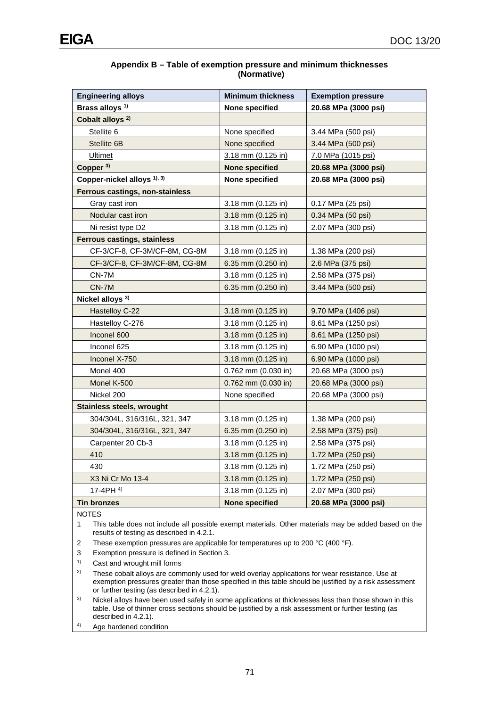| Appendix B - Table of exemption pressure and minimum thicknesses |
|------------------------------------------------------------------|
| (Normative)                                                      |

| <b>Engineering alloys</b><br><b>Minimum thickness</b> |                         | <b>Exemption pressure</b> |
|-------------------------------------------------------|-------------------------|---------------------------|
| Brass alloys <sup>1)</sup>                            | None specified          | 20.68 MPa (3000 psi)      |
| Cobalt alloys <sup>2)</sup>                           |                         |                           |
| Stellite 6                                            | None specified          | 3.44 MPa (500 psi)        |
| Stellite 6B                                           | None specified          | 3.44 MPa (500 psi)        |
| <b>Ultimet</b>                                        | 3.18 mm (0.125 in)      | <u>7.0 MPa (1015 psi)</u> |
| Copper <sup>3)</sup>                                  | <b>None specified</b>   | 20.68 MPa (3000 psi)      |
| Copper-nickel alloys 1), 3)                           | None specified          | 20.68 MPa (3000 psi)      |
| Ferrous castings, non-stainless                       |                         |                           |
| Gray cast iron                                        | $3.18$ mm $(0.125$ in)  | 0.17 MPa (25 psi)         |
| Nodular cast iron                                     | $3.18$ mm $(0.125$ in)  | 0.34 MPa (50 psi)         |
| Ni resist type D2                                     | 3.18 mm (0.125 in)      | 2.07 MPa (300 psi)        |
| <b>Ferrous castings, stainless</b>                    |                         |                           |
| CF-3/CF-8, CF-3M/CF-8M, CG-8M                         | $3.18$ mm $(0.125$ in)  | 1.38 MPa (200 psi)        |
| CF-3/CF-8, CF-3M/CF-8M, CG-8M                         | 6.35 mm (0.250 in)      | 2.6 MPa (375 psi)         |
| CN-7M                                                 | 3.18 mm (0.125 in)      | 2.58 MPa (375 psi)        |
| $CN-7M$                                               | 6.35 mm (0.250 in)      | 3.44 MPa (500 psi)        |
| Nickel alloys <sup>3)</sup>                           |                         |                           |
| <b>Hastelloy C-22</b>                                 | 3.18 mm (0.125 in)      | 9.70 MPa (1406 psi)       |
| Hastelloy C-276                                       | $3.18$ mm $(0.125$ in)  | 8.61 MPa (1250 psi)       |
| Inconel 600                                           | 3.18 mm (0.125 in)      | 8.61 MPa (1250 psi)       |
| Inconel 625                                           | $3.18$ mm $(0.125$ in)  | 6.90 MPa (1000 psi)       |
| Inconel X-750                                         | $3.18$ mm $(0.125$ in)  | 6.90 MPa (1000 psi)       |
| Monel 400                                             | $0.762$ mm $(0.030)$ in | 20.68 MPa (3000 psi)      |
| Monel K-500                                           | $0.762$ mm $(0.030$ in) | 20.68 MPa (3000 psi)      |
| Nickel 200                                            | None specified          | 20.68 MPa (3000 psi)      |
| <b>Stainless steels, wrought</b>                      |                         |                           |
| 304/304L, 316/316L, 321, 347                          | 3.18 mm (0.125 in)      | 1.38 MPa (200 psi)        |
| 304/304L, 316/316L, 321, 347                          | 6.35 mm $(0.250)$ in    | 2.58 MPa (375) psi)       |
| Carpenter 20 Cb-3                                     | 3.18 mm (0.125 in)      | 2.58 MPa (375 psi)        |
| 410                                                   | $3.18$ mm $(0.125$ in)  | 1.72 MPa (250 psi)        |
| 430                                                   | $3.18$ mm $(0.125$ in)  | 1.72 MPa (250 psi)        |
| X3 Ni Cr Mo 13-4                                      | 3.18 mm (0.125 in)      | 1.72 MPa (250 psi)        |
| 17-4PH $4$ )                                          | 3.18 mm (0.125 in)      | 2.07 MPa (300 psi)        |
| <b>Tin bronzes</b>                                    | <b>None specified</b>   | 20.68 MPa (3000 psi)      |

NOTES

1 This table does not include all possible exempt materials. Other materials may be added based on the results of testing as described in 4.2.1.

- 2 These exemption pressures are applicable for temperatures up to 200 °C (400 °F).
- 3 Exemption pressure is defined in Section 3.
- 1) Cast and wrought mill forms
- <sup>2)</sup> These cobalt alloys are commonly used for weld overlay applications for wear resistance. Use at exemption pressures greater than those specified in this table should be justified by a risk assessment or further testing (as described in 4.2.1).
- <sup>3)</sup> Nickel alloys have been used safely in some applications at thicknesses less than those shown in this table. Use of thinner cross sections should be justified by a risk assessment or further testing (as described in 4.2.1).

4) Age hardened condition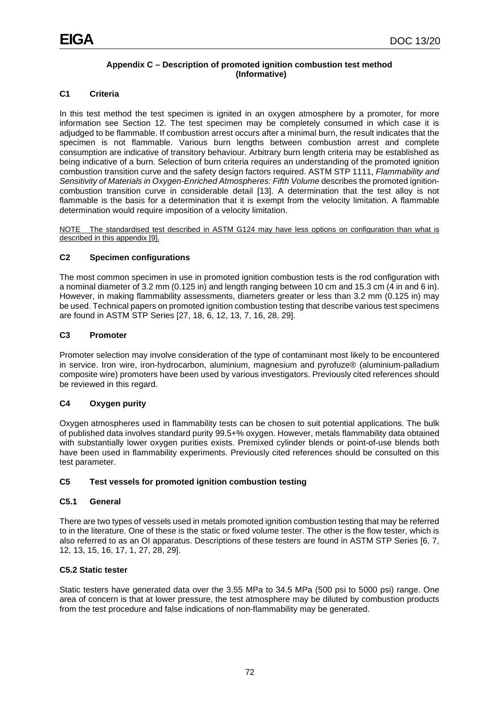# **Appendix C – Description of promoted ignition combustion test method (Informative)**

# **C1 Criteria**

In this test method the test specimen is ignited in an oxygen atmosphere by a promoter, for more information see Section 12. The test specimen may be completely consumed in which case it is adjudged to be flammable. If combustion arrest occurs after a minimal burn, the result indicates that the specimen is not flammable. Various burn lengths between combustion arrest and complete consumption are indicative of transitory behaviour. Arbitrary burn length criteria may be established as being indicative of a burn. Selection of burn criteria requires an understanding of the promoted ignition combustion transition curve and the safety design factors required. ASTM STP 1111, *Flammability and Sensitivity of Materials in Oxygen-Enriched Atmospheres: Fifth Volume* describes the promoted ignitioncombustion transition curve in considerable detail [13]. A determination that the test alloy is not flammable is the basis for a determination that it is exempt from the velocity limitation. A flammable determination would require imposition of a velocity limitation.

NOTE The standardised test described in ASTM G124 may have less options on configuration than what is described in this appendix [9].

# **C2 Specimen configurations**

The most common specimen in use in promoted ignition combustion tests is the rod configuration with a nominal diameter of 3.2 mm (0.125 in) and length ranging between 10 cm and 15.3 cm (4 in and 6 in). However, in making flammability assessments, diameters greater or less than 3.2 mm (0.125 in) may be used. Technical papers on promoted ignition combustion testing that describe various test specimens are found in ASTM STP Series [27, 18, 6, 12, 13, 7, 16, 28, 29].

## **C3 Promoter**

Promoter selection may involve consideration of the type of contaminant most likely to be encountered in service. Iron wire, iron-hydrocarbon, aluminium, magnesium and pyrofuze® (aluminium-palladium composite wire) promoters have been used by various investigators. Previously cited references should be reviewed in this regard.

# **C4 Oxygen purity**

Oxygen atmospheres used in flammability tests can be chosen to suit potential applications. The bulk of published data involves standard purity 99.5+% oxygen. However, metals flammability data obtained with substantially lower oxygen purities exists. Premixed cylinder blends or point-of-use blends both have been used in flammability experiments. Previously cited references should be consulted on this test parameter.

# **C5 Test vessels for promoted ignition combustion testing**

## **C5.1 General**

There are two types of vessels used in metals promoted ignition combustion testing that may be referred to in the literature. One of these is the static or fixed volume tester. The other is the flow tester, which is also referred to as an OI apparatus. Descriptions of these testers are found in ASTM STP Series [6, 7, 12, 13, 15, 16, 17, 1, 27, 28, 29].

## **C5.2 Static tester**

Static testers have generated data over the 3.55 MPa to 34.5 MPa (500 psi to 5000 psi) range. One area of concern is that at lower pressure, the test atmosphere may be diluted by combustion products from the test procedure and false indications of non-flammability may be generated.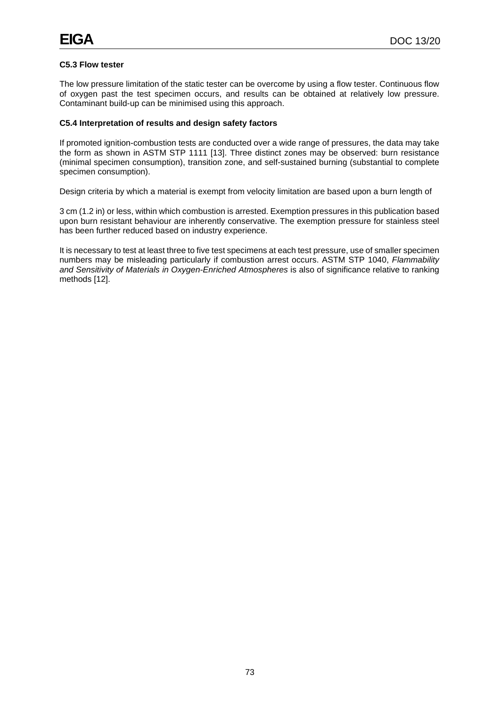## **C5.3 Flow tester**

The low pressure limitation of the static tester can be overcome by using a flow tester. Continuous flow of oxygen past the test specimen occurs, and results can be obtained at relatively low pressure. Contaminant build-up can be minimised using this approach.

#### **C5.4 Interpretation of results and design safety factors**

If promoted ignition-combustion tests are conducted over a wide range of pressures, the data may take the form as shown in ASTM STP 1111 [13]. Three distinct zones may be observed: burn resistance (minimal specimen consumption), transition zone, and self-sustained burning (substantial to complete specimen consumption).

Design criteria by which a material is exempt from velocity limitation are based upon a burn length of

3 cm (1.2 in) or less, within which combustion is arrested. Exemption pressures in this publication based upon burn resistant behaviour are inherently conservative. The exemption pressure for stainless steel has been further reduced based on industry experience.

It is necessary to test at least three to five test specimens at each test pressure, use of smaller specimen numbers may be misleading particularly if combustion arrest occurs. ASTM STP 1040, *Flammability and Sensitivity of Materials in Oxygen-Enriched Atmospheres* is also of significance relative to ranking methods [12].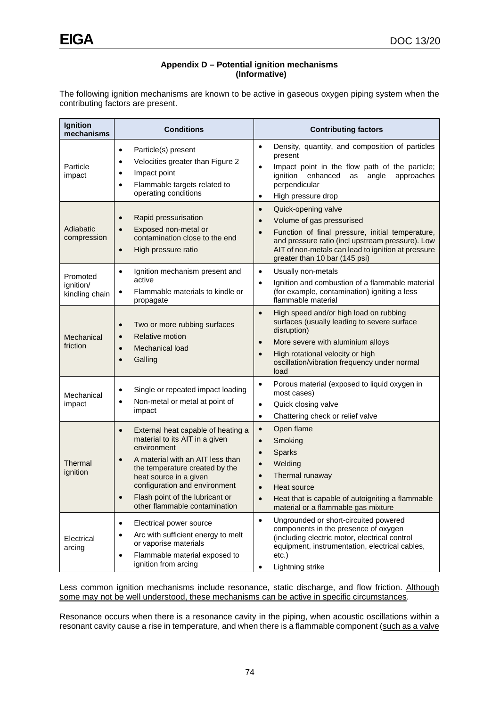### **Appendix D – Potential ignition mechanisms (Informative)**

The following ignition mechanisms are known to be active in gaseous oxygen piping system when the contributing factors are present.

| Ignition<br>mechanisms                  | <b>Conditions</b>                                                                                                                                                                                                                                                                                                  | <b>Contributing factors</b>                                                                                                                                                                                                                                                            |
|-----------------------------------------|--------------------------------------------------------------------------------------------------------------------------------------------------------------------------------------------------------------------------------------------------------------------------------------------------------------------|----------------------------------------------------------------------------------------------------------------------------------------------------------------------------------------------------------------------------------------------------------------------------------------|
| Particle<br>impact                      | Particle(s) present<br>$\bullet$<br>Velocities greater than Figure 2<br>٠<br>Impact point<br>$\bullet$<br>Flammable targets related to<br>$\bullet$<br>operating conditions                                                                                                                                        | Density, quantity, and composition of particles<br>$\bullet$<br>present<br>Impact point in the flow path of the particle;<br>$\bullet$<br>approaches<br>ignition enhanced<br>angle<br>as<br>perpendicular<br>High pressure drop<br>$\bullet$                                           |
| Adiabatic<br>compression                | Rapid pressurisation<br>$\bullet$<br>Exposed non-metal or<br>$\bullet$<br>contamination close to the end<br>High pressure ratio<br>$\bullet$                                                                                                                                                                       | Quick-opening valve<br>$\bullet$<br>Volume of gas pressurised<br>$\bullet$<br>Function of final pressure, initial temperature,<br>$\bullet$<br>and pressure ratio (incl upstream pressure). Low<br>AIT of non-metals can lead to ignition at pressure<br>greater than 10 bar (145 psi) |
| Promoted<br>ignition/<br>kindling chain | Ignition mechanism present and<br>$\bullet$<br>active<br>Flammable materials to kindle or<br>$\bullet$<br>propagate                                                                                                                                                                                                | Usually non-metals<br>$\bullet$<br>Ignition and combustion of a flammable material<br>$\bullet$<br>(for example, contamination) igniting a less<br>flammable material                                                                                                                  |
| Mechanical<br>friction                  | Two or more rubbing surfaces<br>$\bullet$<br><b>Relative motion</b><br>$\bullet$<br>Mechanical load<br>$\bullet$<br>Galling<br>$\bullet$                                                                                                                                                                           | High speed and/or high load on rubbing<br>$\bullet$<br>surfaces (usually leading to severe surface<br>disruption)<br>More severe with aluminium alloys<br>$\bullet$<br>High rotational velocity or high<br>$\bullet$<br>oscillation/vibration frequency under normal<br>load           |
| Mechanical<br>impact                    | Single or repeated impact loading<br>$\bullet$<br>Non-metal or metal at point of<br>$\bullet$<br>impact                                                                                                                                                                                                            | Porous material (exposed to liquid oxygen in<br>$\bullet$<br>most cases)<br>Quick closing valve<br>$\bullet$<br>Chattering check or relief valve<br>$\bullet$                                                                                                                          |
| Thermal<br>ignition                     | External heat capable of heating a<br>$\bullet$<br>material to its AIT in a given<br>environment<br>A material with an AIT less than<br>$\bullet$<br>the temperature created by the<br>heat source in a given<br>configuration and environment<br>Flash point of the lubricant or<br>other flammable contamination | Open flame<br>$\bullet$<br>Smoking<br>$\bullet$<br>Sparks<br>$\bullet$<br>Welding<br>$\bullet$<br>Thermal runaway<br>$\bullet$<br>Heat source<br>$\bullet$<br>Heat that is capable of autoigniting a flammable<br>$\bullet$<br>material or a flammable gas mixture                     |
| Electrical<br>arcing                    | Electrical power source<br>$\bullet$<br>Arc with sufficient energy to melt<br>$\bullet$<br>or vaporise materials<br>Flammable material exposed to<br>$\bullet$<br>ignition from arcing                                                                                                                             | Ungrounded or short-circuited powered<br>$\bullet$<br>components in the presence of oxygen<br>(including electric motor, electrical control<br>equipment, instrumentation, electrical cables,<br>etc.)<br>Lightning strike<br>٠                                                        |

Less common ignition mechanisms include resonance, static discharge, and flow friction. Although some may not be well understood, these mechanisms can be active in specific circumstances.

Resonance occurs when there is a resonance cavity in the piping, when acoustic oscillations within a resonant cavity cause a rise in temperature, and when there is a flammable component (such as a valve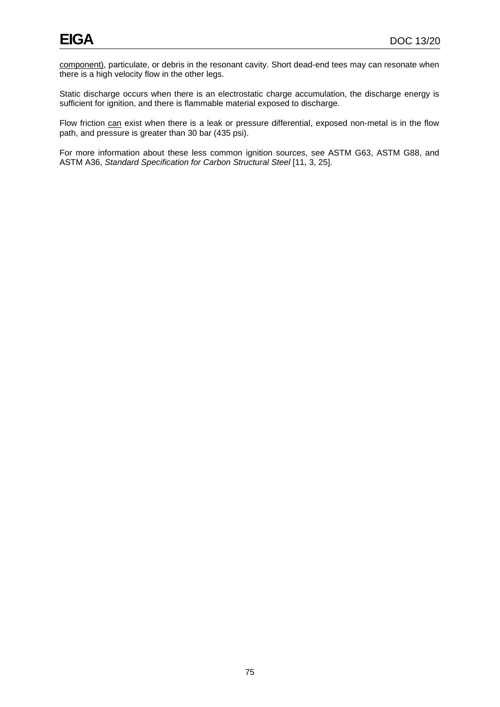component), particulate, or debris in the resonant cavity. Short dead-end tees may can resonate when there is a high velocity flow in the other legs.

Static discharge occurs when there is an electrostatic charge accumulation, the discharge energy is sufficient for ignition, and there is flammable material exposed to discharge.

Flow friction can exist when there is a leak or pressure differential, exposed non-metal is in the flow path, and pressure is greater than 30 bar (435 psi).

For more information about these less common ignition sources, see ASTM G63, ASTM G88, and ASTM A36, *Standard Specification for Carbon Structural Steel* [11, 3, 25].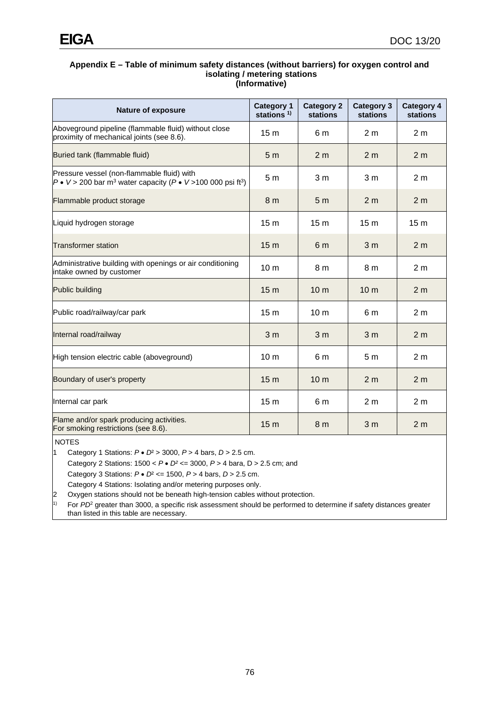#### **Appendix E – Table of minimum safety distances (without barriers) for oxygen control and isolating / metering stations (Informative)**

| <b>Nature of exposure</b>                                                                                                                           | <b>Category 1</b><br>stations <sup>1)</sup> | <b>Category 2</b><br><b>stations</b> | <b>Category 3</b><br><b>stations</b> | <b>Category 4</b><br><b>stations</b> |
|-----------------------------------------------------------------------------------------------------------------------------------------------------|---------------------------------------------|--------------------------------------|--------------------------------------|--------------------------------------|
| Aboveground pipeline (flammable fluid) without close<br>proximity of mechanical joints (see 8.6).                                                   | 15 <sub>m</sub>                             | 6 m                                  | 2 <sub>m</sub>                       | 2 <sub>m</sub>                       |
| Buried tank (flammable fluid)                                                                                                                       | 5 <sub>m</sub>                              | 2 <sub>m</sub>                       | 2 <sub>m</sub>                       | 2 <sub>m</sub>                       |
| Pressure vessel (non-flammable fluid) with<br>$P \bullet V > 200$ bar m <sup>3</sup> water capacity ( $P \bullet V > 100$ 000 psi ft <sup>3</sup> ) | 5 <sub>m</sub>                              | 3 <sub>m</sub>                       | 3 <sub>m</sub>                       | 2 <sub>m</sub>                       |
| Flammable product storage                                                                                                                           | 8 <sub>m</sub>                              | 5 <sub>m</sub>                       | 2 <sub>m</sub>                       | 2 <sub>m</sub>                       |
| Liquid hydrogen storage                                                                                                                             | 15 <sub>m</sub>                             | 15 <sub>m</sub>                      | 15 <sub>m</sub>                      | 15 <sub>m</sub>                      |
| <b>Transformer station</b>                                                                                                                          | 15 <sub>m</sub>                             | 6 <sub>m</sub>                       | 3 <sub>m</sub>                       | 2 <sub>m</sub>                       |
| Administrative building with openings or air conditioning<br>intake owned by customer                                                               | 10 <sub>m</sub>                             | 8 m                                  | 8 m                                  | 2 <sub>m</sub>                       |
| Public building                                                                                                                                     | 15 <sub>m</sub>                             | 10 <sub>m</sub>                      | 10 <sub>m</sub>                      | 2 <sub>m</sub>                       |
| Public road/railway/car park                                                                                                                        | 15 <sub>m</sub>                             | 10 <sub>m</sub>                      | 6 m                                  | 2 <sub>m</sub>                       |
| Internal road/railway                                                                                                                               | 3 <sub>m</sub>                              | 3 <sub>m</sub>                       | 3 <sub>m</sub>                       | 2 <sub>m</sub>                       |
| High tension electric cable (aboveground)                                                                                                           | 10 <sub>m</sub>                             | 6 m                                  | 5 <sub>m</sub>                       | 2 <sub>m</sub>                       |
| Boundary of user's property                                                                                                                         | 15 <sub>m</sub>                             | 10 <sub>m</sub>                      | 2 <sub>m</sub>                       | 2 <sub>m</sub>                       |
| Internal car park                                                                                                                                   | 15 <sub>m</sub>                             | 6 m                                  | 2 <sub>m</sub>                       | 2 <sub>m</sub>                       |
| Flame and/or spark producing activities.<br>For smoking restrictions (see 8.6).                                                                     | 15 <sub>m</sub>                             | 8 <sub>m</sub>                       | 3 <sub>m</sub>                       | 2 <sub>m</sub>                       |

NOTES

1 Category 1 Stations: *P* • *D*² > 3000, *P* > 4 bars, *D* > 2.5 cm.

Category 2 Stations: 1500 < *P* • *D²* <= 3000, *P* > 4 bara, D > 2.5 cm; and

Category 3 Stations: *P* • *D*² <= 1500, *P* > 4 bars, *D* > 2.5 cm.

Category 4 Stations: Isolating and/or metering purposes only.

Oxygen stations should not be beneath high-tension cables without protection.

<sup>1)</sup> For *PD*<sup>2</sup> greater than 3000, a specific risk assessment should be performed to determine if safety distances greater than listed in this table are necessary.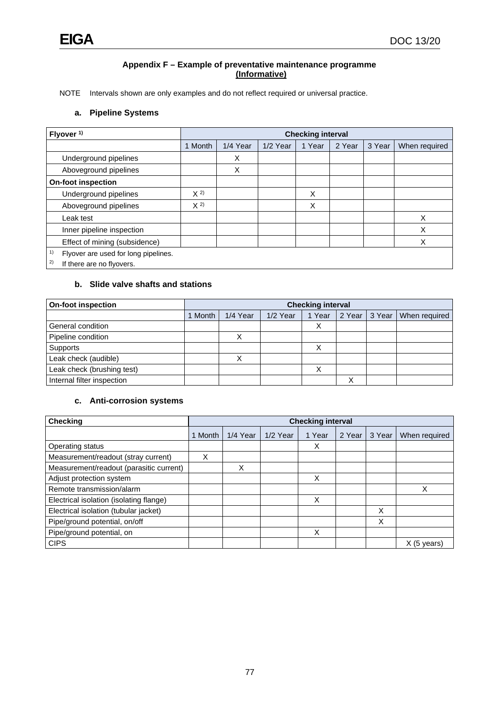#### **Appendix F – Example of preventative maintenance programme (Informative)**

NOTE Intervals shown are only examples and do not reflect required or universal practice.

## **a. Pipeline Systems**

| Flyover <sup>1)</sup>                                                         |         | <b>Checking interval</b> |          |        |        |        |               |
|-------------------------------------------------------------------------------|---------|--------------------------|----------|--------|--------|--------|---------------|
|                                                                               | 1 Month | 1/4 Year                 | 1/2 Year | 1 Year | 2 Year | 3 Year | When required |
| Underground pipelines                                                         |         | X                        |          |        |        |        |               |
| Aboveground pipelines                                                         |         | X                        |          |        |        |        |               |
| <b>On-foot inspection</b>                                                     |         |                          |          |        |        |        |               |
| Underground pipelines                                                         | $X^{2}$ |                          |          | X      |        |        |               |
| Aboveground pipelines                                                         | $X^{2}$ |                          |          | X      |        |        |               |
| Leak test                                                                     |         |                          |          |        |        |        | X             |
| Inner pipeline inspection                                                     |         |                          |          |        |        |        | X             |
| Effect of mining (subsidence)                                                 |         |                          |          |        |        |        | X             |
| 1)<br>Flyover are used for long pipelines.<br>2)<br>If there are no flyovers. |         |                          |          |        |        |        |               |

# **b. Slide valve shafts and stations**

| <b>On-foot inspection</b>  |       | <b>Checking interval</b> |          |        |        |        |               |
|----------------------------|-------|--------------------------|----------|--------|--------|--------|---------------|
|                            | Month | 1/4 Year                 | 1/2 Year | 1 Year | 2 Year | 3 Year | When required |
| General condition          |       |                          |          | v<br>∧ |        |        |               |
| Pipeline condition         |       |                          |          |        |        |        |               |
| Supports                   |       |                          |          |        |        |        |               |
| Leak check (audible)       |       |                          |          |        |        |        |               |
| Leak check (brushing test) |       |                          |          | ⌒      |        |        |               |
| Internal filter inspection |       |                          |          |        |        |        |               |

## **c. Anti-corrosion systems**

| Checking                                |         | <b>Checking interval</b> |          |        |        |        |               |
|-----------------------------------------|---------|--------------------------|----------|--------|--------|--------|---------------|
|                                         | 1 Month | 1/4 Year                 | 1/2 Year | 1 Year | 2 Year | 3 Year | When required |
| Operating status                        |         |                          |          | X      |        |        |               |
| Measurement/readout (stray current)     | X       |                          |          |        |        |        |               |
| Measurement/readout (parasitic current) |         | X                        |          |        |        |        |               |
| Adjust protection system                |         |                          |          | X      |        |        |               |
| Remote transmission/alarm               |         |                          |          |        |        |        | X             |
| Electrical isolation (isolating flange) |         |                          |          | X      |        |        |               |
| Electrical isolation (tubular jacket)   |         |                          |          |        |        | X      |               |
| Pipe/ground potential, on/off           |         |                          |          |        |        | X      |               |
| Pipe/ground potential, on               |         |                          |          | X      |        |        |               |
| <b>CIPS</b>                             |         |                          |          |        |        |        | $X$ (5 years) |